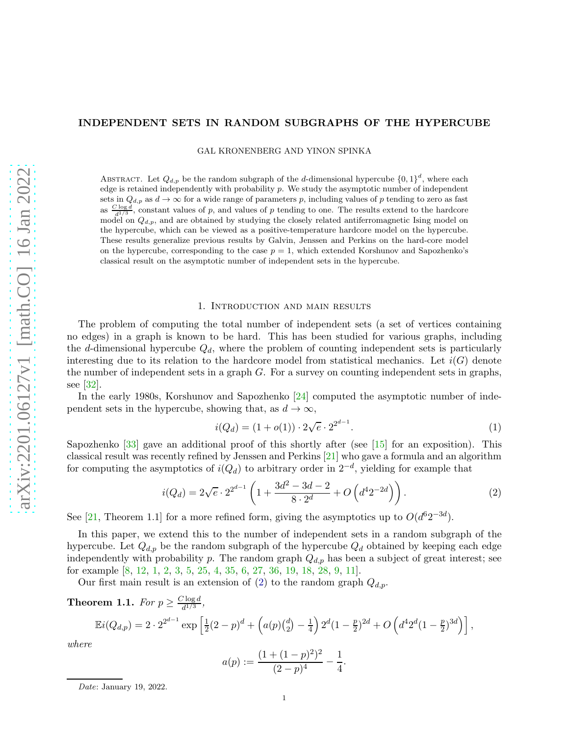# INDEPENDENT SETS IN RANDOM SUBGRAPHS OF THE HYPERCUBE

GAL KRONENBERG AND YINON SPINKA

ABSTRACT. Let  $Q_{d,p}$  be the random subgraph of the d-dimensional hypercube  $\{0,1\}^d$ , where each edge is retained independently with probability  $p$ . We study the asymptotic number of independent sets in  $Q_{d,p}$  as  $d \to \infty$  for a wide range of parameters p, including values of p tending to zero as fast as  $\frac{C \log d}{d^{1/3}}$ , constant values of p, and values of p tending to one. The results extend to the hardcore model on  $Q_{d,p}$ , and are obtained by studying the closely related antiferromagnetic Ising model on the hypercube, which can be viewed as a positive-temperature hardcore model on the hypercube. These results generalize previous results by Galvin, Jenssen and Perkins on the hard-core model on the hypercube, corresponding to the case  $p = 1$ , which extended Korshunov and Sapozhenko's classical result on the asymptotic number of independent sets in the hypercube.

# 1. Introduction and main results

<span id="page-0-3"></span>The problem of computing the total number of independent sets (a set of vertices containing no edges) in a graph is known to be hard. This has been studied for various graphs, including the d-dimensional hypercube  $Q_d$ , where the problem of counting independent sets is particularly interesting due to its relation to the hardcore model from statistical mechanics. Let  $i(G)$  denote the number of independent sets in a graph G. For a survey on counting independent sets in graphs, see [\[32\]](#page-43-0).

In the early 1980s, Korshunov and Sapozhenko [\[24\]](#page-43-1) computed the asymptotic number of independent sets in the hypercube, showing that, as  $d \to \infty$ ,

<span id="page-0-2"></span>
$$
i(Q_d) = (1 + o(1)) \cdot 2\sqrt{e} \cdot 2^{2^{d-1}}.
$$
\n(1)

Sapozhenko [\[33\]](#page-43-2) gave an additional proof of this shortly after (see [\[15\]](#page-43-3) for an exposition). This classical result was recently refined by Jenssen and Perkins [\[21\]](#page-43-4) who gave a formula and an algorithm for computing the asymptotics of  $i(Q_d)$  to arbitrary order in  $2^{-d}$ , yielding for example that

<span id="page-0-0"></span>
$$
i(Q_d) = 2\sqrt{e} \cdot 2^{2^{d-1}} \left( 1 + \frac{3d^2 - 3d - 2}{8 \cdot 2^d} + O\left(d^4 2^{-2d}\right) \right). \tag{2}
$$

See [\[21,](#page-43-4) Theorem 1.1] for a more refined form, giving the asymptotics up to  $O(d^62^{-3d})$ .

In this paper, we extend this to the number of independent sets in a random subgraph of the hypercube. Let  $Q_{d,p}$  be the random subgraph of the hypercube  $Q_d$  obtained by keeping each edge independently with probability p. The random graph  $Q_{d,p}$  has been a subject of great interest; see for example [\[8,](#page-42-0) [12,](#page-43-5) [1,](#page-42-1) [2,](#page-42-2) [3,](#page-42-3) [5,](#page-42-4) [25,](#page-43-6) [4,](#page-42-5) [35,](#page-43-7) [6,](#page-42-6) [27,](#page-43-8) [36,](#page-43-9) [19,](#page-43-10) [18,](#page-43-11) [28,](#page-43-12) [9,](#page-42-7) [11\]](#page-42-8).

<span id="page-0-1"></span>Our first main result is an extension of [\(2\)](#page-0-0) to the random graph  $Q_{d,p}$ .

**Theorem 1.1.** *For*  $p \geq \frac{C \log d}{d^{1/3}}$  $\frac{\log a}{d^{1/3}},$ 

$$
\mathbb{E}i(Q_{d,p}) = 2 \cdot 2^{2^{d-1}} \exp\left[\frac{1}{2}(2-p)^d + \left(a(p)\binom{d}{2} - \frac{1}{4}\right)2^d(1-\frac{p}{2})^{2d} + O\left(d^4 2^d(1-\frac{p}{2})^{3d}\right)\right],
$$

*where*

$$
a(p) := \frac{(1 + (1 - p)^2)^2}{(2 - p)^4} - \frac{1}{4}.
$$

*Date*: January 19, 2022.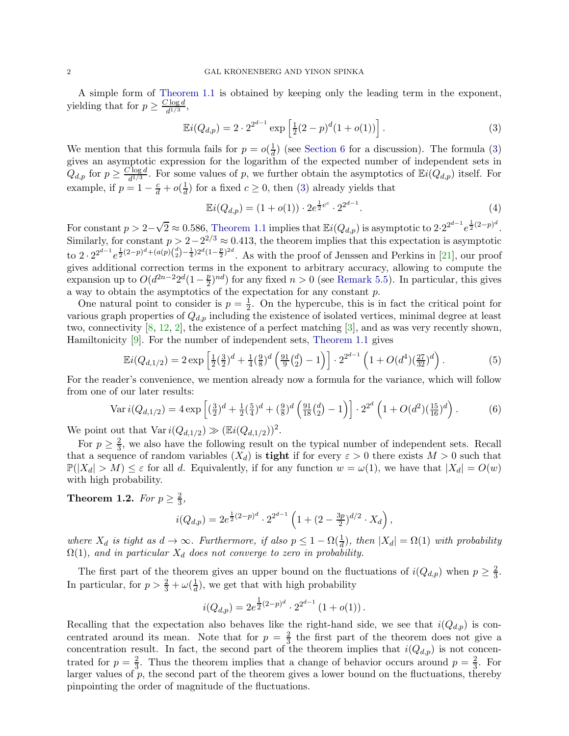A simple form of [Theorem 1.1](#page-0-1) is obtained by keeping only the leading term in the exponent, yielding that for  $p \geq \frac{C \log d}{d^{1/3}}$  $\frac{1}{d^{1/3}}$ ,

<span id="page-1-0"></span>
$$
\mathbb{E}i(Q_{d,p}) = 2 \cdot 2^{2^{d-1}} \exp\left[\frac{1}{2}(2-p)^d(1+o(1))\right].
$$
 (3)

We mention that this formula fails for  $p = o(\frac{1}{d})$  $\frac{1}{d}$ ) (see [Section 6](#page-40-0) for a discussion). The formula [\(3\)](#page-1-0) gives an asymptotic expression for the logarithm of the expected number of independent sets in  $Q_{d,p}$  for  $p \geq \frac{C \log d}{d^{1/3}}$  $\frac{\partial \log d}{\partial d^{1/3}}$ . For some values of p, we further obtain the asymptotics of  $\mathbb{E}i(Q_{d,p})$  itself. For example, if  $p = 1 - \frac{c}{d} + o(\frac{1}{d})$  $\frac{1}{d}$ ) for a fixed  $c \geq 0$ , then [\(3\)](#page-1-0) already yields that

<span id="page-1-2"></span>
$$
\mathbb{E}i(Q_{d,p}) = (1 + o(1)) \cdot 2e^{\frac{1}{2}e^c} \cdot 2^{2^{d-1}}.
$$
\n(4)

For constant  $p > 2-\sqrt{2} \approx 0.586$ , [Theorem 1.1](#page-0-1) implies that  $\mathbb{E}i(Q_{d,p})$  is asymptotic to  $2 \cdot 2^{2^{d-1}} e^{\frac{1}{2}(2-p)^d}$ . Similarly, for constant  $p > 2 - 2^{2/3} \approx 0.413$ , the theorem implies that this expectation is asymptotic to  $2 \cdot 2^{2^{d-1}} e^{\frac{1}{2}(2-p)^d + (a(p)(\frac{d}{2}) - \frac{1}{4})2^d(1-\frac{p}{2})^{2d}}$ . As with the proof of Jenssen and Perkins in [\[21\]](#page-43-4), our proof gives additional correction terms in the exponent to arbitrary accuracy, allowing to compute the expansion up to  $O(d^{2n-2}2^d(1-\frac{p}{2}))$  $\frac{p}{2}$ <sup>nd</sup>) for any fixed  $n > 0$  (see [Remark 5.5\)](#page-34-0). In particular, this gives a way to obtain the asymptotics of the expectation for any constant p.

One natural point to consider is  $p=\frac{1}{2}$  $\frac{1}{2}$ . On the hypercube, this is in fact the critical point for various graph properties of  $Q_{d,p}$  including the existence of isolated vertices, minimal degree at least two, connectivity [\[8,](#page-42-0) [12,](#page-43-5) [2\]](#page-42-2), the existence of a perfect matching [\[3\]](#page-42-3), and as was very recently shown, Hamiltonicity [\[9\]](#page-42-7). For the number of independent sets, [Theorem 1.1](#page-0-1) gives

<span id="page-1-3"></span>
$$
\mathbb{E}i(Q_{d,1/2}) = 2 \exp\left[\frac{1}{2}(\frac{3}{2})^d + \frac{1}{4}(\frac{9}{8})^d(\frac{91}{9}(\frac{d}{2}) - 1)\right] \cdot 2^{2^{d-1}}\left(1 + O(d^4)(\frac{27}{32})^d\right). \tag{5}
$$

For the reader's convenience, we mention already now a formula for the variance, which will follow from one of our later results:

<span id="page-1-4"></span>
$$
\text{Var}\,i(Q_{d,1/2}) = 4\exp\left[ (\frac{3}{2})^d + \frac{1}{2}(\frac{5}{4})^d + (\frac{9}{8})^d \left( \frac{91}{18}(\frac{d}{2}) - 1 \right) \right] \cdot 2^{2^d} \left( 1 + O(d^2)(\frac{15}{16})^d \right). \tag{6}
$$

We point out that  $\text{Var } i(Q_{d,1/2}) \gg (\mathbb{E} i(Q_{d,1/2}))^2$ .

For  $p \geq \frac{2}{3}$  $\frac{2}{3}$ , we also have the following result on the typical number of independent sets. Recall that a sequence of random variables  $(X_d)$  is **tight** if for every  $\varepsilon > 0$  there exists  $M > 0$  such that  $\mathbb{P}(|X_d| > M) \leq \varepsilon$  for all d. Equivalently, if for any function  $w = \omega(1)$ , we have that  $|X_d| = O(w)$ with high probability.

<span id="page-1-1"></span>**Theorem 1.2.** For  $p \geq \frac{2}{3}$ ,

$$
i(Q_{d,p}) = 2e^{\frac{1}{2}(2-p)^d} \cdot 2^{2^{d-1}} \left(1 + (2 - \frac{3p}{2})^{d/2} \cdot X_d\right),
$$

where  $X_d$  is tight as  $d \to \infty$ . Furthermore, if also  $p \leq 1 - \Omega(\frac{1}{d})$ , then  $|X_d| = \Omega(1)$  with probability  $\Omega(1)$ *, and in particular*  $X_d$  *does not converge to zero in probability.* 

The first part of the theorem gives an upper bound on the fluctuations of  $i(Q_{d,p})$  when  $p \geq \frac{2}{3}$  $\frac{2}{3}$ . In particular, for  $p > \frac{2}{3} + \omega(\frac{1}{d})$  $\frac{1}{d}$ , we get that with high probability

$$
i(Q_{d,p}) = 2e^{\frac{1}{2}(2-p)^d} \cdot 2^{2^{d-1}} (1+o(1)).
$$

Recalling that the expectation also behaves like the right-hand side, we see that  $i(Q_{d,p})$  is concentrated around its mean. Note that for  $p = \frac{2}{3}$  $\frac{2}{3}$  the first part of the theorem does not give a concentration result. In fact, the second part of the theorem implies that  $i(Q_{d,p})$  is not concentrated for  $p=\frac{2}{3}$  $\frac{2}{3}$ . Thus the theorem implies that a change of behavior occurs around  $p = \frac{2}{3}$  $\frac{2}{3}$ . For larger values of  $p$ , the second part of the theorem gives a lower bound on the fluctuations, thereby pinpointing the order of magnitude of the fluctuations.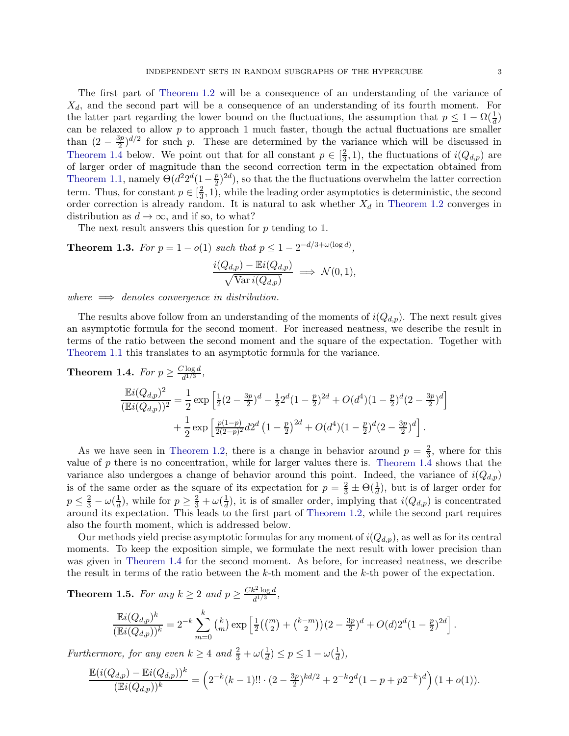The first part of [Theorem 1.2](#page-1-1) will be a consequence of an understanding of the variance of  $X_d$ , and the second part will be a consequence of an understanding of its fourth moment. For the latter part regarding the lower bound on the fluctuations, the assumption that  $p \leq 1 - \Omega(\frac{1}{d})$ can be relaxed to allow  $p$  to approach 1 much faster, though the actual fluctuations are smaller than  $(2-\frac{3p}{2})$  $\frac{3p}{2}$  of  $\frac{3p}{2}$  for such p. These are determined by the variance which will be discussed in [Theorem 1.4](#page-2-0) below. We point out that for all constant  $p \in \left[\frac{2}{3}\right]$  $(\frac{2}{3},1)$ , the fluctuations of  $i(Q_{d,p})$  are of larger order of magnitude than the second correction term in the expectation obtained from [Theorem 1.1,](#page-0-1) namely  $\Theta(d^2 2^d (1 - \frac{p}{2}))$  $(\frac{p}{2})^{2d}$ , so that the the fluctuations overwhelm the latter correction term. Thus, for constant  $p \in \left[\frac{2}{3}\right]$  $\frac{2}{3}$ , 1), while the leading order asymptotics is deterministic, the second order correction is already random. It is natural to ask whether  $X_d$  in [Theorem 1.2](#page-1-1) converges in distribution as  $d \to \infty$ , and if so, to what?

<span id="page-2-2"></span>The next result answers this question for p tending to 1.

**Theorem 1.3.** For  $p = 1 - o(1)$  such that  $p \leq 1 - 2^{-d/3 + \omega(\log d)}$ ,

$$
\frac{i(Q_{d,p}) - \mathbb{E}i(Q_{d,p})}{\sqrt{\text{Var}i(Q_{d,p})}} \implies \mathcal{N}(0,1),
$$

*where* =⇒ *denotes convergence in distribution.*

The results above follow from an understanding of the moments of  $i(Q_{d,p})$ . The next result gives an asymptotic formula for the second moment. For increased neatness, we describe the result in terms of the ratio between the second moment and the square of the expectation. Together with [Theorem 1.1](#page-0-1) this translates to an asymptotic formula for the variance.

<span id="page-2-0"></span>**Theorem 1.4.** For 
$$
p \ge \frac{C \log d}{d^{1/3}}
$$
,  
\n
$$
\frac{\mathbb{E}i(Q_{d,p})^2}{(\mathbb{E}i(Q_{d,p}))^2} = \frac{1}{2} \exp\left[\frac{1}{2}(2-\frac{3p}{2})^d - \frac{1}{2}2^d(1-\frac{p}{2})^{2d} + O(d^4)(1-\frac{p}{2})^d(2-\frac{3p}{2})^d\right] + \frac{1}{2} \exp\left[\frac{p(1-p)}{2(2-p)^2}d2^d(1-\frac{p}{2})^{2d} + O(d^4)(1-\frac{p}{2})^d(2-\frac{3p}{2})^d\right].
$$

As we have seen in [Theorem 1.2,](#page-1-1) there is a change in behavior around  $p = \frac{2}{3}$  $\frac{2}{3}$ , where for this value of  $p$  there is no concentration, while for larger values there is. [Theorem 1.4](#page-2-0) shows that the variance also undergoes a change of behavior around this point. Indeed, the variance of  $i(Q_{d,p})$ is of the same order as the square of its expectation for  $p = \frac{2}{3} \pm \Theta(\frac{1}{d})$ , but is of larger order for  $p \leq \frac{2}{3} - \omega(\frac{1}{d})$  $\frac{1}{d}$ ), while for  $p \geq \frac{2}{3} + \omega(\frac{1}{d})$  $\frac{1}{d}$ , it is of smaller order, implying that  $i(Q_{d,p})$  is concentrated around its expectation. This leads to the first part of [Theorem 1.2,](#page-1-1) while the second part requires also the fourth moment, which is addressed below.

Our methods yield precise asymptotic formulas for any moment of  $i(Q_{d,p})$ , as well as for its central moments. To keep the exposition simple, we formulate the next result with lower precision than was given in [Theorem 1.4](#page-2-0) for the second moment. As before, for increased neatness, we describe the result in terms of the ratio between the  $k$ -th moment and the  $k$ -th power of the expectation.

<span id="page-2-1"></span>**Theorem 1.5.** For any  $k \geq 2$  and  $p \geq \frac{Ck^2 \log d}{d^{1/3}}$  $\frac{c^2 \log a}{d^{1/3}}$ ,

$$
\frac{\mathbb{E}i(Q_{d,p})^k}{(\mathbb{E}i(Q_{d,p}))^k} = 2^{-k} \sum_{m=0}^k {k \choose m} \exp\left[\frac{1}{2}\left(\binom{m}{2} + \binom{k-m}{2}\right)(2-\frac{3p}{2})^d + O(d)2^d(1-\frac{p}{2})^{2d}\right].
$$

*Furthermore, for any even*  $k \geq 4$  *and*  $\frac{2}{3} + \omega(\frac{1}{d})$  $\frac{1}{d}$ )  $\leq p \leq 1 - \omega(\frac{1}{d})$  $\frac{1}{d}$ ),

$$
\frac{\mathbb{E}(i(Q_{d,p}) - \mathbb{E}i(Q_{d,p}))^k}{(\mathbb{E}i(Q_{d,p}))^k} = \left(2^{-k}(k-1)!! \cdot (2 - \frac{3p}{2})^{kd/2} + 2^{-k}2^d(1-p+p2^{-k})^d\right)(1+o(1)).
$$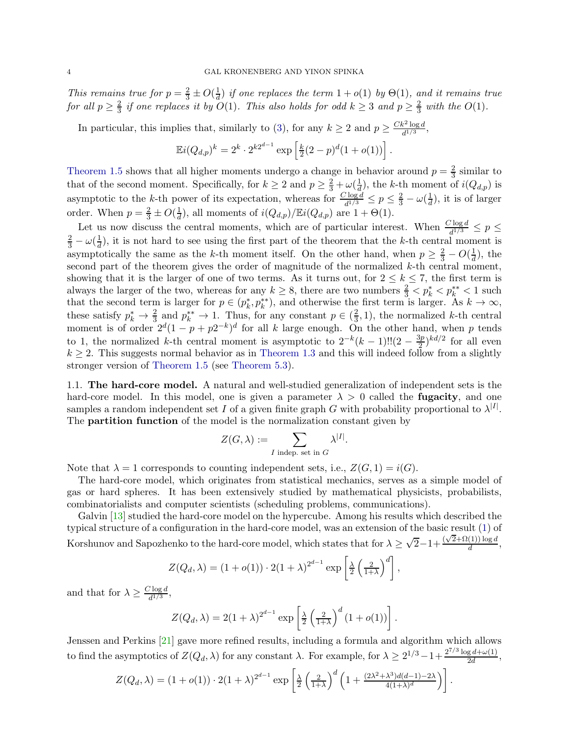*This remains true for*  $p = \frac{2}{3} \pm O(\frac{1}{d})$  $\frac{1}{d}$  *if one replaces the term*  $1 + o(1)$  *by*  $\Theta(1)$ *, and it remains true for all*  $p \geq \frac{2}{3}$  $\frac{2}{3}$  *if one replaces it by*  $O(1)$ *. This also holds for odd*  $k \geq 3$  *and*  $p \geq \frac{2}{3}$  $rac{2}{3}$  with the  $O(1)$ .

In particular, this implies that, similarly to [\(3\)](#page-1-0), for any  $k \ge 2$  and  $p \ge \frac{Ck^2 \log d}{d^{1/3}}$  $\frac{\int_0^{\infty} \frac{\log a}{a^{1/3}}}{a^{1/3}},$ 

$$
\mathbb{E}i(Q_{d,p})^k = 2^k \cdot 2^{k2^{d-1}} \exp\left[\frac{k}{2}(2-p)^d(1+o(1))\right].
$$

[Theorem 1.5](#page-2-1) shows that all higher moments undergo a change in behavior around  $p = \frac{2}{3}$  $\frac{2}{3}$  similar to that of the second moment. Specifically, for  $k \geq 2$  and  $p \geq \frac{2}{3} + \omega(\frac{1}{d})$  $\frac{1}{d}$ , the k-th moment of  $i(Q_{d,p})$  is asymptotic to the k-th power of its expectation, whereas for  $\frac{C \log d}{d^{1/3}} \le p \le \frac{2}{3} - \omega(\frac{1}{d})$  $\frac{1}{d}$ , it is of larger order. When  $p = \frac{2}{3} \pm O(\frac{1}{d})$  $\frac{1}{d}$ ), all moments of  $i(Q_{d,p})/\mathbb{E}i(Q_{d,p})$  are  $1+\Theta(1)$ .

Let us now discuss the central moments, which are of particular interest. When  $\frac{C \log d}{d^{1/3}} \leq p \leq$  $rac{2}{3} - \omega(\frac{1}{d})$  $\frac{1}{d}$ , it is not hard to see using the first part of the theorem that the k-th central moment is asymptotically the same as the k-th moment itself. On the other hand, when  $p \geq \frac{2}{3} - O(\frac{1}{d})$  $\frac{1}{d}$ , the second part of the theorem gives the order of magnitude of the normalized  $k$ -th central moment, showing that it is the larger of one of two terms. As it turns out, for  $2 \leq k \leq 7$ , the first term is always the larger of the two, whereas for any  $k \geq 8$ , there are two numbers  $\frac{2}{3} < p_k^* < p_k^{**} < 1$  such that the second term is larger for  $p \in (p_k^*, p_k^{**})$ , and otherwise the first term is larger. As  $k \to \infty$ , these satisfy  $p_k^* \to \frac{2}{3}$  and  $p_k^{**} \to 1$ . Thus, for any constant  $p \in (\frac{2}{3})$  $(\frac{2}{3}, 1)$ , the normalized k-th central moment is of order  $2^d(1-p+p2^{-k})^d$  for all k large enough. On the other hand, when p tends to 1, the normalized k-th central moment is asymptotic to  $2^{-k}(k-1)!!(2-\frac{3p}{2})$  $(\frac{3p}{2})^{kd/2}$  for all even  $k \geq 2$ . This suggests normal behavior as in [Theorem 1.3](#page-2-2) and this will indeed follow from a slightly stronger version of [Theorem 1.5](#page-2-1) (see [Theorem 5.3\)](#page-32-0).

1.1. The hard-core model. A natural and well-studied generalization of independent sets is the hard-core model. In this model, one is given a parameter  $\lambda > 0$  called the **fugacity**, and one samples a random independent set I of a given finite graph G with probability proportional to  $\lambda^{|I|}$ . The partition function of the model is the normalization constant given by

$$
Z(G,\lambda) := \sum_{I \text{ indep. set in } G} \lambda^{|I|}.
$$

Note that  $\lambda = 1$  corresponds to counting independent sets, i.e.,  $Z(G, 1) = i(G)$ .

The hard-core model, which originates from statistical mechanics, serves as a simple model of gas or hard spheres. It has been extensively studied by mathematical physicists, probabilists, combinatorialists and computer scientists (scheduling problems, communications).

Galvin [\[13\]](#page-43-13) studied the hard-core model on the hypercube. Among his results which described the typical structure of a configuration in the hard-core model, was an extension of the basic result [\(1\)](#page-0-2) of Korshunov and Sapozhenko to the hard-core model, which states that for  $\lambda \geq \sqrt{2}-1+\frac{(\sqrt{2}+\Omega(1))\log d}{d}$  $\frac{(1)}{d}$ ,

$$
Z(Q_d, \lambda) = (1 + o(1)) \cdot 2(1 + \lambda)^{2^{d-1}} \exp \left[\frac{\lambda}{2} \left(\frac{2}{1+\lambda}\right)^d\right],
$$

and that for  $\lambda \geq \frac{C \log d}{d^{1/3}}$  $\frac{1}{d^{1/3}}$ ,

$$
Z(Q_d, \lambda) = 2(1+\lambda)^{2^{d-1}} \exp \left[\frac{\lambda}{2} \left(\frac{2}{1+\lambda}\right)^d (1+o(1))\right].
$$

Jenssen and Perkins [\[21\]](#page-43-4) gave more refined results, including a formula and algorithm which allows to find the asymptotics of  $Z(Q_d, \lambda)$  for any constant  $\lambda$ . For example, for  $\lambda \geq 2^{1/3} - 1 + \frac{2^{7/3} \log d + \omega(1)}{2d}$  $\frac{g\,a+\omega(1)}{2d},$ 

$$
Z(Q_d, \lambda) = (1 + o(1)) \cdot 2(1 + \lambda)^{2^{d-1}} \exp \left[ \frac{\lambda}{2} \left( \frac{2}{1 + \lambda} \right)^d \left( 1 + \frac{(2\lambda^2 + \lambda^3) d(d-1) - 2\lambda}{4(1 + \lambda)^d} \right) \right].
$$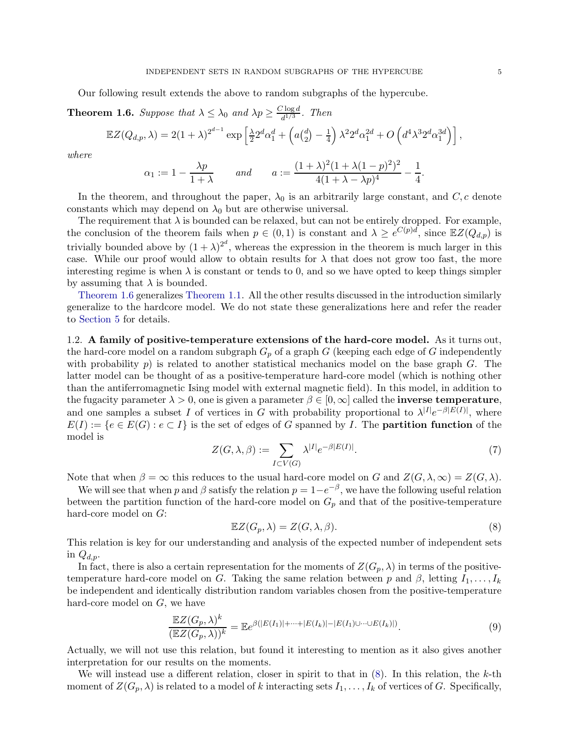<span id="page-4-0"></span>Our following result extends the above to random subgraphs of the hypercube.

**Theorem 1.6.** *Suppose that*  $\lambda \leq \lambda_0$  *and*  $\lambda p \geq \frac{C \log d}{d^{1/3}}$  $\frac{d^{1/3}}{d^{1/3}}$ . *Then* 

$$
\mathbb{E}Z(Q_{d,p},\lambda) = 2(1+\lambda)^{2^{d-1}} \exp \left[\frac{\lambda}{2} 2^d \alpha_1^d + \left(a\binom{d}{2} - \frac{1}{4}\right) \lambda^2 2^d \alpha_1^{2d} + O\left(d^4 \lambda^3 2^d \alpha_1^{3d}\right)\right],
$$

*where*

$$
\alpha_1 := 1 - \frac{\lambda p}{1 + \lambda}
$$
 and  $a := \frac{(1 + \lambda)^2 (1 + \lambda (1 - p)^2)^2}{4 (1 + \lambda - \lambda p)^4} - \frac{1}{4}.$ 

In the theorem, and throughout the paper,  $\lambda_0$  is an arbitrarily large constant, and  $C, c$  denote constants which may depend on  $\lambda_0$  but are otherwise universal.

The requirement that  $\lambda$  is bounded can be relaxed, but can not be entirely dropped. For example, the conclusion of the theorem fails when  $p \in (0,1)$  is constant and  $\lambda \geq e^{C(p)d}$ , since  $\mathbb{E}Z(Q_{d,p})$  is trivially bounded above by  $(1 + \lambda)^{2^d}$ , whereas the expression in the theorem is much larger in this case. While our proof would allow to obtain results for  $\lambda$  that does not grow too fast, the more interesting regime is when  $\lambda$  is constant or tends to 0, and so we have opted to keep things simpler by assuming that  $\lambda$  is bounded.

[Theorem 1.6](#page-4-0) generalizes [Theorem 1.1.](#page-0-1) All the other results discussed in the introduction similarly generalize to the hardcore model. We do not state these generalizations here and refer the reader to [Section 5](#page-32-1) for details.

<span id="page-4-2"></span>1.2. A family of positive-temperature extensions of the hard-core model. As it turns out, the hard-core model on a random subgraph  $G_p$  of a graph G (keeping each edge of G independently with probability p) is related to another statistical mechanics model on the base graph  $G$ . The latter model can be thought of as a positive-temperature hard-core model (which is nothing other than the antiferromagnetic Ising model with external magnetic field). In this model, in addition to the fugacity parameter  $\lambda > 0$ , one is given a parameter  $\beta \in [0, \infty]$  called the **inverse temperature**, and one samples a subset I of vertices in G with probability proportional to  $\lambda^{|I|}e^{-\beta|E(I)|}$ , where  $E(I) := \{e \in E(G) : e \subset I\}$  is the set of edges of G spanned by I. The **partition function** of the model is

<span id="page-4-3"></span>
$$
Z(G,\lambda,\beta) := \sum_{I \subset V(G)} \lambda^{|I|} e^{-\beta |E(I)|}.
$$
 (7)

Note that when  $\beta = \infty$  this reduces to the usual hard-core model on G and  $Z(G, \lambda, \infty) = Z(G, \lambda)$ .

We will see that when p and  $\beta$  satisfy the relation  $p = 1 - e^{-\beta}$ , we have the following useful relation between the partition function of the hard-core model on  $G_p$  and that of the positive-temperature hard-core model on G:

<span id="page-4-1"></span>
$$
\mathbb{E}Z(G_p,\lambda) = Z(G,\lambda,\beta). \tag{8}
$$

This relation is key for our understanding and analysis of the expected number of independent sets in  $Q_{d,p}$ .

In fact, there is also a certain representation for the moments of  $Z(G_p, \lambda)$  in terms of the positivetemperature hard-core model on G. Taking the same relation between p and  $\beta$ , letting  $I_1, \ldots, I_k$ be independent and identically distribution random variables chosen from the positive-temperature hard-core model on G, we have

$$
\frac{\mathbb{E}Z(G_p,\lambda)^k}{(\mathbb{E}Z(G_p,\lambda))^k} = \mathbb{E}e^{\beta(|E(I_1)|+\cdots+|E(I_k)|-|E(I_1)\cup\cdots\cup E(I_k)|)}.
$$
\n(9)

Actually, we will not use this relation, but found it interesting to mention as it also gives another interpretation for our results on the moments.

We will instead use a different relation, closer in spirit to that in  $(8)$ . In this relation, the k-th moment of  $Z(G_p, \lambda)$  is related to a model of k interacting sets  $I_1, \ldots, I_k$  of vertices of G. Specifically,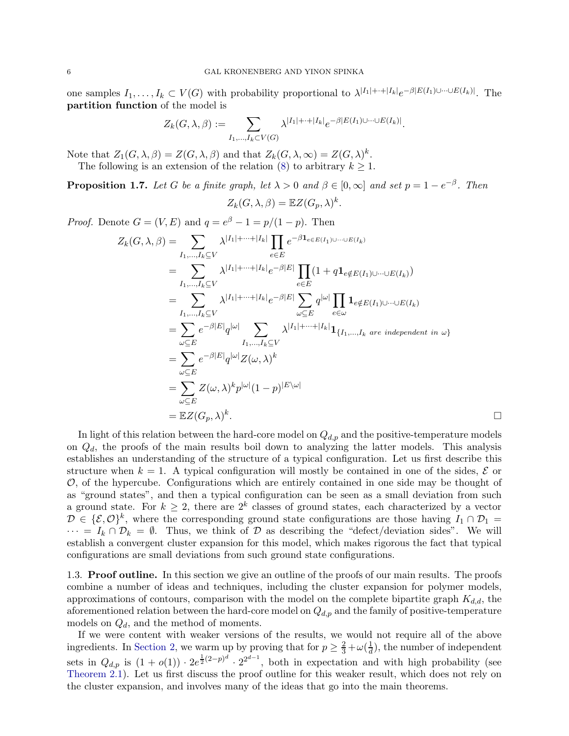one samples  $I_1, \ldots, I_k \subset V(G)$  with probability proportional to  $\lambda^{|I_1|+\cdots+|I_k|} e^{-\beta |E(I_1) \cup \cdots \cup E(I_k)|}$ . The partition function of the model is

$$
Z_k(G,\lambda,\beta) := \sum_{I_1,\ldots,I_k \subset V(G)} \lambda^{|I_1|+\cdots+|I_k|} e^{-\beta |E(I_1) \cup \cdots \cup E(I_k)|}.
$$

Note that  $Z_1(G, \lambda, \beta) = Z(G, \lambda, \beta)$  and that  $Z_k(G, \lambda, \infty) = Z(G, \lambda)^k$ .

<span id="page-5-0"></span>The following is an extension of the relation [\(8\)](#page-4-1) to arbitrary  $k \geq 1$ .

**Proposition 1.7.** Let G be a finite graph, let  $\lambda > 0$  and  $\beta \in [0, \infty]$  and set  $p = 1 - e^{-\beta}$ . Then

$$
Z_k(G, \lambda, \beta) = \mathbb{E}Z(G_p, \lambda)^k.
$$

*Proof.* Denote  $G = (V, E)$  and  $q = e^{\beta} - 1 = p/(1 - p)$ . Then

$$
Z_{k}(G,\lambda,\beta) = \sum_{I_{1},...,I_{k}\subseteq V} \lambda^{|I_{1}|+...+|I_{k}|} \prod_{e\in E} e^{-\beta \mathbf{1}_{e\in E(I_{1})\cup...\cup E(I_{k})}}
$$
  
\n
$$
= \sum_{I_{1},...,I_{k}\subseteq V} \lambda^{|I_{1}|+...+|I_{k}|} e^{-\beta|E|} \prod_{e\in E} (1 + q \mathbf{1}_{e\notin E(I_{1})\cup...\cup E(I_{k})})
$$
  
\n
$$
= \sum_{I_{1},...,I_{k}\subseteq V} \lambda^{|I_{1}|+...+|I_{k}|} e^{-\beta|E|} \sum_{\omega\subseteq E} q^{|\omega|} \prod_{e\in \omega} \mathbf{1}_{e\notin E(I_{1})\cup...\cup E(I_{k})}
$$
  
\n
$$
= \sum_{\omega\subseteq E} e^{-\beta|E|} q^{|\omega|} \sum_{I_{1},...,I_{k}\subseteq V} \lambda^{|I_{1}|+...+|I_{k}|} \mathbf{1}_{\{I_{1},...,I_{k}\text{ are independent in }\omega\}}
$$
  
\n
$$
= \sum_{\omega\subseteq E} e^{-\beta|E|} q^{|\omega|} Z(\omega,\lambda)^{k}
$$
  
\n
$$
= \sum_{\omega\subseteq E} Z(\omega,\lambda)^{k} p^{|\omega|} (1-p)^{|E\setminus\omega|}
$$
  
\n
$$
= \mathbb{E} Z(G_{p},\lambda)^{k}.
$$

In light of this relation between the hard-core model on  $Q_{d,p}$  and the positive-temperature models on  $Q_d$ , the proofs of the main results boil down to analyzing the latter models. This analysis establishes an understanding of the structure of a typical configuration. Let us first describe this structure when  $k = 1$ . A typical configuration will mostly be contained in one of the sides,  $\mathcal E$  or  $\mathcal{O}$ , of the hypercube. Configurations which are entirely contained in one side may be thought of as "ground states", and then a typical configuration can be seen as a small deviation from such a ground state. For  $k \geq 2$ , there are  $2^k$  classes of ground states, each characterized by a vector  $\mathcal{D} \in \{\mathcal{E}, \mathcal{O}\}^k$ , where the corresponding ground state configurations are those having  $I_1 \cap \mathcal{D}_1 =$  $\cdots = I_k \cap \mathcal{D}_k = \emptyset$ . Thus, we think of  $\mathcal D$  as describing the "defect/deviation sides". We will establish a convergent cluster expansion for this model, which makes rigorous the fact that typical configurations are small deviations from such ground state configurations.

1.3. Proof outline. In this section we give an outline of the proofs of our main results. The proofs combine a number of ideas and techniques, including the cluster expansion for polymer models, approximations of contours, comparison with the model on the complete bipartite graph  $K_{d,d}$ , the aforementioned relation between the hard-core model on  $Q_{d,p}$  and the family of positive-temperature models on  $Q_d$ , and the method of moments.

If we were content with weaker versions of the results, we would not require all of the above ingredients. In [Section 2,](#page-9-0) we warm up by proving that for  $p \geq \frac{2}{3} + \omega(\frac{1}{d})$  $\frac{1}{d}$ , the number of independent sets in  $Q_{d,p}$  is  $(1+o(1)) \cdot 2e^{\frac{1}{2}(2-p)^d} \cdot 2^{2^{d-1}}$ , both in expectation and with high probability (see [Theorem 2.1\)](#page-9-1). Let us first discuss the proof outline for this weaker result, which does not rely on the cluster expansion, and involves many of the ideas that go into the main theorems.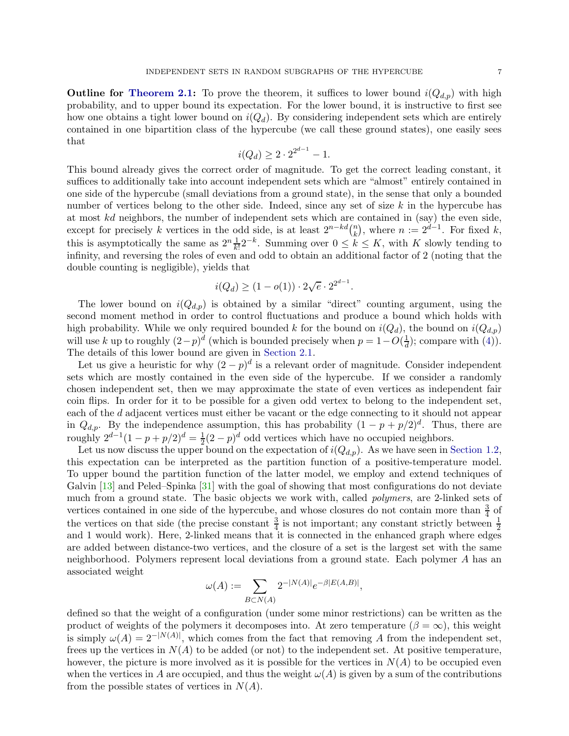**Outline for [Theorem 2.1:](#page-9-1)** To prove the theorem, it suffices to lower bound  $i(Q_{d,p})$  with high probability, and to upper bound its expectation. For the lower bound, it is instructive to first see how one obtains a tight lower bound on  $i(Q_d)$ . By considering independent sets which are entirely contained in one bipartition class of the hypercube (we call these ground states), one easily sees that

$$
i(Q_d) \ge 2 \cdot 2^{2^{d-1}} - 1.
$$

This bound already gives the correct order of magnitude. To get the correct leading constant, it suffices to additionally take into account independent sets which are "almost" entirely contained in one side of the hypercube (small deviations from a ground state), in the sense that only a bounded number of vertices belong to the other side. Indeed, since any set of size  $k$  in the hypercube has at most kd neighbors, the number of independent sets which are contained in (say) the even side, except for precisely k vertices in the odd side, is at least  $2^{n-kd} \binom{n}{k}$  $\binom{n}{k}$ , where  $n := 2^{d-1}$ . For fixed  $k$ , this is asymptotically the same as  $2^n \frac{1}{k!} 2^{-k}$ . Summing over  $0 \le k \le K$ , with K slowly tending to infinity, and reversing the roles of even and odd to obtain an additional factor of 2 (noting that the double counting is negligible), yields that

$$
i(Q_d) \ge (1 - o(1)) \cdot 2\sqrt{e} \cdot 2^{2^{d-1}}.
$$

The lower bound on  $i(Q_{d,p})$  is obtained by a similar "direct" counting argument, using the second moment method in order to control fluctuations and produce a bound which holds with high probability. While we only required bounded k for the bound on  $i(Q_d)$ , the bound on  $i(Q_{d,p})$ will use k up to roughly  $(2-p)^d$  (which is bounded precisely when  $p = 1 - O(\frac{1}{d})$  $\frac{1}{d}$ ; compare with [\(4\)](#page-1-2). The details of this lower bound are given in [Section 2.1.](#page-10-0)

Let us give a heuristic for why  $(2-p)^d$  is a relevant order of magnitude. Consider independent sets which are mostly contained in the even side of the hypercube. If we consider a randomly chosen independent set, then we may approximate the state of even vertices as independent fair coin flips. In order for it to be possible for a given odd vertex to belong to the independent set, each of the d adjacent vertices must either be vacant or the edge connecting to it should not appear in  $Q_{d,p}$ . By the independence assumption, this has probability  $(1 - p + p/2)^d$ . Thus, there are roughly  $2^{d-1}(1-p+p/2)^d = \frac{1}{2}(2-p)^d$  odd vertices which have no occupied neighbors.

Let us now discuss the upper bound on the expectation of  $i(Q_{d,p})$ . As we have seen in [Section 1.2,](#page-4-2) this expectation can be interpreted as the partition function of a positive-temperature model. To upper bound the partition function of the latter model, we employ and extend techniques of Galvin [\[13\]](#page-43-13) and Peled–Spinka [\[31\]](#page-43-14) with the goal of showing that most configurations do not deviate much from a ground state. The basic objects we work with, called *polymers*, are 2-linked sets of vertices contained in one side of the hypercube, and whose closures do not contain more than  $\frac{3}{4}$  of the vertices on that side (the precise constant  $\frac{3}{4}$  is not important; any constant strictly between  $\frac{1}{2}$ and 1 would work). Here, 2-linked means that it is connected in the enhanced graph where edges are added between distance-two vertices, and the closure of a set is the largest set with the same neighborhood. Polymers represent local deviations from a ground state. Each polymer A has an associated weight

$$
\omega(A) := \sum_{B \subset N(A)} 2^{-|N(A)|} e^{-\beta |E(A,B)|},
$$

defined so that the weight of a configuration (under some minor restrictions) can be written as the product of weights of the polymers it decomposes into. At zero temperature ( $\beta = \infty$ ), this weight is simply  $\omega(A) = 2^{-|N(A)|}$ , which comes from the fact that removing A from the independent set, frees up the vertices in  $N(A)$  to be added (or not) to the independent set. At positive temperature, however, the picture is more involved as it is possible for the vertices in  $N(A)$  to be occupied even when the vertices in A are occupied, and thus the weight  $\omega(A)$  is given by a sum of the contributions from the possible states of vertices in  $N(A)$ .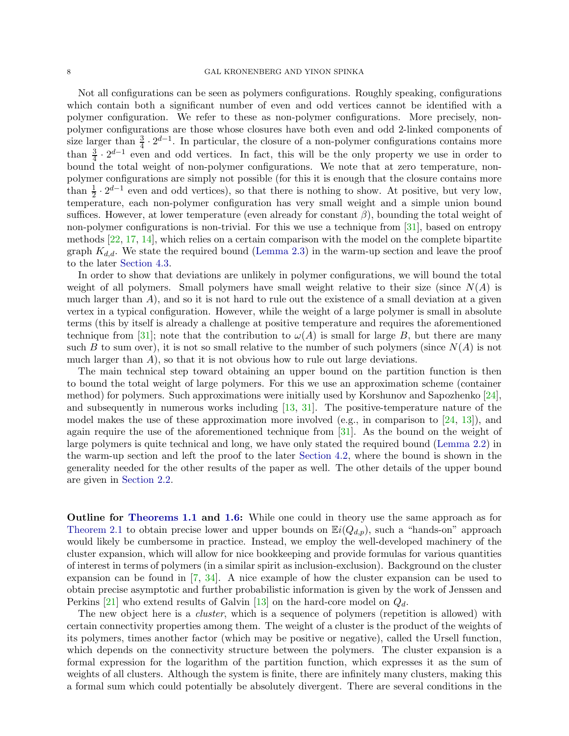# 8 GAL KRONENBERG AND YINON SPINKA

Not all configurations can be seen as polymers configurations. Roughly speaking, configurations which contain both a significant number of even and odd vertices cannot be identified with a polymer configuration. We refer to these as non-polymer configurations. More precisely, nonpolymer configurations are those whose closures have both even and odd 2-linked components of size larger than  $\frac{3}{4} \cdot 2^{d-1}$ . In particular, the closure of a non-polymer configurations contains more than  $\frac{3}{4} \cdot 2^{d-1}$  even and odd vertices. In fact, this will be the only property we use in order to bound the total weight of non-polymer configurations. We note that at zero temperature, nonpolymer configurations are simply not possible (for this it is enough that the closure contains more than  $\frac{1}{2} \cdot 2^{d-1}$  even and odd vertices), so that there is nothing to show. At positive, but very low, temperature, each non-polymer configuration has very small weight and a simple union bound suffices. However, at lower temperature (even already for constant  $\beta$ ), bounding the total weight of non-polymer configurations is non-trivial. For this we use a technique from [\[31\]](#page-43-14), based on entropy methods [\[22,](#page-43-15) [17,](#page-43-16) [14\]](#page-43-17), which relies on a certain comparison with the model on the complete bipartite graph  $K_{d,d}$ . We state the required bound [\(Lemma 2.3\)](#page-12-0) in the warm-up section and leave the proof to the later [Section 4.3.](#page-29-0)

In order to show that deviations are unlikely in polymer configurations, we will bound the total weight of all polymers. Small polymers have small weight relative to their size (since  $N(A)$  is much larger than  $A$ ), and so it is not hard to rule out the existence of a small deviation at a given vertex in a typical configuration. However, while the weight of a large polymer is small in absolute terms (this by itself is already a challenge at positive temperature and requires the aforementioned technique from [\[31\]](#page-43-14); note that the contribution to  $\omega(A)$  is small for large B, but there are many such B to sum over), it is not so small relative to the number of such polymers (since  $N(A)$  is not much larger than  $A$ ), so that it is not obvious how to rule out large deviations.

The main technical step toward obtaining an upper bound on the partition function is then to bound the total weight of large polymers. For this we use an approximation scheme (container method) for polymers. Such approximations were initially used by Korshunov and Sapozhenko [\[24\]](#page-43-1), and subsequently in numerous works including [\[13,](#page-43-13) [31\]](#page-43-14). The positive-temperature nature of the model makes the use of these approximation more involved (e.g., in comparison to  $[24, 13]$  $[24, 13]$ ), and again require the use of the aforementioned technique from [\[31\]](#page-43-14). As the bound on the weight of large polymers is quite technical and long, we have only stated the required bound [\(Lemma 2.2\)](#page-12-1) in the warm-up section and left the proof to the later [Section 4.2,](#page-22-0) where the bound is shown in the generality needed for the other results of the paper as well. The other details of the upper bound are given in [Section 2.2.](#page-11-0)

Outline for [Theorems 1.1](#page-0-1) and [1.6:](#page-4-0) While one could in theory use the same approach as for [Theorem 2.1](#page-9-1) to obtain precise lower and upper bounds on  $\mathbb{E}i(Q_{d,p})$ , such a "hands-on" approach would likely be cumbersome in practice. Instead, we employ the well-developed machinery of the cluster expansion, which will allow for nice bookkeeping and provide formulas for various quantities of interest in terms of polymers (in a similar spirit as inclusion-exclusion). Background on the cluster expansion can be found in [\[7,](#page-42-9) [34\]](#page-43-18). A nice example of how the cluster expansion can be used to obtain precise asymptotic and further probabilistic information is given by the work of Jenssen and Perkins [\[21\]](#page-43-4) who extend results of Galvin [\[13\]](#page-43-13) on the hard-core model on  $Q_d$ .

The new object here is a *cluster*, which is a sequence of polymers (repetition is allowed) with certain connectivity properties among them. The weight of a cluster is the product of the weights of its polymers, times another factor (which may be positive or negative), called the Ursell function, which depends on the connectivity structure between the polymers. The cluster expansion is a formal expression for the logarithm of the partition function, which expresses it as the sum of weights of all clusters. Although the system is finite, there are infinitely many clusters, making this a formal sum which could potentially be absolutely divergent. There are several conditions in the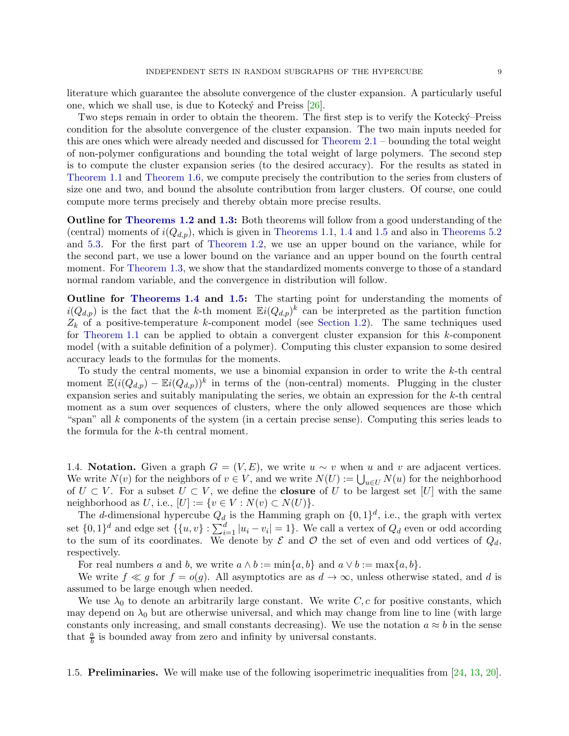literature which guarantee the absolute convergence of the cluster expansion. A particularly useful one, which we shall use, is due to Kotecky and Preiss  $[26]$ .

Two steps remain in order to obtain the theorem. The first step is to verify the Kotecky-Preiss condition for the absolute convergence of the cluster expansion. The two main inputs needed for this are ones which were already needed and discussed for [Theorem 2.1](#page-9-1) – bounding the total weight of non-polymer configurations and bounding the total weight of large polymers. The second step is to compute the cluster expansion series (to the desired accuracy). For the results as stated in [Theorem 1.1](#page-0-1) and [Theorem 1.6,](#page-4-0) we compute precisely the contribution to the series from clusters of size one and two, and bound the absolute contribution from larger clusters. Of course, one could compute more terms precisely and thereby obtain more precise results.

Outline for [Theorems 1.2](#page-1-1) and [1.3:](#page-2-2) Both theorems will follow from a good understanding of the (central) moments of  $i(Q_{d,p})$ , which is given in [Theorems 1.1,](#page-0-1) [1.4](#page-2-0) and [1.5](#page-2-1) and also in [Theorems 5.2](#page-32-2) and [5.3.](#page-32-0) For the first part of [Theorem 1.2,](#page-1-1) we use an upper bound on the variance, while for the second part, we use a lower bound on the variance and an upper bound on the fourth central moment. For [Theorem 1.3,](#page-2-2) we show that the standardized moments converge to those of a standard normal random variable, and the convergence in distribution will follow.

Outline for [Theorems 1.4](#page-2-0) and [1.5:](#page-2-1) The starting point for understanding the moments of  $i(Q_{d,p})$  is the fact that the k-th moment  $\mathbb{E}i(Q_{d,p})^k$  can be interpreted as the partition function  $Z_k$  of a positive-temperature k-component model (see [Section 1.2\)](#page-4-2). The same techniques used for [Theorem 1.1](#page-0-1) can be applied to obtain a convergent cluster expansion for this  $k$ -component model (with a suitable definition of a polymer). Computing this cluster expansion to some desired accuracy leads to the formulas for the moments.

To study the central moments, we use a binomial expansion in order to write the  $k$ -th central moment  $\mathbb{E}(i(Q_{d,p}) - \mathbb{E}i(Q_{d,p}))^k$  in terms of the (non-central) moments. Plugging in the cluster expansion series and suitably manipulating the series, we obtain an expression for the k-th central moment as a sum over sequences of clusters, where the only allowed sequences are those which "span" all  $k$  components of the system (in a certain precise sense). Computing this series leads to the formula for the k-th central moment.

<span id="page-8-0"></span>1.4. Notation. Given a graph  $G = (V, E)$ , we write  $u \sim v$  when u and v are adjacent vertices. We write  $N(v)$  for the neighbors of  $v \in V$ , and we write  $N(U) := \bigcup_{u \in U} N(u)$  for the neighborhood of  $U \subset V$ . For a subset  $U \subset V$ , we define the **closure** of U to be largest set [U] with the same neighborhood as U, i.e.,  $[U] := \{v \in V : N(v) \subset N(U)\}.$ 

The d-dimensional hypercube  $Q_d$  is the Hamming graph on  $\{0,1\}^d$ , i.e., the graph with vertex set  $\{0,1\}^d$  and edge set  $\{\{u,v\} : \sum_{i=1}^d |u_i - v_i| = 1\}$ . We call a vertex of  $Q_d$  even or odd according to the sum of its coordinates. We denote by  $\mathcal E$  and  $\mathcal O$  the set of even and odd vertices of  $Q_d$ , respectively.

For real numbers a and b, we write  $a \wedge b := \min\{a, b\}$  and  $a \vee b := \max\{a, b\}.$ 

We write  $f \ll g$  for  $f = o(g)$ . All asymptotics are as  $d \to \infty$ , unless otherwise stated, and d is assumed to be large enough when needed.

We use  $\lambda_0$  to denote an arbitrarily large constant. We write C, c for positive constants, which may depend on  $\lambda_0$  but are otherwise universal, and which may change from line to line (with large constants only increasing, and small constants decreasing). We use the notation  $a \approx b$  in the sense that  $\frac{a}{b}$  is bounded away from zero and infinity by universal constants.

<span id="page-8-1"></span>1.5. Preliminaries. We will make use of the following isoperimetric inequalities from [\[24,](#page-43-1) [13,](#page-43-13) [20\]](#page-43-20).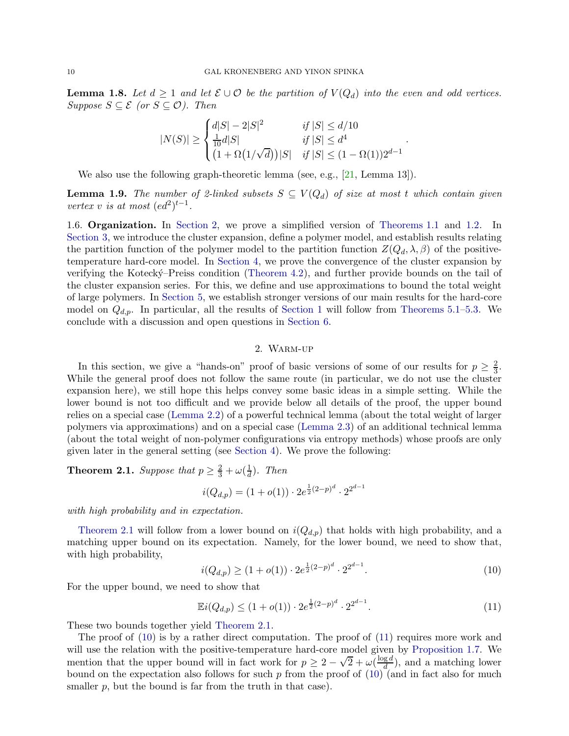**Lemma 1.8.** Let  $d \geq 1$  and let  $\mathcal{E} \cup \mathcal{O}$  be the partition of  $V(Q_d)$  into the even and odd vertices.  $Suppose S \subseteq \mathcal{E}$  (or  $S \subseteq \mathcal{O}$ ). Then

$$
|N(S)| \ge \begin{cases} d|S| - 2|S|^2 & \text{if } |S| \le d/10\\ \frac{1}{10}d|S| & \text{if } |S| \le d^4\\ (1 + \Omega(1/\sqrt{d}))|S| & \text{if } |S| \le (1 - \Omega(1))2^{d-1} \end{cases}
$$

.

<span id="page-9-4"></span>We also use the following graph-theoretic lemma (see, e.g., [\[21,](#page-43-4) Lemma 13]).

**Lemma 1.9.** The number of 2-linked subsets  $S \subseteq V(Q_d)$  of size at most t which contain given *vertex v is at most*  $(ed^2)^{t-1}$ *.* 

1.6. Organization. In [Section 2,](#page-9-0) we prove a simplified version of [Theorems 1.1](#page-0-1) and [1.2.](#page-1-1) In [Section 3,](#page-12-2) we introduce the cluster expansion, define a polymer model, and establish results relating the partition function of the polymer model to the partition function  $Z(Q_d, \lambda, \beta)$  of the positivetemperature hard-core model. In [Section 4,](#page-19-0) we prove the convergence of the cluster expansion by verifying the Koteck´y–Preiss condition [\(Theorem 4.2\)](#page-19-1), and further provide bounds on the tail of the cluster expansion series. For this, we define and use approximations to bound the total weight of large polymers. In [Section 5,](#page-32-1) we establish stronger versions of our main results for the hard-core model on  $Q_{d,p}$ . In particular, all the results of [Section 1](#page-0-3) will follow from [Theorems 5.1](#page-32-3)[–5.3.](#page-32-0) We conclude with a discussion and open questions in [Section 6.](#page-40-0)

# 2. Warm-up

<span id="page-9-0"></span>In this section, we give a "hands-on" proof of basic versions of some of our results for  $p \geq \frac{2}{3}$  $\frac{2}{3}$ . While the general proof does not follow the same route (in particular, we do not use the cluster expansion here), we still hope this helps convey some basic ideas in a simple setting. While the lower bound is not too difficult and we provide below all details of the proof, the upper bound relies on a special case [\(Lemma 2.2\)](#page-12-1) of a powerful technical lemma (about the total weight of larger polymers via approximations) and on a special case [\(Lemma 2.3\)](#page-12-0) of an additional technical lemma (about the total weight of non-polymer configurations via entropy methods) whose proofs are only given later in the general setting (see [Section 4\)](#page-19-0). We prove the following:

<span id="page-9-1"></span>**Theorem 2.1.** *Suppose that*  $p \geq \frac{2}{3} + \omega(\frac{1}{d})$  $\frac{1}{d}$ ). Then

$$
i(Q_{d,p}) = (1 + o(1)) \cdot 2e^{\frac{1}{2}(2-p)^d} \cdot 2^{2^{d-1}}
$$

*with high probability and in expectation.*

[Theorem 2.1](#page-9-1) will follow from a lower bound on  $i(Q_{d,p})$  that holds with high probability, and a matching upper bound on its expectation. Namely, for the lower bound, we need to show that, with high probability,

<span id="page-9-2"></span>
$$
i(Q_{d,p}) \ge (1 + o(1)) \cdot 2e^{\frac{1}{2}(2-p)^d} \cdot 2^{2^{d-1}}.
$$
\n(10)

For the upper bound, we need to show that

<span id="page-9-3"></span>
$$
\mathbb{E}i(Q_{d,p}) \le (1 + o(1)) \cdot 2e^{\frac{1}{2}(2-p)^d} \cdot 2^{2^{d-1}}.
$$
\n(11)

These two bounds together yield [Theorem 2.1.](#page-9-1)

The proof of [\(10\)](#page-9-2) is by a rather direct computation. The proof of [\(11\)](#page-9-3) requires more work and will use the relation with the positive-temperature hard-core model given by [Proposition 1.7.](#page-5-0) We mention that the upper bound will in fact work for  $p \geq 2 - \sqrt{2} + \omega(\frac{\log d}{d})$  $\frac{ga}{d}$ ), and a matching lower bound on the expectation also follows for such p from the proof of  $(10)$  (and in fact also for much smaller  $p$ , but the bound is far from the truth in that case).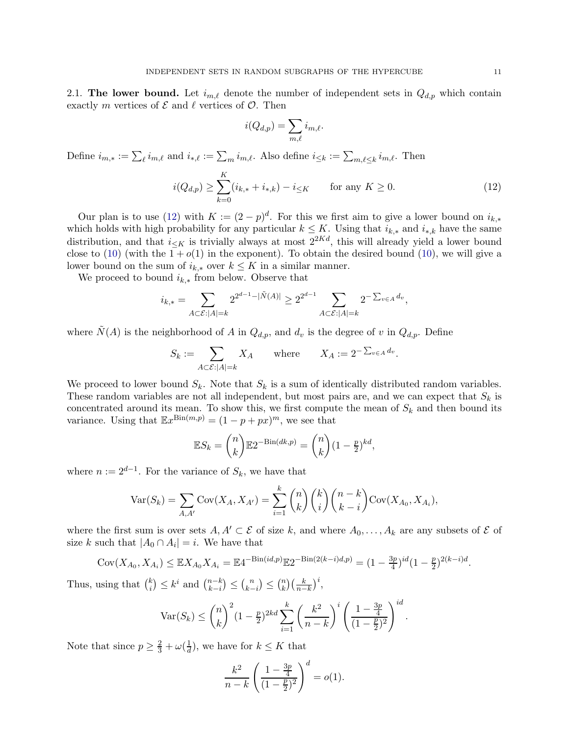<span id="page-10-0"></span>2.1. The lower bound. Let  $i_{m,\ell}$  denote the number of independent sets in  $Q_{d,p}$  which contain exactly m vertices of  $\mathcal E$  and  $\ell$  vertices of  $\mathcal O$ . Then

$$
i(Q_{d,p}) = \sum_{m,\ell} i_{m,\ell}.
$$

Define  $i_{m,*} := \sum_{\ell} i_{m,\ell}$  and  $i_{*,\ell} := \sum_m i_{m,\ell}$ . Also define  $i_{\leq k} := \sum_{m,\ell \leq k} i_{m,\ell}$ . Then

<span id="page-10-1"></span>
$$
i(Q_{d,p}) \ge \sum_{k=0}^{K} (i_{k,*} + i_{*,k}) - i_{\le K} \qquad \text{for any } K \ge 0.
$$
 (12)

Our plan is to use [\(12\)](#page-10-1) with  $K := (2 - p)^d$ . For this we first aim to give a lower bound on  $i_{k,*}$ which holds with high probability for any particular  $k \leq K$ . Using that  $i_{k,*}$  and  $i_{*,k}$  have the same distribution, and that  $i\lt K$  is trivially always at most  $2^{2Kd}$ , this will already yield a lower bound close to [\(10\)](#page-9-2) (with the  $1 + o(1)$  in the exponent). To obtain the desired bound (10), we will give a lower bound on the sum of  $i_{k,*}$  over  $k \leq K$  in a similar manner.

We proceed to bound  $i_{k,*}$  from below. Observe that

$$
i_{k,*} = \sum_{A \subset \mathcal{E}: |A|=k} 2^{2^{d-1} - |\tilde{N}(A)|} \ge 2^{2^{d-1}} \sum_{A \subset \mathcal{E}: |A|=k} 2^{-\sum_{v \in A} d_v},
$$

where  $\tilde{N}(A)$  is the neighborhood of A in  $Q_{d,p}$ , and  $d_v$  is the degree of v in  $Q_{d,p}$ . Define

$$
S_k := \sum_{A \subset \mathcal{E} : |A| = k} X_A \quad \text{where} \quad X_A := 2^{-\sum_{v \in A} d_v}.
$$

We proceed to lower bound  $S_k$ . Note that  $S_k$  is a sum of identically distributed random variables. These random variables are not all independent, but most pairs are, and we can expect that  $S_k$  is concentrated around its mean. To show this, we first compute the mean of  $S_k$  and then bound its variance. Using that  $\mathbb{E}x^{\text{Bin}(m,p)} = (1 - p + px)^m$ , we see that

$$
\mathbb{E}S_k = \binom{n}{k} \mathbb{E}2^{-\text{Bin}(dk, p)} = \binom{n}{k} (1 - \frac{p}{2})^{kd},
$$

where  $n := 2^{d-1}$ . For the variance of  $S_k$ , we have that

$$
Var(S_k) = \sum_{A, A'} Cov(X_A, X_{A'}) = \sum_{i=1}^k {n \choose k} {k \choose i} {n-k \choose k-i} Cov(X_{A_0}, X_{A_i}),
$$

where the first sum is over sets  $A, A' \subset \mathcal{E}$  of size k, and where  $A_0, \ldots, A_k$  are any subsets of  $\mathcal{E}$  of size k such that  $|A_0 \cap A_i| = i$ . We have that

$$
Cov(X_{A_0}, X_{A_i}) \leq \mathbb{E}X_{A_0} X_{A_i} = \mathbb{E}4^{-\text{Bin}(id, p)} \mathbb{E}2^{-\text{Bin}(2(k-i)d, p)} = (1 - \frac{3p}{4})^{id} (1 - \frac{p}{2})^{2(k-i)d}.
$$

Thus, using that  $\binom{k}{i}$  $\binom{k}{i} \leq k^i$  and  $\binom{n-k}{k-i}$  $_{k-i}^{n-k}$ )  $\leq {n \choose k}$  $\binom{n}{k-i} \leq \binom{n}{k}$  $\binom{n}{k}\left(\frac{k}{n-k}\right)^i,$ 

$$
\text{Var}(S_k) \le \binom{n}{k}^2 (1 - \frac{p}{2})^{2kd} \sum_{i=1}^k \left(\frac{k^2}{n-k}\right)^i \left(\frac{1 - \frac{3p}{4}}{(1 - \frac{p}{2})^2}\right)^{id}.
$$

Note that since  $p \geq \frac{2}{3} + \omega(\frac{1}{d})$  $\frac{1}{d}$ ), we have for  $k \leq K$  that

$$
\frac{k^2}{n-k} \left( \frac{1 - \frac{3p}{4}}{(1 - \frac{p}{2})^2} \right)^d = o(1).
$$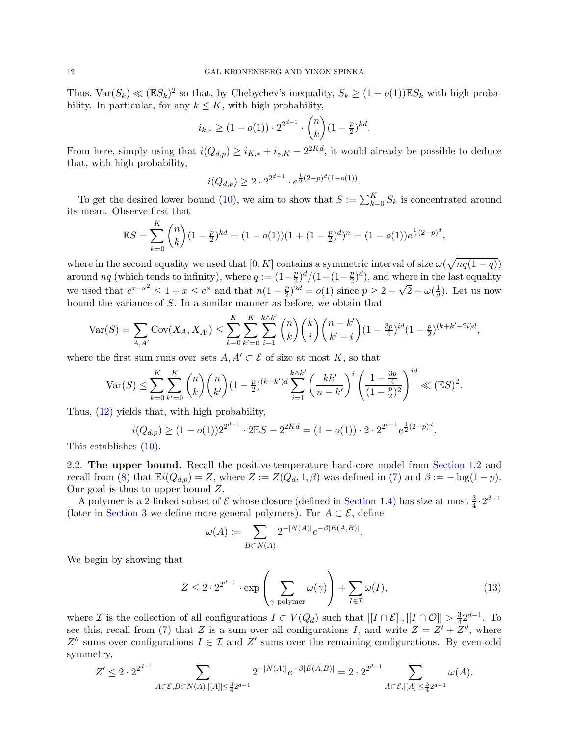Thus,  $\text{Var}(S_k) \ll (\mathbb{E}S_k)^2$  so that, by Chebychev's inequality,  $S_k \geq (1 - o(1)) \mathbb{E}S_k$  with high probability. In particular, for any  $k \leq K$ , with high probability,

$$
i_{k,*} \ge (1 - o(1)) \cdot 2^{2^{d-1}} \cdot \binom{n}{k} (1 - \frac{p}{2})^{kd}.
$$

From here, simply using that  $i(Q_{d,p}) \geq i_{K,*} + i_{*,K} - 2^{2Kd}$ , it would already be possible to deduce that, with high probability,

$$
i(Q_{d,p}) \ge 2 \cdot 2^{2^{d-1}} \cdot e^{\frac{1}{2}(2-p)^d(1-o(1))}.
$$

To get the desired lower bound [\(10\)](#page-9-2), we aim to show that  $S := \sum_{k=0}^{K} S_k$  is concentrated around its mean. Observe first that

$$
\mathbb{E}S = \sum_{k=0}^{K} {n \choose k} (1 - \frac{p}{2})^{kd} = (1 - o(1))(1 + (1 - \frac{p}{2})^d)^n = (1 - o(1))e^{\frac{1}{2}(2 - p)^d},
$$

where in the second equality we used that  $[0, K]$  contains a symmetric interval of size  $\omega(\sqrt{nq(1-q)})$ around nq (which tends to infinity), where  $q := (1 - \frac{p}{2})$  $\frac{p}{2})^d/(1+(1-\frac{p}{2})$  $(\frac{p}{2})^d$ , and where in the last equality we used that  $e^{x-x^2} \leq 1+x \leq e^x$  and that  $n(1-\frac{p}{2})$  $(\frac{p}{2})^{2d} = o(1)$  since  $p \ge 2 - \sqrt{2} + \omega(\frac{1}{d})$  $\frac{1}{d}$ ). Let us now bound the variance of S. In a similar manner as before, we obtain that

$$
\text{Var}(S) = \sum_{A, A'} \text{Cov}(X_A, X_{A'}) \le \sum_{k=0}^K \sum_{k'=0}^K \sum_{i=1}^{k \wedge k'} \binom{n}{k} \binom{k}{i} \binom{n-k'}{k'-i} (1 - \frac{3p}{4})^{id} (1 - \frac{p}{2})^{(k+k'-2i)d},
$$

where the first sum runs over sets  $A, A' \subset \mathcal{E}$  of size at most K, so that

$$
\text{Var}(S) \le \sum_{k=0}^{K} \sum_{k'=0}^{K} \binom{n}{k} \binom{n}{k} (1 - \frac{p}{2})^{(k+k')} d \sum_{i=1}^{k \wedge k'} \left(\frac{kk'}{n-k'}\right)^i \left(\frac{1 - \frac{3p}{4}}{(1 - \frac{p}{2})^2}\right)^{id} \ll (\mathbb{E}S)^2.
$$

Thus, [\(12\)](#page-10-1) yields that, with high probability,

$$
i(Q_{d,p}) \ge (1 - o(1))2^{2^{d-1}} \cdot 2\mathbb{E}S - 2^{2Kd} = (1 - o(1)) \cdot 2 \cdot 2^{2^{d-1}} e^{\frac{1}{2}(2-p)^d}.
$$

<span id="page-11-0"></span>This establishes [\(10\)](#page-9-2).

2.2. The upper bound. Recall the positive-temperature hard-core model from [Section 1.2](#page-4-2) and recall from [\(8\)](#page-4-1) that  $\mathbb{E}i(Q_{d,p}) = Z$ , where  $Z := Z(Q_d, 1, \beta)$  was defined in [\(7\)](#page-4-3) and  $\beta := -\log(1-p)$ . Our goal is thus to upper bound Z.

A polymer is a 2-linked subset of  $\mathcal E$  whose closure (defined in [Section 1.4\)](#page-8-0) has size at most  $\frac{3}{4} \cdot 2^{d-1}$ (later in [Section 3](#page-12-2) we define more general polymers). For  $A \subset \mathcal{E}$ , define

$$
\omega(A) := \sum_{B \subset N(A)} 2^{-|N(A)|} e^{-\beta |E(A,B)|}.
$$

We begin by showing that

<span id="page-11-1"></span>
$$
Z \le 2 \cdot 2^{2^{d-1}} \cdot \exp\left(\sum_{\gamma \text{ polymer}} \omega(\gamma)\right) + \sum_{I \in \mathcal{I}} \omega(I),\tag{13}
$$

where *I* is the collection of all configurations  $I \subset V(Q_d)$  such that  $|[I \cap \mathcal{E}]|, |[I \cap \mathcal{O}]| > \frac{3}{4}$  $rac{3}{4}2^{d-1}$ . To see this, recall from [\(7\)](#page-4-3) that Z is a sum over all configurations I, and write  $Z = Z' + Z''$ , where  $Z''$  sums over configurations  $I \in \mathcal{I}$  and  $Z'$  sums over the remaining configurations. By even-odd symmetry,

$$
Z' \leq 2 \cdot 2^{2^{d-1}} \sum_{A \subset \mathcal{E}, B \subset N(A), |[A]| \leq \frac{3}{4} 2^{d-1}} 2^{-|N(A)|} e^{-\beta |E(A,B)|} = 2 \cdot 2^{2^{d-1}} \sum_{A \subset \mathcal{E}, |[A]| \leq \frac{3}{4} 2^{d-1}} \omega(A).
$$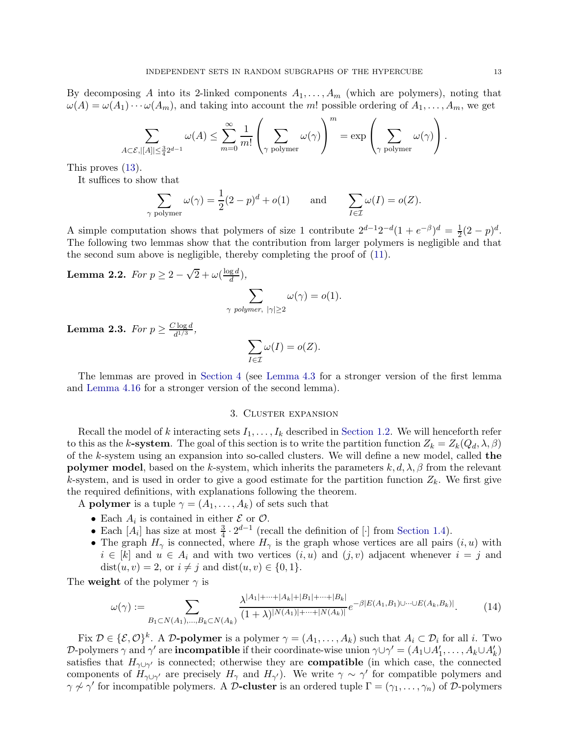By decomposing A into its 2-linked components  $A_1, \ldots, A_m$  (which are polymers), noting that  $\omega(A) = \omega(A_1) \cdots \omega(A_m)$ , and taking into account the m! possible ordering of  $A_1, \ldots, A_m$ , we get

$$
\sum_{A\subset\mathcal{E}, |[A]| \leq \frac{3}{4}2^{d-1}} \omega(A) \leq \sum_{m=0}^{\infty} \frac{1}{m!} \left(\sum_{\gamma \text{ polymer}} \omega(\gamma)\right)^m = \exp\left(\sum_{\gamma \text{ polymer}} \omega(\gamma)\right).
$$

This proves [\(13\)](#page-11-1).

It suffices to show that

$$
\sum_{\gamma \text{ polymer}} \omega(\gamma) = \frac{1}{2} (2 - p)^d + o(1) \quad \text{and} \quad \sum_{I \in \mathcal{I}} \omega(I) = o(Z).
$$

A simple computation shows that polymers of size 1 contribute  $2^{d-1}2^{-d}(1+e^{-\beta})^d = \frac{1}{2}$  $\frac{1}{2}(2-p)^d$ . The following two lemmas show that the contribution from larger polymers is negligible and that the second sum above is negligible, thereby completing the proof of [\(11\)](#page-9-3).

<span id="page-12-1"></span>**Lemma 2.2.** For 
$$
p \ge 2 - \sqrt{2} + \omega(\frac{\log d}{d}),
$$
  

$$
\sum_{\gamma \text{ polymer, } |\gamma| \ge 2} \omega(\gamma) = o(1).
$$

<span id="page-12-0"></span>**Lemma 2.3.** *For*  $p \geq \frac{C \log d}{d^{1/3}}$  $\frac{1}{d^{1/3}}$ ,

$$
\sum_{I \in \mathcal{I}} \omega(I) = o(Z).
$$

<span id="page-12-2"></span>The lemmas are proved in [Section 4](#page-19-0) (see [Lemma 4.3](#page-20-0) for a stronger version of the first lemma and [Lemma 4.16](#page-29-1) for a stronger version of the second lemma).

### 3. Cluster expansion

Recall the model of k interacting sets  $I_1, \ldots, I_k$  described in [Section 1.2.](#page-4-2) We will henceforth refer to this as the k-system. The goal of this section is to write the partition function  $Z_k = Z_k(Q_d, \lambda, \beta)$ of the k-system using an expansion into so-called clusters. We will define a new model, called the **polymer model**, based on the k-system, which inherits the parameters  $k, d, \lambda, \beta$  from the relevant k-system, and is used in order to give a good estimate for the partition function  $Z_k$ . We first give the required definitions, with explanations following the theorem.

A **polymer** is a tuple  $\gamma = (A_1, \ldots, A_k)$  of sets such that

- Each  $A_i$  is contained in either  $\mathcal{E}$  or  $\mathcal{O}$ .
- Each  $[A_i]$  has size at most  $\frac{3}{4} \cdot 2^{d-1}$  (recall the definition of [·] from [Section 1.4\)](#page-8-0).
- The graph  $H_{\gamma}$  is connected, where  $H_{\gamma}$  is the graph whose vertices are all pairs  $(i, u)$  with  $i \in [k]$  and  $u \in A_i$  and with two vertices  $(i, u)$  and  $(j, v)$  adjacent whenever  $i = j$  and dist $(u, v) = 2$ , or  $i \neq j$  and dist $(u, v) \in \{0, 1\}.$

The weight of the polymer  $\gamma$  is

<span id="page-12-3"></span>
$$
\omega(\gamma) := \sum_{B_1 \subset N(A_1), \dots, B_k \subset N(A_k)} \frac{\lambda^{|A_1| + \dots + |A_k| + |B_1| + \dots + |B_k|}}{(1 + \lambda)^{|N(A_1)| + \dots + |N(A_k)|}} e^{-\beta |E(A_1, B_1) \cup \dots \cup E(A_k, B_k)|}.
$$
(14)

Fix  $\mathcal{D} \in \{\mathcal{E}, \mathcal{O}\}^k$ . A D-polymer is a polymer  $\gamma = (A_1, \ldots, A_k)$  such that  $A_i \subset \mathcal{D}_i$  for all i. Two D-polymers  $\gamma$  and  $\gamma'$  are **incompatible** if their coordinate-wise union  $\gamma \cup \gamma' = (A_1 \cup A'_1, \dots, A_k \cup A'_k)$ satisfies that  $H_{\gamma \cup \gamma'}$  is connected; otherwise they are **compatible** (in which case, the connected components of  $H_{\gamma\cup\gamma'}$  are precisely  $H_{\gamma}$  and  $H_{\gamma'}$ ). We write  $\gamma \sim \gamma'$  for compatible polymers and  $\gamma \nsim \gamma'$  for incompatible polymers. A D-cluster is an ordered tuple  $\Gamma = (\gamma_1, \dots, \gamma_n)$  of D-polymers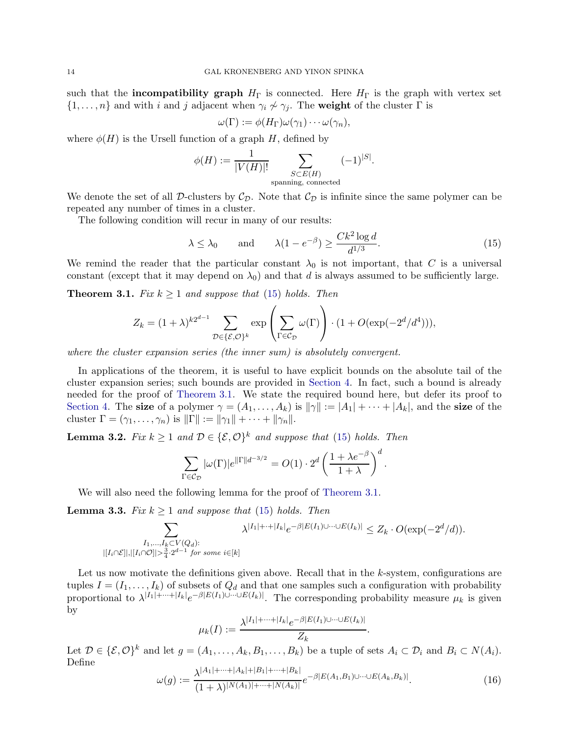such that the **incompatibility graph**  $H_{\Gamma}$  is connected. Here  $H_{\Gamma}$  is the graph with vertex set  $\{1,\ldots,n\}$  and with i and j adjacent when  $\gamma_i \not\sim \gamma_j$ . The weight of the cluster  $\Gamma$  is

$$
\omega(\Gamma) := \phi(H_{\Gamma})\omega(\gamma_1)\cdots\omega(\gamma_n),
$$

where  $\phi(H)$  is the Ursell function of a graph H, defined by

$$
\phi(H) := \frac{1}{|V(H)|!} \sum_{\substack{S \subset E(H) \\ \text{spanning, connected}}} (-1)^{|S|}.
$$

We denote the set of all D-clusters by  $C_{\mathcal{D}}$ . Note that  $C_{\mathcal{D}}$  is infinite since the same polymer can be repeated any number of times in a cluster.

The following condition will recur in many of our results:

<span id="page-13-0"></span>
$$
\lambda \le \lambda_0
$$
 and  $\lambda(1 - e^{-\beta}) \ge \frac{Ck^2 \log d}{d^{1/3}}$ . (15)

<span id="page-13-1"></span>We remind the reader that the particular constant  $\lambda_0$  is not important, that C is a universal constant (except that it may depend on  $\lambda_0$ ) and that d is always assumed to be sufficiently large.

**Theorem 3.1.** *Fix*  $k \geq 1$  *and suppose that* [\(15\)](#page-13-0) *holds. Then* 

$$
Z_k = (1 + \lambda)^{k2^{d-1}} \sum_{\mathcal{D} \in \{\mathcal{E}, \mathcal{O}\}^k} \exp\left(\sum_{\Gamma \in \mathcal{C}_{\mathcal{D}}} \omega(\Gamma)\right) \cdot (1 + O(\exp(-2^d/d^4))),
$$

*where the cluster expansion series (the inner sum) is absolutely convergent.*

In applications of the theorem, it is useful to have explicit bounds on the absolute tail of the cluster expansion series; such bounds are provided in [Section 4.](#page-19-0) In fact, such a bound is already needed for the proof of [Theorem 3.1.](#page-13-1) We state the required bound here, but defer its proof to [Section 4.](#page-19-0) The size of a polymer  $\gamma = (A_1, \ldots, A_k)$  is  $\|\gamma\| := |A_1| + \cdots + |A_k|$ , and the size of the cluster  $\Gamma = (\gamma_1, \ldots, \gamma_n)$  is  $\|\Gamma\| := \|\gamma_1\| + \cdots + \|\gamma_n\|.$ 

<span id="page-13-3"></span>**Lemma 3.2.** *Fix*  $k \geq 1$  *and*  $\mathcal{D} \in \{\mathcal{E}, \mathcal{O}\}^k$  *and suppose that* [\(15\)](#page-13-0) *holds. Then* 

$$
\sum_{\Gamma \in \mathcal{C}_{\mathcal{D}}} |\omega(\Gamma)| e^{\|\Gamma\| d^{-3/2}} = O(1) \cdot 2^d \left(\frac{1 + \lambda e^{-\beta}}{1 + \lambda}\right)^d.
$$

<span id="page-13-4"></span>We will also need the following lemma for the proof of [Theorem 3.1.](#page-13-1)

**Lemma 3.3.** *Fix*  $k \geq 1$  *and suppose that* [\(15\)](#page-13-0) *holds. Then* 

$$
\sum_{\substack{I_1,\ldots,I_k\subset V(Q_d):\\ |[I_i\cap \mathcal{E}]|, |[I_i\cap \mathcal{O}]| > \frac{3}{4}\cdot 2^{d-1} \text{ for some } i\in [k]}} \lambda^{|I_1|+\cdots+|I_k|} e^{-\beta |E(I_1)\cup \cdots \cup E(I_k)|} \leq Z_k \cdot O(\exp(-2^d/d)).
$$

Let us now motivate the definitions given above. Recall that in the  $k$ -system, configurations are tuples  $I = (I_1, \ldots, I_k)$  of subsets of  $Q_d$  and that one samples such a configuration with probability proportional to  $\lambda^{|I_1|+\cdots+|I_k|}e^{-\beta|E(I_1)\cup\cdots\cup E(I_k)|}$ . The corresponding probability measure  $\mu_k$  is given by

$$
\mu_k(I) := \frac{\lambda^{|I_1| + \dots + |I_k|} e^{-\beta |E(I_1) \cup \dots \cup E(I_k)|}}{Z_k}.
$$

Let  $\mathcal{D} \in \{\mathcal{E}, \mathcal{O}\}^k$  and let  $g = (A_1, \ldots, A_k, B_1, \ldots, B_k)$  be a tuple of sets  $A_i \subset \mathcal{D}_i$  and  $B_i \subset N(A_i)$ . Define  $|A|+|A|+|B|$ 

<span id="page-13-2"></span>
$$
\omega(g) := \frac{\lambda^{|A_1| + \dots + |A_k| + |B_1| + \dots + |B_k|}}{(1 + \lambda)^{|N(A_1)| + \dots + |N(A_k)|}} e^{-\beta |E(A_1, B_1) \cup \dots \cup E(A_k, B_k)|}.\tag{16}
$$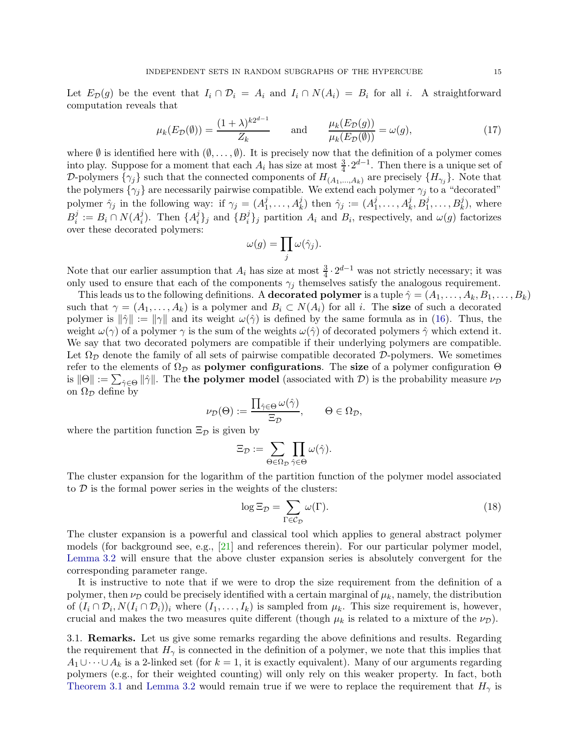Let  $E_{\mathcal{D}}(g)$  be the event that  $I_i \cap \mathcal{D}_i = A_i$  and  $I_i \cap N(A_i) = B_i$  for all i. A straightforward computation reveals that

$$
\mu_k(E_{\mathcal{D}}(\emptyset)) = \frac{(1+\lambda)^{k2^{d-1}}}{Z_k} \quad \text{and} \quad \frac{\mu_k(E_{\mathcal{D}}(g))}{\mu_k(E_{\mathcal{D}}(\emptyset))} = \omega(g),\tag{17}
$$

where  $\emptyset$  is identified here with  $(\emptyset, \ldots, \emptyset)$ . It is precisely now that the definition of a polymer comes into play. Suppose for a moment that each  $A_i$  has size at most  $\frac{3}{4} \cdot 2^{d-1}$ . Then there is a unique set of D-polymers  $\{\gamma_j\}$  such that the connected components of  $H_{(A_1,...,A_k)}$  are precisely  $\{H_{\gamma_j}\}$ . Note that the polymers  $\{\gamma_j\}$  are necessarily pairwise compatible. We extend each polymer  $\gamma_j$  to a "decorated" polymer  $\hat{\gamma}_j$  in the following way: if  $\gamma_j = (A_1^j)$  $j_1^j, \ldots, A_k^j$  then  $\hat{\gamma}_j := (A_1^j)$  $A_1^j, \ldots, A_k^j, B_1^j, \ldots, B_k^j$ , where  $B_i^j$  $i^j := B_i \cap N(A_i^j)$  $i$ ). Then  $\{A_i^j\}$  $\{i\}_j$  and  $\{B_i^j\}$  $i<sub>i</sub>$  }<sub>j</sub> partition  $A<sub>i</sub>$  and  $B<sub>i</sub>$ , respectively, and  $\omega(g)$  factorizes over these decorated polymers:

$$
\omega(g) = \prod_j \omega(\hat{\gamma}_j).
$$

Note that our earlier assumption that  $A_i$  has size at most  $\frac{3}{4} \cdot 2^{d-1}$  was not strictly necessary; it was only used to ensure that each of the components  $\gamma_i$  themselves satisfy the analogous requirement.

This leads us to the following definitions. A **decorated polymer** is a tuple  $\hat{\gamma} = (A_1, \ldots, A_k, B_1, \ldots, B_k)$ such that  $\gamma = (A_1, \ldots, A_k)$  is a polymer and  $B_i \subset N(A_i)$  for all i. The size of such a decorated polymer is  $\|\hat{\gamma}\| := \|\gamma\|$  and its weight  $\omega(\hat{\gamma})$  is defined by the same formula as in [\(16\)](#page-13-2). Thus, the weight  $\omega(\gamma)$  of a polymer  $\gamma$  is the sum of the weights  $\omega(\hat{\gamma})$  of decorated polymers  $\hat{\gamma}$  which extend it. We say that two decorated polymers are compatible if their underlying polymers are compatible. Let  $\Omega_{\mathcal{D}}$  denote the family of all sets of pairwise compatible decorated D-polymers. We sometimes refer to the elements of  $\Omega_{\mathcal{D}}$  as **polymer configurations**. The size of a polymer configuration  $\Theta$ is  $||\Theta|| := \sum_{\hat{\gamma} \in \Theta} ||\hat{\gamma}||$ . The **the polymer model** (associated with  $\mathcal{D}$ ) is the probability measure  $\nu_{\mathcal{D}}$ on  $\Omega_{\mathcal{D}}$  define by

$$
\nu_{\mathcal{D}}(\Theta) := \frac{\prod_{\hat{\gamma} \in \Theta} \omega(\hat{\gamma})}{\Xi_{\mathcal{D}}}, \qquad \Theta \in \Omega_{\mathcal{D}},
$$

where the partition function  $\Xi_{\mathcal{D}}$  is given by

$$
\Xi_{\mathcal{D}} := \sum_{\Theta \in \Omega_{\mathcal{D}}} \prod_{\hat{\gamma} \in \Theta} \omega(\hat{\gamma}).
$$

The cluster expansion for the logarithm of the partition function of the polymer model associated to  $\mathcal D$  is the formal power series in the weights of the clusters:

<span id="page-14-0"></span>
$$
\log \Xi_{\mathcal{D}} = \sum_{\Gamma \in \mathcal{C}_{\mathcal{D}}} \omega(\Gamma). \tag{18}
$$

The cluster expansion is a powerful and classical tool which applies to general abstract polymer models (for background see, e.g., [\[21\]](#page-43-4) and references therein). For our particular polymer model, [Lemma 3.2](#page-13-3) will ensure that the above cluster expansion series is absolutely convergent for the corresponding parameter range.

It is instructive to note that if we were to drop the size requirement from the definition of a polymer, then  $\nu_{\mathcal{D}}$  could be precisely identified with a certain marginal of  $\mu_k$ , namely, the distribution of  $(I_i \cap \mathcal{D}_i, N(I_i \cap \mathcal{D}_i))_i$  where  $(I_1, \ldots, I_k)$  is sampled from  $\mu_k$ . This size requirement is, however, crucial and makes the two measures quite different (though  $\mu_k$  is related to a mixture of the  $\nu_{\mathcal{D}}$ ).

<span id="page-14-1"></span>3.1. Remarks. Let us give some remarks regarding the above definitions and results. Regarding the requirement that  $H_{\gamma}$  is connected in the definition of a polymer, we note that this implies that  $A_1 \cup \cdots \cup A_k$  is a 2-linked set (for  $k = 1$ , it is exactly equivalent). Many of our arguments regarding polymers (e.g., for their weighted counting) will only rely on this weaker property. In fact, both [Theorem 3.1](#page-13-1) and [Lemma 3.2](#page-13-3) would remain true if we were to replace the requirement that  $H_{\gamma}$  is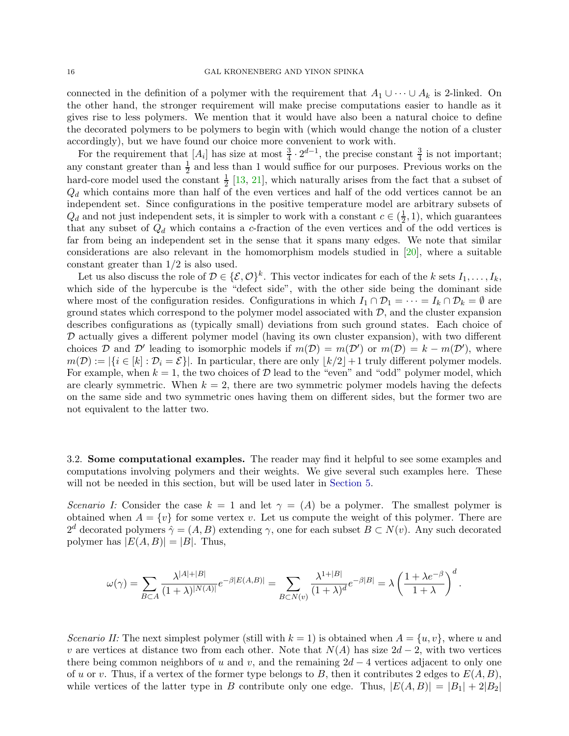connected in the definition of a polymer with the requirement that  $A_1 \cup \cdots \cup A_k$  is 2-linked. On the other hand, the stronger requirement will make precise computations easier to handle as it gives rise to less polymers. We mention that it would have also been a natural choice to define the decorated polymers to be polymers to begin with (which would change the notion of a cluster accordingly), but we have found our choice more convenient to work with.

For the requirement that  $[A_i]$  has size at most  $\frac{3}{4} \cdot 2^{d-1}$ , the precise constant  $\frac{3}{4}$  is not important; any constant greater than  $\frac{1}{2}$  and less than 1 would suffice for our purposes. Previous works on the hard-core model used the constant  $\frac{1}{2}$  [\[13,](#page-43-13) [21\]](#page-43-4), which naturally arises from the fact that a subset of  $Q_d$  which contains more than half of the even vertices and half of the odd vertices cannot be an independent set. Since configurations in the positive temperature model are arbitrary subsets of  $Q_d$  and not just independent sets, it is simpler to work with a constant  $c \in (\frac{1}{2})$  $(\frac{1}{2}, 1)$ , which guarantees that any subset of  $Q_d$  which contains a c-fraction of the even vertices and of the odd vertices is far from being an independent set in the sense that it spans many edges. We note that similar considerations are also relevant in the homomorphism models studied in [\[20\]](#page-43-20), where a suitable constant greater than 1/2 is also used.

Let us also discuss the role of  $D \in \{\mathcal{E}, \mathcal{O}\}^k$ . This vector indicates for each of the k sets  $I_1, \ldots, I_k$ , which side of the hypercube is the "defect side", with the other side being the dominant side where most of the configuration resides. Configurations in which  $I_1 \cap \mathcal{D}_1 = \cdots = I_k \cap \mathcal{D}_k = \emptyset$  are ground states which correspond to the polymer model associated with  $D$ , and the cluster expansion describes configurations as (typically small) deviations from such ground states. Each choice of  $D$  actually gives a different polymer model (having its own cluster expansion), with two different choices D and D' leading to isomorphic models if  $m(D) = m(D')$  or  $m(D) = k - m(D')$ , where  $m(\mathcal{D}) := |\{i \in [k] : \mathcal{D}_i = \mathcal{E}\}|.$  In particular, there are only  $|k/2|+1$  truly different polymer models. For example, when  $k = 1$ , the two choices of D lead to the "even" and "odd" polymer model, which are clearly symmetric. When  $k = 2$ , there are two symmetric polymer models having the defects on the same side and two symmetric ones having them on different sides, but the former two are not equivalent to the latter two.

<span id="page-15-0"></span>3.2. Some computational examples. The reader may find it helpful to see some examples and computations involving polymers and their weights. We give several such examples here. These will not be needed in this section, but will be used later in [Section 5.](#page-32-1)

*Scenario I:* Consider the case  $k = 1$  and let  $\gamma = (A)$  be a polymer. The smallest polymer is obtained when  $A = \{v\}$  for some vertex v. Let us compute the weight of this polymer. There are  $2^d$  decorated polymers  $\hat{\gamma} = (A, B)$  extending  $\gamma$ , one for each subset  $B \subset N(v)$ . Any such decorated polymer has  $|E(A, B)| = |B|$ . Thus,

$$
\omega(\gamma) = \sum_{B \subset A} \frac{\lambda^{|A|+|B|}}{(1+\lambda)^{|N(A)|}} e^{-\beta |E(A,B)|} = \sum_{B \subset N(v)} \frac{\lambda^{1+|B|}}{(1+\lambda)^d} e^{-\beta |B|} = \lambda \left(\frac{1+\lambda e^{-\beta}}{1+\lambda}\right)^d.
$$

*Scenario II:* The next simplest polymer (still with  $k = 1$ ) is obtained when  $A = \{u, v\}$ , where u and v are vertices at distance two from each other. Note that  $N(A)$  has size  $2d-2$ , with two vertices there being common neighbors of u and v, and the remaining  $2d - 4$  vertices adjacent to only one of u or v. Thus, if a vertex of the former type belongs to B, then it contributes 2 edges to  $E(A, B)$ , while vertices of the latter type in B contribute only one edge. Thus,  $|E(A, B)| = |B_1| + 2|B_2|$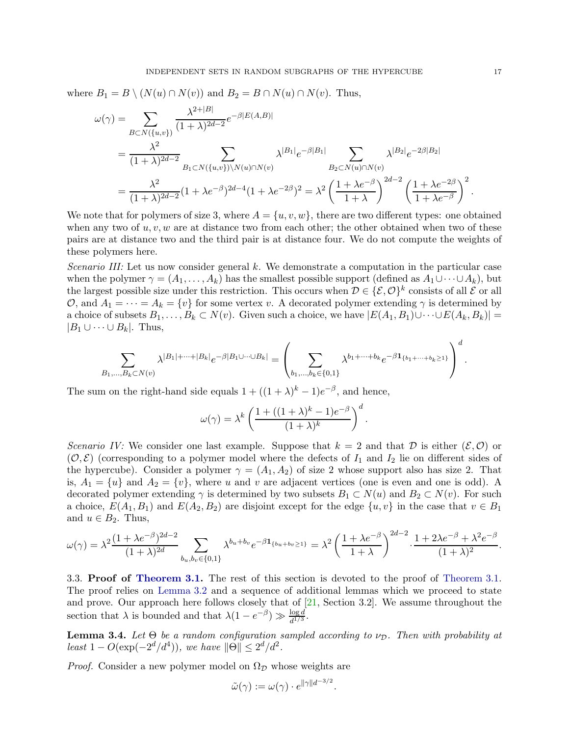where  $B_1 = B \setminus (N(u) \cap N(v))$  and  $B_2 = B \cap N(u) \cap N(v)$ . Thus,

$$
\omega(\gamma) = \sum_{B \subset N(\{u,v\})} \frac{\lambda^{2+|B|}}{(1+\lambda)^{2d-2}} e^{-\beta |E(A,B)|}
$$
  
= 
$$
\frac{\lambda^2}{(1+\lambda)^{2d-2}} \sum_{B_1 \subset N(\{u,v\}) \setminus N(u) \cap N(v)} \lambda^{|B_1|} e^{-\beta |B_1|} \sum_{B_2 \subset N(u) \cap N(v)} \lambda^{|B_2|} e^{-2\beta |B_2|}
$$
  
= 
$$
\frac{\lambda^2}{(1+\lambda)^{2d-2}} (1+\lambda e^{-\beta})^{2d-4} (1+\lambda e^{-2\beta})^2 = \lambda^2 \left(\frac{1+\lambda e^{-\beta}}{1+\lambda}\right)^{2d-2} \left(\frac{1+\lambda e^{-2\beta}}{1+\lambda e^{-\beta}}\right)^2.
$$

We note that for polymers of size 3, where  $A = \{u, v, w\}$ , there are two different types: one obtained when any two of  $u, v, w$  are at distance two from each other; the other obtained when two of these pairs are at distance two and the third pair is at distance four. We do not compute the weights of these polymers here.

*Scenario III:* Let us now consider general k. We demonstrate a computation in the particular case when the polymer  $\gamma = (A_1, \ldots, A_k)$  has the smallest possible support (defined as  $A_1 \cup \cdots \cup A_k$ ), but the largest possible size under this restriction. This occurs when  $D \in \{\mathcal{E}, \mathcal{O}\}^k$  consists of all  $\mathcal E$  or all O, and  $A_1 = \cdots = A_k = \{v\}$  for some vertex v. A decorated polymer extending  $\gamma$  is determined by a choice of subsets  $B_1, \ldots, B_k \subset N(v)$ . Given such a choice, we have  $|E(A_1, B_1) \cup \cdots \cup E(A_k, B_k)|$  =  $|B_1 \cup \cdots \cup B_k|$ . Thus,

$$
\sum_{B_1,\ldots,B_k\subset N(v)}\lambda^{|B_1|+\cdots+|B_k|}e^{-\beta|B_1\cup\cdots\cup B_k|}=\left(\sum_{b_1,\ldots,b_k\in\{0,1\}}\lambda^{b_1+\cdots+b_k}e^{-\beta\mathbf{1}_{\{b_1+\cdots+b_k\geq 1\}}}\right)^d.
$$

The sum on the right-hand side equals  $1 + ((1 + \lambda)^k - 1)e^{-\beta}$ , and hence,

$$
\omega(\gamma) = \lambda^k \left( \frac{1 + ((1 + \lambda)^k - 1)e^{-\beta}}{(1 + \lambda)^k} \right)^d.
$$

*Scenario IV:* We consider one last example. Suppose that  $k = 2$  and that D is either  $(\mathcal{E}, \mathcal{O})$  or  $(\mathcal{O}, \mathcal{E})$  (corresponding to a polymer model where the defects of  $I_1$  and  $I_2$  lie on different sides of the hypercube). Consider a polymer  $\gamma = (A_1, A_2)$  of size 2 whose support also has size 2. That is,  $A_1 = \{u\}$  and  $A_2 = \{v\}$ , where u and v are adjacent vertices (one is even and one is odd). A decorated polymer extending  $\gamma$  is determined by two subsets  $B_1 \subset N(u)$  and  $B_2 \subset N(v)$ . For such a choice,  $E(A_1, B_1)$  and  $E(A_2, B_2)$  are disjoint except for the edge  $\{u, v\}$  in the case that  $v \in B_1$ and  $u \in B_2$ . Thus,

$$
\omega(\gamma) = \lambda^2 \frac{(1 + \lambda e^{-\beta})^{2d - 2}}{(1 + \lambda)^{2d}} \sum_{b_u, b_v \in \{0, 1\}} \lambda^{b_u + b_v} e^{-\beta \mathbf{1}_{\{b_u + b_v \ge 1\}}} = \lambda^2 \left(\frac{1 + \lambda e^{-\beta}}{1 + \lambda}\right)^{2d - 2} \cdot \frac{1 + 2\lambda e^{-\beta} + \lambda^2 e^{-\beta}}{(1 + \lambda)^2}.
$$

3.3. Proof of [Theorem 3.1.](#page-13-1) The rest of this section is devoted to the proof of [Theorem 3.1.](#page-13-1) The proof relies on [Lemma 3.2](#page-13-3) and a sequence of additional lemmas which we proceed to state and prove. Our approach here follows closely that of  $[21, Section 3.2]$ . We assume throughout the section that  $\lambda$  is bounded and that  $\lambda(1-e^{-\beta}) \gg \frac{\log d}{d^{1/3}}$ .

<span id="page-16-0"></span>**Lemma 3.4.** Let  $\Theta$  be a random configuration sampled according to  $\nu_{\mathcal{D}}$ . Then with probability at  $least\ 1 - O(\exp(-2^d/d^4)),\ we\ have\ \|\Theta\| \leq 2^d/d^2.$ 

*Proof.* Consider a new polymer model on  $\Omega_{\mathcal{D}}$  whose weights are

$$
\tilde{\omega}(\gamma) := \omega(\gamma) \cdot e^{\|\gamma\| d^{-3/2}}.
$$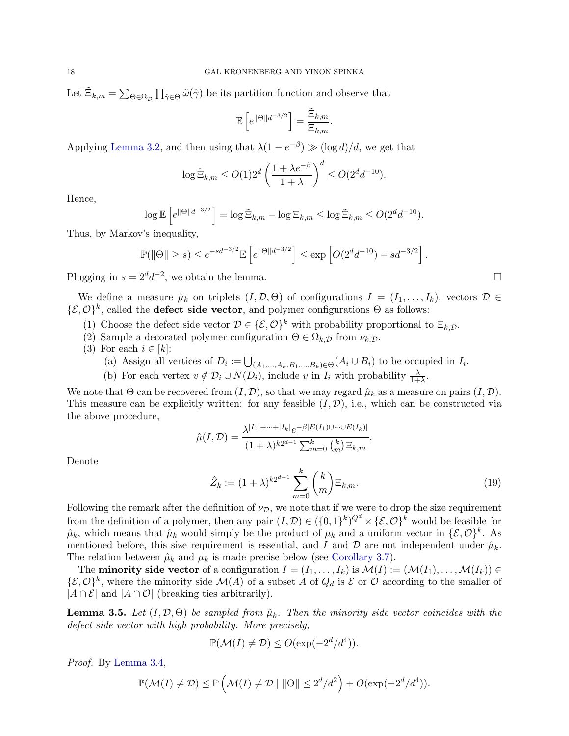Let  $\tilde{\Xi}_{k,m} = \sum_{\Theta \in \Omega_{\mathcal{D}}} \prod_{\hat{\gamma} \in \Theta} \tilde{\omega}(\hat{\gamma})$  be its partition function and observe that

$$
\mathbb{E}\left[e^{\|\Theta\|d^{-3/2}}\right] = \frac{\tilde{\Xi}_{k,m}}{\Xi_{k,m}}.
$$

Applying [Lemma 3.2,](#page-13-3) and then using that  $\lambda(1 - e^{-\beta}) \gg (\log d)/d$ , we get that

$$
\log \tilde{\Xi}_{k,m} \le O(1)2^d \left(\frac{1+\lambda e^{-\beta}}{1+\lambda}\right)^d \le O(2^d d^{-10}).
$$

Hence,

$$
\log \mathbb{E}\left[e^{\|\Theta\|d^{-3/2}}\right] = \log \tilde{\Xi}_{k,m} - \log \Xi_{k,m} \le \log \tilde{\Xi}_{k,m} \le O(2^d d^{-10}).
$$

Thus, by Markov's inequality,

$$
\mathbb{P}(\|\Theta\| \ge s) \le e^{-sd^{-3/2}} \mathbb{E}\left[e^{\|\Theta\|d^{-3/2}}\right] \le \exp\left[O(2^d d^{-10}) - sd^{-3/2}\right].
$$

Plugging in  $s = 2^d d^{-2}$ , we obtain the lemma.

We define a measure  $\hat{\mu}_k$  on triplets  $(I, \mathcal{D}, \Theta)$  of configurations  $I = (I_1, \ldots, I_k)$ , vectors  $\mathcal{D} \in$  $\{\mathcal{E}, \mathcal{O}\}^k$ , called the **defect side vector**, and polymer configurations  $\Theta$  as follows:

- (1) Choose the defect side vector  $\mathcal{D} \in \{\mathcal{E}, \mathcal{O}\}^k$  with probability proportional to  $\Xi_{k,\mathcal{D}}$ .
- (2) Sample a decorated polymer configuration  $\Theta \in \Omega_{k,\mathcal{D}}$  from  $\nu_{k,\mathcal{D}}$ .
- (3) For each  $i \in [k]$ :
	- (a) Assign all vertices of  $D_i := \bigcup_{(A_1,...,A_k,B_1,...,B_k) \in \Theta} (A_i \cup B_i)$  to be occupied in  $I_i$ .
	- (b) For each vertex  $v \notin \mathcal{D}_i \cup N(D_i)$ , include v in  $I_i$  with probability  $\frac{\lambda}{1+\lambda}$ .

We note that  $\Theta$  can be recovered from  $(I, \mathcal{D})$ , so that we may regard  $\hat{\mu}_k$  as a measure on pairs  $(I, \mathcal{D})$ . This measure can be explicitly written: for any feasible  $(I, \mathcal{D})$ , i.e., which can be constructed via the above procedure,

$$
\hat{\mu}(I,\mathcal{D}) = \frac{\lambda^{|I_1| + \dots + |I_k|} e^{-\beta |E(I_1) \cup \dots \cup E(I_k)|}}{(1 + \lambda)^{k2^{d-1}} \sum_{m=0}^k {k \choose m} \Xi_{k,m}}
$$

Denote

<span id="page-17-1"></span>
$$
\hat{Z}_k := (1+\lambda)^{k2^{d-1}} \sum_{m=0}^k {k \choose m} \Xi_{k,m}.
$$
\n(19)

.

Following the remark after the definition of  $\nu_{\mathcal{D}}$ , we note that if we were to drop the size requirement from the definition of a polymer, then any pair  $(I, \mathcal{D}) \in (\{0,1\}^k)^{Q^d} \times \{\mathcal{E}, \mathcal{O}\}^k$  would be feasible for  $\hat{\mu}_k$ , which means that  $\hat{\mu}_k$  would simply be the product of  $\mu_k$  and a uniform vector in  $\{\mathcal{E}, \mathcal{O}\}^k$ . As mentioned before, this size requirement is essential, and I and  $\mathcal D$  are not independent under  $\hat \mu_k$ . The relation between  $\hat{\mu}_k$  and  $\mu_k$  is made precise below (see [Corollary 3.7\)](#page-18-0).

The **minority side vector** of a configuration  $I = (I_1, \ldots, I_k)$  is  $\mathcal{M}(I) := (\mathcal{M}(I_1), \ldots, \mathcal{M}(I_k)) \in$  $\{\mathcal{E}, \mathcal{O}\}^k$ , where the minority side  $\mathcal{M}(A)$  of a subset A of  $Q_d$  is  $\mathcal E$  or  $\mathcal O$  according to the smaller of  $|A \cap \mathcal{E}|$  and  $|A \cap \mathcal{O}|$  (breaking ties arbitrarily).

<span id="page-17-0"></span>**Lemma 3.5.** Let  $(I, \mathcal{D}, \Theta)$  be sampled from  $\hat{\mu}_k$ . Then the minority side vector coincides with the *defect side vector with high probability. More precisely,*

$$
\mathbb{P}(\mathcal{M}(I) \neq \mathcal{D}) \le O(\exp(-2^d/d^4)).
$$

*Proof.* By [Lemma 3.4,](#page-16-0)

$$
\mathbb{P}(\mathcal{M}(I) \neq \mathcal{D}) \leq \mathbb{P}\left(\mathcal{M}(I) \neq \mathcal{D} \mid \|\Theta\| \leq 2^d/d^2\right) + O(\exp(-2^d/d^4)).
$$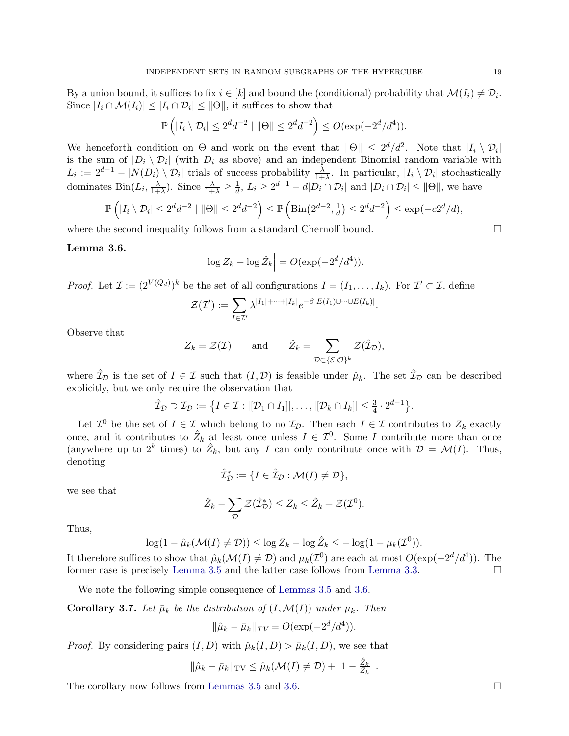By a union bound, it suffices to fix  $i \in [k]$  and bound the (conditional) probability that  $\mathcal{M}(I_i) \neq \mathcal{D}_i$ . Since  $|I_i \cap \mathcal{M}(I_i)| \leq |I_i \cap \mathcal{D}_i| \leq ||\Theta||$ , it suffices to show that

$$
\mathbb{P}\left(|I_i \setminus \mathcal{D}_i| \leq 2^d d^{-2} \mid ||\Theta|| \leq 2^d d^{-2}\right) \leq O(\exp(-2^d/d^4)).
$$

We henceforth condition on  $\Theta$  and work on the event that  $\|\Theta\| \leq 2^d/d^2$ . Note that  $|I_i \setminus \mathcal{D}_i|$ is the sum of  $|D_i \setminus D_i|$  (with  $D_i$  as above) and an independent Binomial random variable with  $L_i := 2^{d-1} - |N(D_i) \setminus \mathcal{D}_i|$  trials of success probability  $\frac{\lambda}{1+\lambda}$ . In particular,  $|I_i \setminus \mathcal{D}_i|$  stochastically dominates  $\text{Bin}(L_i, \frac{\lambda}{1+\lambda})$  $\frac{\lambda}{1+\lambda}$ ). Since  $\frac{\lambda}{1+\lambda} \geq \frac{1}{d}$  $\frac{1}{d}$ ,  $L_i \geq 2^{d-1} - d|D_i \cap \mathcal{D}_i|$  and  $|D_i \cap \mathcal{D}_i| \leq ||\Theta||$ , we have

$$
\mathbb{P}\left(|I_i \setminus \mathcal{D}_i| \le 2^d d^{-2} \mid \|\Theta\| \le 2^d d^{-2}\right) \le \mathbb{P}\left(\mathrm{Bin}\left(2^{d-2}, \frac{1}{d}\right) \le 2^d d^{-2}\right) \le \exp(-c2^d/d),
$$

<span id="page-18-1"></span>where the second inequality follows from a standard Chernoff bound.  $\Box$ 

# Lemma 3.6.

$$
\left|\log Z_k - \log \hat{Z}_k\right| = O(\exp(-2^d/d^4)).
$$

*Proof.* Let  $\mathcal{I} := (2^{V(Q_d)})^k$  be the set of all configurations  $I = (I_1, \ldots, I_k)$ . For  $\mathcal{I}' \subset \mathcal{I}$ , define

$$
\mathcal{Z}(\mathcal{I}') := \sum_{I \in \mathcal{I}'} \lambda^{|I_1| + \cdots + |I_k|} e^{-\beta |E(I_1) \cup \cdots \cup E(I_k)|}.
$$

Observe that

$$
Z_k = \mathcal{Z}(\mathcal{I})
$$
 and  $\hat{Z}_k = \sum_{\mathcal{D} \subset \{\mathcal{E}, \mathcal{O}\}^k} \mathcal{Z}(\hat{\mathcal{I}}_{\mathcal{D}}),$ 

where  $\hat{\mathcal{I}}_{\mathcal{D}}$  is the set of  $I \in \mathcal{I}$  such that  $(I, \mathcal{D})$  is feasible under  $\hat{\mu}_k$ . The set  $\hat{\mathcal{I}}_{\mathcal{D}}$  can be described explicitly, but we only require the observation that

$$
\hat{\mathcal{I}}_{\mathcal{D}} \supset \mathcal{I}_{\mathcal{D}} := \big\{ I \in \mathcal{I} : |[\mathcal{D}_1 \cap I_1]|, \ldots, |[\mathcal{D}_k \cap I_k]| \leq \frac{3}{4} \cdot 2^{d-1} \big\}.
$$

Let  $\mathcal{I}^0$  be the set of  $I \in \mathcal{I}$  which belong to no  $\mathcal{I}_{\mathcal{D}}$ . Then each  $I \in \mathcal{I}$  contributes to  $Z_k$  exactly once, and it contributes to  $\hat{Z}_k$  at least once unless  $I \in \mathcal{I}^0$ . Some I contribute more than once (anywhere up to  $2^k$  times) to  $\hat{Z}_k$ , but any I can only contribute once with  $\mathcal{D} = \mathcal{M}(I)$ . Thus, denoting

$$
\hat{\mathcal{I}}_{\mathcal{D}}^* := \{ I \in \hat{\mathcal{I}}_{\mathcal{D}} : \mathcal{M}(I) \neq \mathcal{D} \},\
$$

we see that

$$
\hat{Z}_k - \sum_{\mathcal{D}} \mathcal{Z}(\hat{\mathcal{I}}_{\mathcal{D}}^*) \leq Z_k \leq \hat{Z}_k + \mathcal{Z}(\mathcal{I}^0).
$$

Thus,

$$
\log(1 - \hat{\mu}_k(\mathcal{M}(I) \neq \mathcal{D})) \le \log Z_k - \log \hat{Z}_k \le -\log(1 - \mu_k(\mathcal{I}^0)).
$$

It therefore suffices to show that  $\hat{\mu}_k(\mathcal{M}(I) \neq \mathcal{D})$  and  $\mu_k(\mathcal{I}^0)$  are each at most  $O(\exp(-2^d/d^4))$ . The former case is precisely [Lemma 3.5](#page-17-0) and the latter case follows from [Lemma 3.3.](#page-13-4)

<span id="page-18-0"></span>We note the following simple consequence of [Lemmas 3.5](#page-17-0) and [3.6.](#page-18-1)

**Corollary 3.7.** Let  $\bar{\mu}_k$  be the distribution of  $(I, \mathcal{M}(I))$  under  $\mu_k$ . Then

$$
\|\hat{\mu}_k - \bar{\mu}_k\|_{TV} = O(\exp(-2^d/d^4)).
$$

*Proof.* By considering pairs  $(I, D)$  with  $\hat{\mu}_k(I, D) > \bar{\mu}_k(I, D)$ , we see that

$$
\|\hat{\mu}_k - \bar{\mu}_k\|_{\mathrm{TV}} \leq \hat{\mu}_k(\mathcal{M}(I) \neq \mathcal{D}) + \left|1 - \frac{\hat{Z}_k}{Z_k}\right|.
$$

The corollary now follows from [Lemmas 3.5](#page-17-0) and [3.6.](#page-18-1)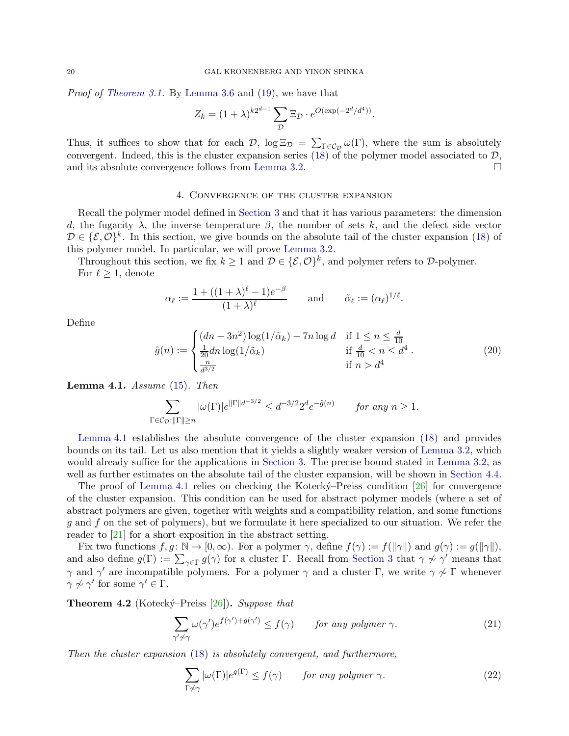*Proof of [Theorem 3.1.](#page-13-1)* By [Lemma 3.6](#page-18-1) and [\(19\)](#page-17-1), we have that

$$
Z_k = (1 + \lambda)^{k2^{d-1}} \sum_{\mathcal{D}} \Xi_{\mathcal{D}} \cdot e^{O(\exp(-2^d/d^4))}.
$$

Thus, it suffices to show that for each  $\mathcal{D}$ ,  $\log \Xi_{\mathcal{D}} = \sum_{\Gamma \in \mathcal{C}_{\mathcal{D}}} \omega(\Gamma)$ , where the sum is absolutely convergent. Indeed, this is the cluster expansion series [\(18\)](#page-14-0) of the polymer model associated to  $D$ , and its absolute convergence follows from Lemma 3.2 and its absolute convergence follows from [Lemma 3.2.](#page-13-3)

# 4. Convergence of the cluster expansion

<span id="page-19-0"></span>Recall the polymer model defined in [Section 3](#page-12-2) and that it has various parameters: the dimension d, the fugacity  $\lambda$ , the inverse temperature  $\beta$ , the number of sets k, and the defect side vector  $\mathcal{D} \in \{\mathcal{E}, \mathcal{O}\}^k$ . In this section, we give bounds on the absolute tail of the cluster expansion [\(18\)](#page-14-0) of this polymer model. In particular, we will prove [Lemma 3.2.](#page-13-3)

Throughout this section, we fix  $k \geq 1$  and  $\mathcal{D} \in \{\mathcal{E}, \mathcal{O}\}^k$ , and polymer refers to  $\mathcal{D}$ -polymer. For  $\ell \geq 1$ , denote

$$
\alpha_{\ell} := \frac{1 + ((1 + \lambda)^{\ell} - 1)e^{-\beta}}{(1 + \lambda)^{\ell}} \quad \text{and} \quad \tilde{\alpha}_{\ell} := (\alpha_{\ell})^{1/\ell}
$$

Define

$$
\tilde{g}(n) := \begin{cases}\n(dn - 3n^2) \log(1/\tilde{\alpha}_k) - 7n \log d & \text{if } 1 \le n \le \frac{d}{10} \\
\frac{1}{20} dn \log(1/\tilde{\alpha}_k) & \text{if } \frac{d}{10} < n \le d^4 \\
\frac{n}{d^{3/2}} & \text{if } n > d^4\n\end{cases}
$$
\n(20)

.

<span id="page-19-2"></span>Lemma 4.1. *Assume* [\(15\)](#page-13-0)*. Then*

$$
\sum_{\Gamma \in \mathcal{C}_{\mathcal{D}}: \|\Gamma\| \ge n} |\omega(\Gamma)| e^{\|\Gamma\| d^{-3/2}} \le d^{-3/2} 2^d e^{-\tilde{g}(n)} \qquad \text{for any } n \ge 1.
$$

[Lemma 4.1](#page-19-2) establishes the absolute convergence of the cluster expansion [\(18\)](#page-14-0) and provides bounds on its tail. Let us also mention that it yields a slightly weaker version of [Lemma 3.2,](#page-13-3) which would already suffice for the applications in [Section 3.](#page-12-2) The precise bound stated in [Lemma 3.2,](#page-13-3) as well as further estimates on the absolute tail of the cluster expansion, will be shown in [Section 4.4.](#page-30-0)

The proof of [Lemma 4.1](#page-19-2) relies on checking the Kotecky-Preiss condition  $[26]$  for convergence of the cluster expansion. This condition can be used for abstract polymer models (where a set of abstract polymers are given, together with weights and a compatibility relation, and some functions g and f on the set of polymers), but we formulate it here specialized to our situation. We refer the reader to [\[21\]](#page-43-4) for a short exposition in the abstract setting.

Fix two functions  $f, g \colon \mathbb{N} \to [0, \infty)$ . For a polymer  $\gamma$ , define  $f(\gamma) := f(||\gamma||)$  and  $g(\gamma) := g(||\gamma||)$ , and also define  $g(\Gamma) := \sum_{\gamma \in \Gamma} g(\gamma)$  for a cluster  $\Gamma$ . Recall from [Section 3](#page-12-2) that  $\gamma \not\sim \gamma'$  means that  $\gamma$  and  $\gamma'$  are incompatible polymers. For a polymer  $\gamma$  and a cluster Γ, we write  $\gamma \nsim \Gamma$  whenever  $\gamma \not\sim \gamma'$  for some  $\gamma' \in \Gamma$ .

<span id="page-19-1"></span>Theorem 4.2 (Kotecký–Preiss [\[26\]](#page-43-19)). *Suppose that* 

<span id="page-19-3"></span>
$$
\sum_{\gamma'\neq\gamma}\omega(\gamma')e^{f(\gamma')+g(\gamma')}\leq f(\gamma) \qquad \text{for any polymer } \gamma. \tag{21}
$$

*Then the cluster expansion* [\(18\)](#page-14-0) *is absolutely convergent, and furthermore,*

<span id="page-19-4"></span>
$$
\sum_{\Gamma \not\sim \gamma} |\omega(\Gamma)| e^{g(\Gamma)} \le f(\gamma) \qquad \text{for any polymer } \gamma. \tag{22}
$$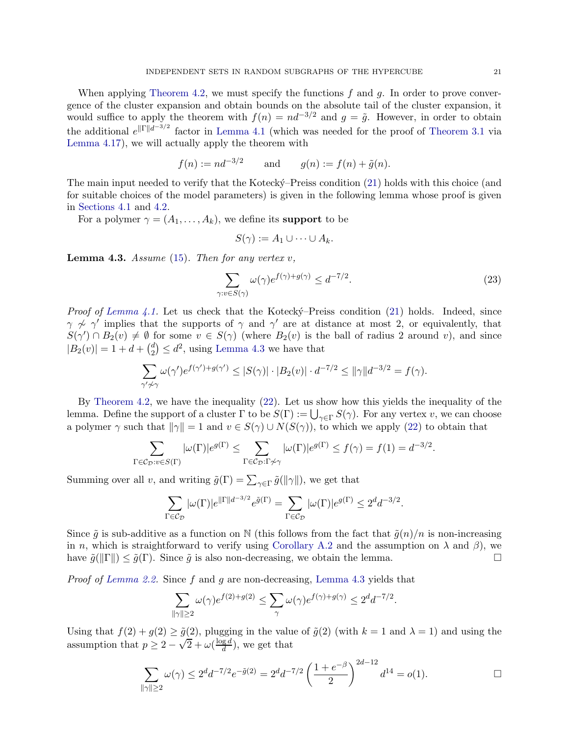When applying [Theorem 4.2,](#page-19-1) we must specify the functions  $f$  and  $g$ . In order to prove convergence of the cluster expansion and obtain bounds on the absolute tail of the cluster expansion, it would suffice to apply the theorem with  $f(n) = nd^{-3/2}$  and  $g = \tilde{g}$ . However, in order to obtain the additional  $e^{\|\Gamma\|d^{-3/2}}$  factor in [Lemma 4.1](#page-19-2) (which was needed for the proof of [Theorem 3.1](#page-13-1) via [Lemma 4.17\)](#page-30-1), we will actually apply the theorem with

$$
f(n) := nd^{-3/2}
$$
 and  $g(n) := f(n) + \tilde{g}(n)$ .

The main input needed to verify that the Kotecký–Preiss condition [\(21\)](#page-19-3) holds with this choice (and for suitable choices of the model parameters) is given in the following lemma whose proof is given in [Sections 4.1](#page-21-0) and [4.2.](#page-22-0)

For a polymer  $\gamma = (A_1, \ldots, A_k)$ , we define its **support** to be

<span id="page-20-1"></span>
$$
S(\gamma) := A_1 \cup \cdots \cup A_k.
$$

<span id="page-20-0"></span>Lemma 4.3. *Assume* [\(15\)](#page-13-0)*. Then for any vertex* v*,*

$$
\sum_{\gamma: v \in S(\gamma)} \omega(\gamma) e^{f(\gamma) + g(\gamma)} \le d^{-7/2}.
$$
\n(23)

*Proof of [Lemma 4.1.](#page-19-2)* Let us check that the Kotecky-Preiss condition [\(21\)](#page-19-3) holds. Indeed, since  $\gamma \nsim \gamma'$  implies that the supports of  $\gamma$  and  $\gamma'$  are at distance at most 2, or equivalently, that  $S(\gamma') \cap B_2(v) \neq \emptyset$  for some  $v \in S(\gamma)$  (where  $B_2(v)$  is the ball of radius 2 around v), and since  $|B_2(v)| = 1 + d + {d \choose 2}$  $\binom{d}{2} \leq d^2$ , using [Lemma 4.3](#page-20-0) we have that

$$
\sum_{\gamma'\neq\gamma}\omega(\gamma')e^{f(\gamma')+g(\gamma')}\leq |S(\gamma)|\cdot|B_2(v)|\cdot d^{-7/2}\leq \|\gamma\|d^{-3/2}=f(\gamma).
$$

By [Theorem 4.2,](#page-19-1) we have the inequality [\(22\)](#page-19-4). Let us show how this yields the inequality of the lemma. Define the support of a cluster  $\Gamma$  to be  $S(\Gamma) := \bigcup_{\gamma \in \Gamma} S(\gamma)$ . For any vertex v, we can choose a polymer  $\gamma$  such that  $\|\gamma\| = 1$  and  $v \in S(\gamma) \cup N(S(\gamma))$ , to which we apply [\(22\)](#page-19-4) to obtain that

$$
\sum_{\Gamma \in \mathcal{C}_{\mathcal{D}}: v \in S(\Gamma)} |\omega(\Gamma)| e^{g(\Gamma)} \le \sum_{\Gamma \in \mathcal{C}_{\mathcal{D}}: \Gamma \not\sim \gamma} |\omega(\Gamma)| e^{g(\Gamma)} \le f(\gamma) = f(1) = d^{-3/2}.
$$

Summing over all v, and writing  $\tilde{g}(\Gamma) = \sum_{\gamma \in \Gamma} \tilde{g}(\|\gamma\|)$ , we get that

$$
\sum_{\Gamma \in \mathcal{C}_{\mathcal{D}}} |\omega(\Gamma)| e^{\|\Gamma\| d^{-3/2}} e^{\tilde{g}(\Gamma)} = \sum_{\Gamma \in \mathcal{C}_{\mathcal{D}}} |\omega(\Gamma)| e^{g(\Gamma)} \leq 2^d d^{-3/2}.
$$

Since  $\tilde{g}$  is sub-additive as a function on N (this follows from the fact that  $\tilde{g}(n)/n$  is non-increasing in n, which is straightforward to verify using [Corollary A.2](#page-42-10) and the assumption on  $\lambda$  and  $\beta$ ), we have  $\tilde{g}(\Vert\Gamma\Vert) \leq \tilde{g}(\Gamma)$ . Since  $\tilde{g}$  is also non-decreasing, we obtain the lemma.

*Proof of [Lemma 2.2.](#page-12-1)* Since f and g are non-decreasing, [Lemma 4.3](#page-20-0) yields that

$$
\sum_{\|\gamma\|\geq 2} \omega(\gamma) e^{f(2)+g(2)} \leq \sum_{\gamma} \omega(\gamma) e^{f(\gamma)+g(\gamma)} \leq 2^d d^{-7/2}.
$$

Using that  $f(2) + g(2) \ge \tilde{g}(2)$ , plugging in the value of  $\tilde{g}(2)$  (with  $k = 1$  and  $\lambda = 1$ ) and using the assumption that  $p \geq 2 - \sqrt{2} + \omega \left( \frac{\log d}{d} \right)$  $\frac{d}{d}$ , we get that

$$
\sum_{\|\gamma\|\geq 2} \omega(\gamma) \leq 2^d d^{-7/2} e^{-\tilde{g}(2)} = 2^d d^{-7/2} \left(\frac{1+e^{-\beta}}{2}\right)^{2d-12} d^{14} = o(1).
$$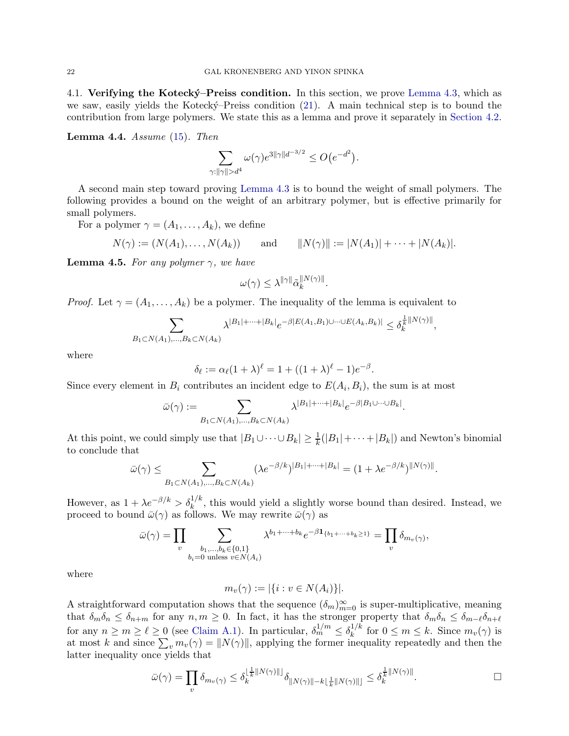<span id="page-21-0"></span>4.1. Verifying the Kotecký–Preiss condition. In this section, we prove [Lemma 4.3,](#page-20-0) which as we saw, easily yields the Kotecký–Preiss condition [\(21\)](#page-19-3). A main technical step is to bound the contribution from large polymers. We state this as a lemma and prove it separately in [Section 4.2.](#page-22-0)

<span id="page-21-2"></span>Lemma 4.4. *Assume* [\(15\)](#page-13-0)*. Then*

$$
\sum_{\gamma: ||\gamma|| > d^4} \omega(\gamma) e^{3||\gamma||d^{-3/2}} \le O\big(e^{-d^2}\big).
$$

A second main step toward proving [Lemma 4.3](#page-20-0) is to bound the weight of small polymers. The following provides a bound on the weight of an arbitrary polymer, but is effective primarily for small polymers.

For a polymer  $\gamma = (A_1, \ldots, A_k)$ , we define

$$
N(\gamma) := (N(A_1), ..., N(A_k))
$$
 and  $||N(\gamma)|| := |N(A_1)| + ... + |N(A_k)|.$ 

<span id="page-21-1"></span>**Lemma 4.5.** *For any polymer*  $\gamma$ *, we have* 

$$
\omega(\gamma) \leq \lambda^{\|\gamma\|} \tilde{\alpha}_k^{\|N(\gamma)\|}.
$$

*Proof.* Let  $\gamma = (A_1, \ldots, A_k)$  be a polymer. The inequality of the lemma is equivalent to

$$
\sum_{B_1\subset N(A_1),\ldots,B_k\subset N(A_k)} \lambda^{|B_1|+\cdots+|B_k|} e^{-\beta |E(A_1,B_1)\cup\cdots\cup E(A_k,B_k)|} \leq \delta_k^{\frac{1}{k}\|N(\gamma)\|},
$$

where

$$
\delta_{\ell} := \alpha_{\ell} (1 + \lambda)^{\ell} = 1 + ((1 + \lambda)^{\ell} - 1)e^{-\beta}.
$$

Since every element in  $B_i$  contributes an incident edge to  $E(A_i, B_i)$ , the sum is at most

$$
\bar{\omega}(\gamma) := \sum_{B_1 \subset N(A_1), \dots, B_k \subset N(A_k)} \lambda^{|B_1| + \dots + |B_k|} e^{-\beta |B_1 \cup \dots \cup B_k|}.
$$

At this point, we could simply use that  $|B_1 \cup \cdots \cup B_k| \geq \frac{1}{k}(|B_1| + \cdots + |B_k|)$  and Newton's binomial to conclude that

$$
\bar{\omega}(\gamma) \leq \sum_{B_1 \subset N(A_1), \dots, B_k \subset N(A_k)} (\lambda e^{-\beta/k})^{|B_1| + \dots + |B_k|} = (1 + \lambda e^{-\beta/k})^{\|N(\gamma)\|}.
$$

However, as  $1 + \lambda e^{-\beta/k} > \delta_k^{1/k}$ , this would yield a slightly worse bound than desired. Instead, we proceed to bound  $\bar{\omega}(\gamma)$  as follows. We may rewrite  $\bar{\omega}(\gamma)$  as

$$
\bar{\omega}(\gamma) = \prod_{v} \sum_{\substack{b_1,\ldots,b_k \in \{0,1\} \\ b_i = 0 \text{ unless } v \in N(A_i)}} \lambda^{b_1 + \cdots + b_k} e^{-\beta \mathbf{1}_{\{b_1 + \cdots + b_k \ge 1\}}} = \prod_{v} \delta_{m_v(\gamma)}
$$

where

$$
m_v(\gamma) := |\{i : v \in N(A_i)\}|.
$$

A straightforward computation shows that the sequence  $(\delta_m)_{m=0}^{\infty}$  is super-multiplicative, meaning that  $\delta_m \delta_n \leq \delta_{n+m}$  for any  $n, m \geq 0$ . In fact, it has the stronger property that  $\delta_m \delta_n \leq \delta_{m-\ell} \delta_{n+\ell}$ for any  $n \ge m \ge \ell \ge 0$  (see [Claim A.1\)](#page-41-0). In particular,  $\delta_m^{1/m} \le \delta_k^{1/k}$  $\int_{k}^{1/k}$  for  $0 \leq m \leq k$ . Since  $m_v(\gamma)$  is at most k and since  $\sum_{v} m_v(\gamma) = ||N(\gamma)||$ , applying the former inequality repeatedly and then the latter inequality once yields that

$$
\bar{\omega}(\gamma) = \prod_{v} \delta_{m_v(\gamma)} \le \delta_k^{\lfloor \frac{1}{k} \Vert N(\gamma) \Vert \rfloor} \delta_{\Vert N(\gamma) \Vert - k\lfloor \frac{1}{k} \Vert N(\gamma) \Vert \rfloor} \le \delta_k^{\frac{1}{k} \Vert N(\gamma) \Vert}.
$$

,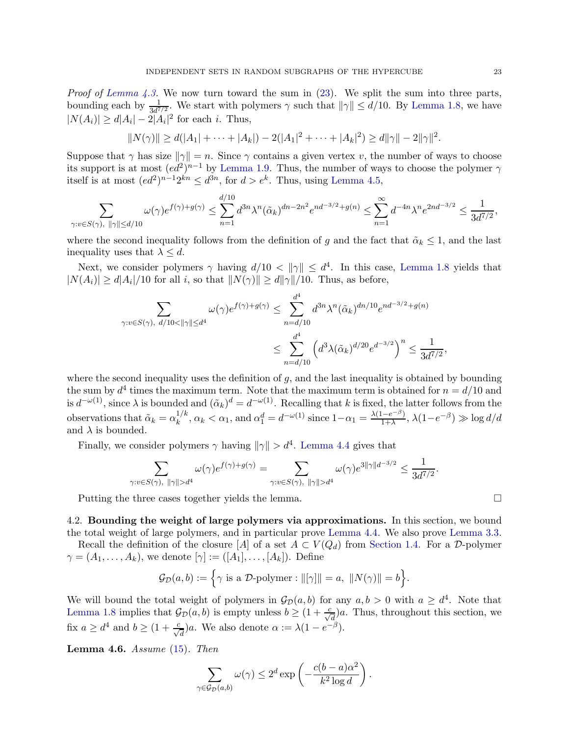*Proof of [Lemma 4.3.](#page-20-0)* We now turn toward the sum in [\(23\)](#page-20-1). We split the sum into three parts, bounding each by  $\frac{1}{3d^{7/2}}$ . We start with polymers  $\gamma$  such that  $\|\gamma\| \leq d/10$ . By [Lemma 1.8,](#page-8-1) we have  $|N(A_i)| \ge d|A_i| - 2|A_i|^2$  for each *i*. Thus,

$$
||N(\gamma)|| \ge d(|A_1| + \cdots + |A_k|) - 2(|A_1|^2 + \cdots + |A_k|^2) \ge d||\gamma|| - 2||\gamma||^2.
$$

Suppose that  $\gamma$  has size  $\|\gamma\| = n$ . Since  $\gamma$  contains a given vertex v, the number of ways to choose its support is at most  $(ed^2)^{n-1}$  by [Lemma 1.9.](#page-9-4) Thus, the number of ways to choose the polymer  $\gamma$ itself is at most  $(ed^2)^{n-1}2^{kn} \leq d^{3n}$ , for  $d > e^k$ . Thus, using [Lemma 4.5,](#page-21-1)

$$
\sum_{\gamma: v \in S(\gamma), \ \|\gamma\| \le d/10} \omega(\gamma) e^{f(\gamma) + g(\gamma)} \le \sum_{n=1}^{d/10} d^{3n} \lambda^n(\tilde{\alpha}_k)^{dn - 2n^2} e^{nd^{-3/2} + g(n)} \le \sum_{n=1}^{\infty} d^{-4n} \lambda^n e^{2nd^{-3/2}} \le \frac{1}{3d^{7/2}},
$$

where the second inequality follows from the definition of g and the fact that  $\tilde{\alpha}_k \leq 1$ , and the last inequality uses that  $\lambda \leq d$ .

Next, we consider polymers  $\gamma$  having  $d/10 < ||\gamma|| \leq d^4$ . In this case, [Lemma 1.8](#page-8-1) yields that  $|N(A_i)| \ge d|A_i|/10$  for all i, so that  $||N(\gamma)|| \ge d||\gamma||/10$ . Thus, as before,

$$
\sum_{\gamma: v \in S(\gamma), \ d/10 < ||\gamma|| \le d^4} \omega(\gamma) e^{f(\gamma) + g(\gamma)} \le \sum_{n=d/10}^{d^4} d^{3n} \lambda^n(\tilde{\alpha}_k)^{dn/10} e^{nd^{-3/2} + g(n)}
$$
  

$$
\le \sum_{n=d/10}^{d^4} \left( d^3 \lambda(\tilde{\alpha}_k)^{d/20} e^{d^{-3/2}} \right)^n \le \frac{1}{3d^{7/2}},
$$

where the second inequality uses the definition of  $g$ , and the last inequality is obtained by bounding the sum by  $d^4$  times the maximum term. Note that the maximum term is obtained for  $n = d/10$  and is  $d^{-\omega(1)}$ , since  $\lambda$  is bounded and  $(\tilde{\alpha}_k)^d = d^{-\omega(1)}$ . Recalling that k is fixed, the latter follows from the observations that  $\tilde{\alpha}_k = \alpha_k^{1/k}$  $\frac{1/k}{k}$ ,  $\alpha_k < \alpha_1$ , and  $\alpha_1^d = d^{-\omega(1)}$  since  $1 - \alpha_1 = \frac{\lambda(1 - e^{-\beta})}{1 + \lambda}$  $\frac{(1-e^{-\beta})}{1+\lambda}$ ,  $\lambda(1-e^{-\beta}) \gg \log d/d$ and  $\lambda$  is bounded.

Finally, we consider polymers  $\gamma$  having  $\|\gamma\| > d^4$ . [Lemma 4.4](#page-21-2) gives that

$$
\sum_{\gamma: v \in S(\gamma), \ ||\gamma|| > d^4} \omega(\gamma) e^{f(\gamma) + g(\gamma)} = \sum_{\gamma: v \in S(\gamma), \ ||\gamma|| > d^4} \omega(\gamma) e^{3||\gamma||d^{-3/2}} \le \frac{1}{3d^{7/2}}.
$$

Putting the three cases together yields the lemma.

<span id="page-22-0"></span>4.2. Bounding the weight of large polymers via approximations. In this section, we bound the total weight of large polymers, and in particular prove [Lemma 4.4.](#page-21-2) We also prove [Lemma 3.3.](#page-13-4)

Recall the definition of the closure [A] of a set  $A \subset V(Q_d)$  from [Section 1.4.](#page-8-0) For a D-polymer  $\gamma = (A_1, \ldots, A_k)$ , we denote  $[\gamma] := ([A_1], \ldots, [A_k])$ . Define

$$
\mathcal{G}_{\mathcal{D}}(a,b) := \left\{ \gamma \text{ is a } \mathcal{D}\text{-polymer}: ||[\gamma]|| = a, ||N(\gamma)|| = b \right\}.
$$

We will bound the total weight of polymers in  $\mathcal{G}_D(a, b)$  for any  $a, b > 0$  with  $a \geq d^4$ . Note that [Lemma 1.8](#page-8-1) implies that  $\mathcal{G}_{\mathcal{D}}(a, b)$  is empty unless  $b \geq (1 + \frac{c}{\sqrt{d}})a$ . Thus, throughout this section, we fix  $a \geq d^4$  and  $b \geq (1 + \frac{c}{\sqrt{d}})a$ . We also denote  $\alpha := \lambda(1 - e^{-\beta})$ .

<span id="page-22-1"></span>Lemma 4.6. *Assume* [\(15\)](#page-13-0)*. Then*

$$
\sum_{\gamma \in \mathcal{G}_{\mathcal{D}}(a,b)} \omega(\gamma) \leq 2^d \exp\left(-\frac{c(b-a)\alpha^2}{k^2 \log d}\right).
$$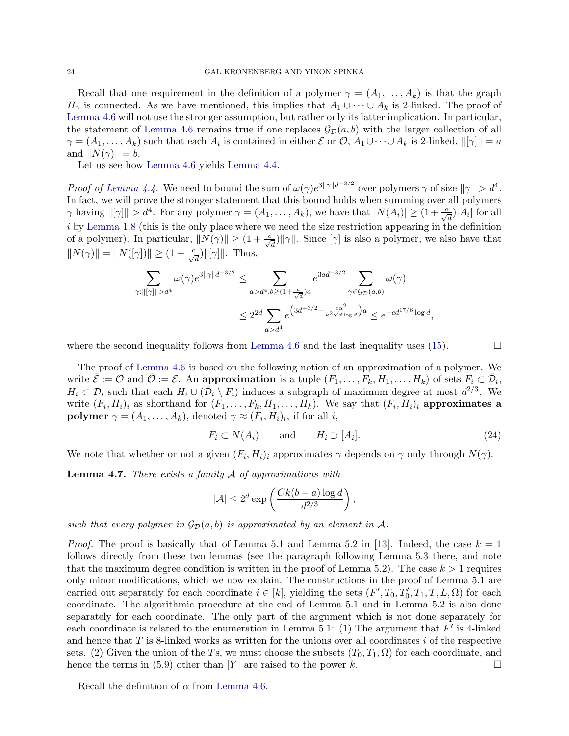Recall that one requirement in the definition of a polymer  $\gamma = (A_1, \ldots, A_k)$  is that the graph  $H_{\gamma}$  is connected. As we have mentioned, this implies that  $A_1 \cup \cdots \cup A_k$  is 2-linked. The proof of [Lemma 4.6](#page-22-1) will not use the stronger assumption, but rather only its latter implication. In particular, the statement of [Lemma 4.6](#page-22-1) remains true if one replaces  $\mathcal{G}_{\mathcal{D}}(a, b)$  with the larger collection of all  $\gamma = (A_1, \ldots, A_k)$  such that each  $A_i$  is contained in either E or  $\mathcal{O}, A_1 \cup \cdots \cup A_k$  is 2-linked,  $\|[\gamma]\| = a$ and  $||N(\gamma)|| = b$ .

Let us see how [Lemma 4.6](#page-22-1) yields [Lemma 4.4.](#page-21-2)

*Proof of [Lemma 4.4.](#page-21-2)* We need to bound the sum of  $\omega(\gamma) e^{3\|\gamma\|d^{-3/2}}$  over polymers  $\gamma$  of size  $\|\gamma\| > d^4$ . In fact, we will prove the stronger statement that this bound holds when summing over all polymers  $\gamma$  having  $\|[\gamma]\| > d^4$ . For any polymer  $\gamma = (A_1, \ldots, A_k)$ , we have that  $|N(A_i)| \geq (1 + \frac{c}{\sqrt{d}})|A_i|$  for all i by [Lemma 1.8](#page-8-1) (this is the only place where we need the size restriction appearing in the definition of a polymer). In particular,  $||N(\gamma)|| \ge (1 + \frac{c}{\sqrt{d}})||\gamma||$ . Since  $[\gamma]$  is also a polymer, we also have that  $||N(\gamma)|| = ||N([\gamma])|| \ge (1 + \frac{c}{\sqrt{d}})||[\gamma]||$ . Thus,

$$
\sum_{\gamma:\|[\gamma]\|>d^4} \omega(\gamma) e^{3\|\gamma\|d^{-3/2}} \leq \sum_{a>d^4,b\geq (1+\frac{c}{\sqrt{d}})a} e^{3ad^{-3/2}} \sum_{\gamma \in \mathcal{G}_{\mathcal{D}}(a,b)} \omega(\gamma)
$$
  

$$
\leq 2^{2d} \sum_{a>d^4} e^{\left(3d^{-3/2} - \frac{c\alpha^2}{k^2\sqrt{d}\log d}\right)a} \leq e^{-cd^{17/6}\log d},
$$

where the second inequality follows from [Lemma 4.6](#page-22-1) and the last inequality uses  $(15)$ .

The proof of [Lemma 4.6](#page-22-1) is based on the following notion of an approximation of a polymer. We write  $\overline{\mathcal{E}} := \mathcal{O}$  and  $\overline{\mathcal{O}} := \mathcal{E}$ . An approximation is a tuple  $(F_1, \ldots, F_k, H_1, \ldots, H_k)$  of sets  $F_i \subset \overline{\mathcal{D}}_i$ ,  $H_i \subset \mathcal{D}_i$  such that each  $H_i \cup (\bar{\mathcal{D}}_i \setminus F_i)$  induces a subgraph of maximum degree at most  $d^{2/3}$ . We write  $(F_i, H_i)_i$  as shorthand for  $(F_1, \ldots, F_k, H_1, \ldots, H_k)$ . We say that  $(F_i, H_i)_i$  approximates a **polymer**  $\gamma = (A_1, \ldots, A_k)$ , denoted  $\gamma \approx (F_i, H_i)_i$ , if for all *i*,

<span id="page-23-2"></span>
$$
F_i \subset N(A_i) \qquad \text{and} \qquad H_i \supset [A_i]. \tag{24}
$$

<span id="page-23-0"></span>We note that whether or not a given  $(F_i, H_i)_i$  approximates  $\gamma$  depends on  $\gamma$  only through  $N(\gamma)$ .

Lemma 4.7. *There exists a family* A *of approximations with*

$$
|\mathcal{A}| \le 2^d \exp\left(\frac{Ck(b-a)\log d}{d^{2/3}}\right),\,
$$

*such that every polymer in*  $\mathcal{G}_D(a, b)$  *is approximated by an element in* A.

*Proof.* The proof is basically that of Lemma 5.1 and Lemma 5.2 in [\[13\]](#page-43-13). Indeed, the case  $k = 1$ follows directly from these two lemmas (see the paragraph following Lemma 5.3 there, and note that the maximum degree condition is written in the proof of Lemma 5.2). The case  $k > 1$  requires only minor modifications, which we now explain. The constructions in the proof of Lemma 5.1 are carried out separately for each coordinate  $i \in [k]$ , yielding the sets  $(F', T_0, T'_0, T_1, T, L, \Omega)$  for each coordinate. The algorithmic procedure at the end of Lemma 5.1 and in Lemma 5.2 is also done separately for each coordinate. The only part of the argument which is not done separately for each coordinate is related to the enumeration in Lemma 5.1: (1) The argument that  $F'$  is 4-linked and hence that  $T$  is 8-linked works as written for the unions over all coordinates  $i$  of the respective sets. (2) Given the union of the Ts, we must choose the subsets  $(T_0, T_1, \Omega)$  for each coordinate, and hence the terms in (5.9) other than  $|Y|$  are raised to the power k.

<span id="page-23-1"></span>Recall the definition of  $\alpha$  from [Lemma 4.6.](#page-22-1)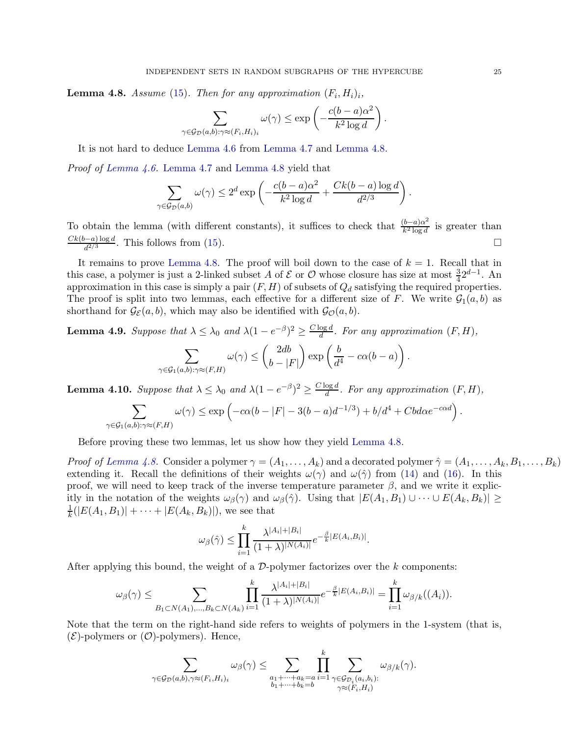**Lemma 4.8.** *Assume* [\(15\)](#page-13-0). Then for any approximation  $(F_i, H_i)_i$ ,

$$
\sum_{\gamma \in \mathcal{G}_{\mathcal{D}}(a,b): \gamma \approx (F_i, H_i)_i} \omega(\gamma) \le \exp\left(-\frac{c(b-a)\alpha^2}{k^2 \log d}\right)
$$

.

It is not hard to deduce [Lemma 4.6](#page-22-1) from [Lemma 4.7](#page-23-0) and [Lemma 4.8.](#page-23-1)

*Proof of [Lemma 4.6.](#page-22-1)* [Lemma 4.7](#page-23-0) and [Lemma 4.8](#page-23-1) yield that

$$
\sum_{\gamma \in \mathcal{G}_D(a,b)} \omega(\gamma) \le 2^d \exp\left(-\frac{c(b-a)\alpha^2}{k^2 \log d} + \frac{Ck(b-a) \log d}{d^{2/3}}\right).
$$

To obtain the lemma (with different constants), it suffices to check that  $\frac{(b-a)\alpha^2}{k^2 \log d}$  $\frac{b-a}{\sqrt{k^2 \log d}}$  is greater than  $\frac{Ck(b-a)\log d}{d^{2/3}}$ . This follows from [\(15\)](#page-13-0).

It remains to prove [Lemma 4.8.](#page-23-1) The proof will boil down to the case of  $k = 1$ . Recall that in this case, a polymer is just a 2-linked subset A of  $\mathcal E$  or  $\mathcal O$  whose closure has size at most  $\frac{3}{4}2^{d-1}$ . An approximation in this case is simply a pair  $(F, H)$  of subsets of  $Q_d$  satisfying the required properties. The proof is split into two lemmas, each effective for a different size of F. We write  $\mathcal{G}_1(a, b)$  as shorthand for  $\mathcal{G}_{\mathcal{E}}(a, b)$ , which may also be identified with  $\mathcal{G}_{\mathcal{O}}(a, b)$ .

<span id="page-24-0"></span>**Lemma 4.9.** Suppose that  $\lambda \leq \lambda_0$  and  $\lambda(1 - e^{-\beta})^2 \geq \frac{C \log d}{d}$  $\frac{\log a}{d}$ . For any approximation  $(F, H)$ ,

$$
\sum_{\gamma \in \mathcal{G}_1(a,b): \gamma \approx (F,H)} \omega(\gamma) \leq {2db \choose b-|F|} \exp\left(\frac{b}{d^4} - c\alpha(b-a)\right).
$$

<span id="page-24-1"></span>**Lemma 4.10.** Suppose that  $\lambda \leq \lambda_0$  and  $\lambda(1 - e^{-\beta})^2 \geq \frac{C \log d}{d}$  $\frac{\log a}{d}$ . For any approximation  $(F, H)$ ,

$$
\sum_{\gamma \in \mathcal{G}_1(a,b): \gamma \approx (F,H)} \omega(\gamma) \le \exp\left(-c\alpha(b-|F| - 3(b-a)d^{-1/3}) + b/d^4 + Cbd\alpha e^{-c\alpha d}\right).
$$

Before proving these two lemmas, let us show how they yield [Lemma 4.8.](#page-23-1)

*Proof of [Lemma 4.8.](#page-23-1)* Consider a polymer  $\gamma = (A_1, \ldots, A_k)$  and a decorated polymer  $\hat{\gamma} = (A_1, \ldots, A_k, B_1, \ldots, B_k)$ extending it. Recall the definitions of their weights  $\omega(\gamma)$  and  $\omega(\hat{\gamma})$  from [\(14\)](#page-12-3) and [\(16\)](#page-13-2). In this proof, we will need to keep track of the inverse temperature parameter  $\beta$ , and we write it explicitly in the notation of the weights  $\omega_{\beta}(\gamma)$  and  $\omega_{\beta}(\hat{\gamma})$ . Using that  $|E(A_1, B_1) \cup \cdots \cup E(A_k, B_k)| \ge$ 1  $\frac{1}{k}(|E(A_1, B_1)| + \cdots + |E(A_k, B_k)|)$ , we see that

$$
\omega_{\beta}(\hat{\gamma}) \leq \prod_{i=1}^{k} \frac{\lambda^{|A_i|+|B_i|}}{(1+\lambda)^{|N(A_i)|}} e^{-\frac{\beta}{k}|E(A_i,B_i)|}.
$$

After applying this bound, the weight of a  $D$ -polymer factorizes over the k components:

$$
\omega_{\beta}(\gamma) \leq \sum_{B_1 \subset N(A_1), \dots, B_k \subset N(A_k)} \prod_{i=1}^k \frac{\lambda^{|A_i|+|B_i|}}{(1+\lambda)^{|N(A_i)|}} e^{-\frac{\beta}{k}|E(A_i, B_i)|} = \prod_{i=1}^k \omega_{\beta/k}((A_i)).
$$

Note that the term on the right-hand side refers to weights of polymers in the 1-system (that is,  $(\mathcal{E})$ -polymers or  $(\mathcal{O})$ -polymers). Hence,

$$
\sum_{\gamma \in \mathcal{G}_{\mathcal{D}}(a,b), \gamma \approx (F_i, H_i)_i} \omega_{\beta}(\gamma) \leq \sum_{\substack{a_1 + \dots + a_k = a \\ b_1 + \dots + b_k = b}} \prod_{i=1}^k \sum_{\substack{\gamma \in \mathcal{G}_{\mathcal{D}_i}(a_i, b_i): \\ \gamma \approx (F_i, H_i)}} \omega_{\beta/k}(\gamma).
$$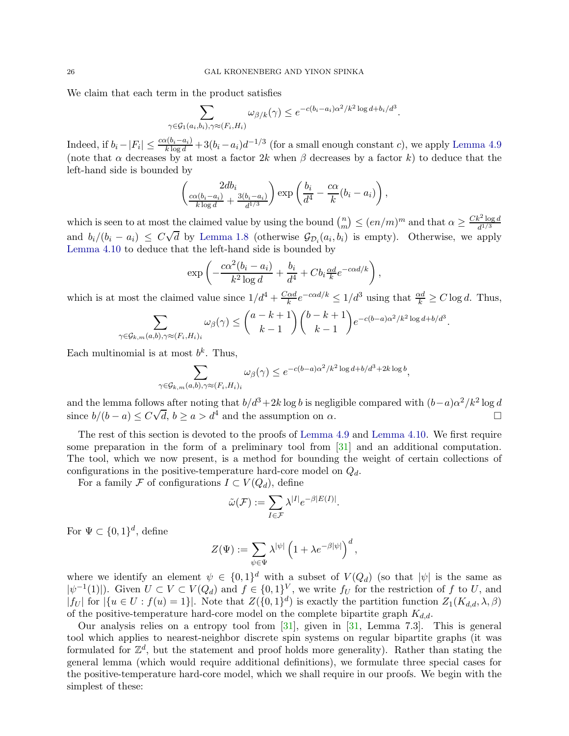We claim that each term in the product satisfies

$$
\sum_{\gamma \in \mathcal{G}_1(a_i, b_i), \gamma \approx (F_i, H_i)} \omega_{\beta/k}(\gamma) \leq e^{-c(b_i - a_i)\alpha^2/k^2 \log d + b_i/d^3}.
$$

Indeed, if  $b_i - |F_i| \leq \frac{c\alpha(b_i - a_i)}{k \log d} + 3(b_i - a_i)d^{-1/3}$  (for a small enough constant c), we apply [Lemma 4.9](#page-24-0) (note that  $\alpha$  decreases by at most a factor 2k when  $\beta$  decreases by a factor k) to deduce that the left-hand side is bounded by

$$
\left(\frac{2db_i}{\frac{c\alpha(b_i-a_i)}{k\log d}+\frac{3(b_i-a_i)}{d^{1/3}}}\right)\exp\left(\frac{b_i}{d^4}-\frac{c\alpha}{k}(b_i-a_i)\right),\,
$$

which is seen to at most the claimed value by using the bound  $\binom{n}{m}$  $\binom{n}{m} \leq (en/m)^m$  and that  $\alpha \geq \frac{Ck^2 \log d}{d^{1/3}}$  $d^{1/3}$ and  $b_i/(b_i - a_i) \leq C\sqrt{d}$  by [Lemma 1.8](#page-8-1) (otherwise  $\mathcal{G}_{\mathcal{D}_i}(a_i, b_i)$  is empty). Otherwise, we apply [Lemma 4.10](#page-24-1) to deduce that the left-hand side is bounded by

$$
\exp\left(-\frac{c\alpha^2(b_i-a_i)}{k^2\log d}+\frac{b_i}{d^4}+Cb_i\frac{\alpha d}{k}e^{-c\alpha d/k}\right),\,
$$

which is at most the claimed value since  $1/d^4 + \frac{C \alpha d}{k}$  $\frac{\log d}{k} e^{-c\alpha d/k} \leq 1/d^3$  using that  $\frac{\alpha d}{k} \geq C \log d$ . Thus,

$$
\sum_{\gamma \in \mathcal{G}_{k,m}(a,b), \gamma \approx (F_i, H_i)_i} \omega_{\beta}(\gamma) \le {a-k+1 \choose k-1} {b-k+1 \choose k-1} e^{-c(b-a)\alpha^2/k^2 \log d + b/d^3}.
$$

Each multinomial is at most  $b^k$ . Thus,

$$
\sum_{\gamma \in \mathcal{G}_{k,m}(a,b), \gamma \approx (F_i, H_i)_i} \omega_{\beta}(\gamma) \le e^{-c(b-a)\alpha^2/k^2 \log d + b/d^3 + 2k \log b},
$$

and the lemma follows after noting that  $b/d^3 + 2k \log b$  is negligible compared with  $(b-a)\alpha^2/k^2 \log d$ since  $b/(b-a) \le C\sqrt{d}$ ,  $b \ge a > d^4$  and the assumption on  $\alpha$ .

The rest of this section is devoted to the proofs of [Lemma 4.9](#page-24-0) and [Lemma 4.10.](#page-24-1) We first require some preparation in the form of a preliminary tool from [\[31\]](#page-43-14) and an additional computation. The tool, which we now present, is a method for bounding the weight of certain collections of configurations in the positive-temperature hard-core model on  $Q_d$ .

For a family F of configurations  $I \subset V(Q_d)$ , define

$$
\tilde{\omega}(\mathcal{F}) := \sum_{I \in \mathcal{F}} \lambda^{|I|} e^{-\beta |E(I)|}
$$

.

For  $\Psi \subset \{0,1\}^d$ , define

$$
Z(\Psi) := \sum_{\psi \in \Psi} \lambda^{|\psi|} \left( 1 + \lambda e^{-\beta |\psi|} \right)^d,
$$

where we identify an element  $\psi \in \{0,1\}^d$  with a subset of  $V(Q_d)$  (so that  $|\psi|$  is the same as  $|\psi^{-1}(1)|$ . Given  $U \subset V \subset V(Q_d)$  and  $f \in \{0,1\}^V$ , we write  $f_U$  for the restriction of f to U, and  $|f_U|$  for  $|\{u \in U : f(u) = 1\}|$ . Note that  $Z(\{0,1\}^d)$  is exactly the partition function  $Z_1(K_{d,d}, \lambda, \beta)$ of the positive-temperature hard-core model on the complete bipartite graph  $K_{d,d}$ .

<span id="page-25-0"></span>Our analysis relies on a entropy tool from [\[31\]](#page-43-14), given in [\[31,](#page-43-14) Lemma 7.3]. This is general tool which applies to nearest-neighbor discrete spin systems on regular bipartite graphs (it was formulated for  $\mathbb{Z}^d$ , but the statement and proof holds more generality). Rather than stating the general lemma (which would require additional definitions), we formulate three special cases for the positive-temperature hard-core model, which we shall require in our proofs. We begin with the simplest of these: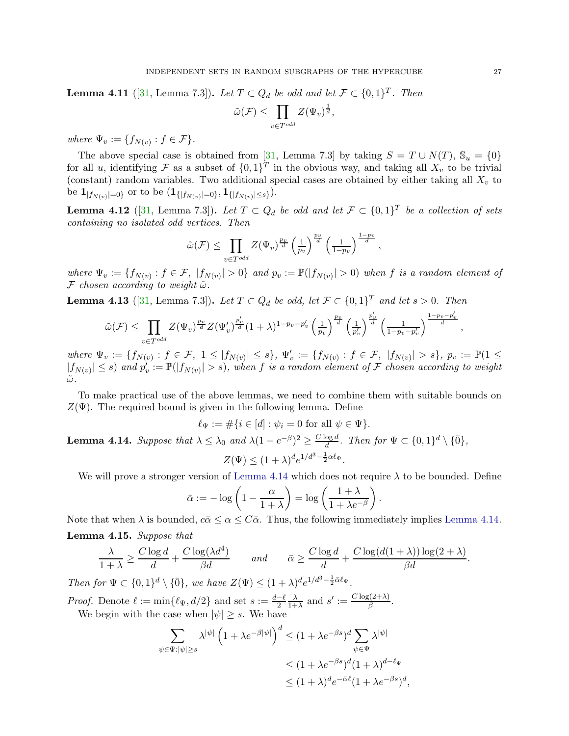**Lemma 4.11** ([\[31,](#page-43-14) Lemma 7.3]). Let  $T \subset Q_d$  be odd and let  $\mathcal{F} \subset \{0,1\}^T$ . Then

$$
\tilde{\omega}(\mathcal{F}) \le \prod_{v \in T^{odd}} Z(\Psi_v)^{\frac{1}{d}},
$$

*where*  $\Psi_v := \{f_{N(v)} : f \in \mathcal{F}\}.$ 

The above special case is obtained from [\[31,](#page-43-14) Lemma 7.3] by taking  $S = T \cup N(T)$ ,  $\mathbb{S}_u = \{0\}$ for all u, identifying F as a subset of  $\{0,1\}^T$  in the obvious way, and taking all  $X_v$  to be trivial (constant) random variables. Two additional special cases are obtained by either taking all  $X<sub>v</sub>$  to be  $\mathbf{1}_{|f_{N(v)}|=0\}}$  or to be  $(\mathbf{1}_{\{|f_{N(v)}|=0\}},\mathbf{1}_{\{|f_{N(v)}|\leq s\}}).$ 

<span id="page-26-1"></span>**Lemma 4.12** ([\[31,](#page-43-14) Lemma 7.3]). Let  $T \subset Q_d$  be odd and let  $\mathcal{F} \subset \{0,1\}^T$  be a collection of sets *containing no isolated odd vertices. Then*

$$
\tilde{\omega}(\mathcal{F}) \leq \prod_{v \in T^{odd}} Z(\Psi_v)^{\frac{p_v}{d}} \left(\frac{1}{p_v}\right)^{\frac{p_v}{d}} \left(\frac{1}{1-p_v}\right)^{\frac{1-p_v}{d}},
$$

 $where \Psi_v := \{f_{N(v)} : f \in \mathcal{F}, |f_{N(v)}| > 0\}$  and  $p_v := \mathbb{P}(|f_{N(v)}| > 0)$  when f is a random element of  $\mathcal F$  *chosen according to weight*  $\tilde{\omega}$ *.* 

<span id="page-26-2"></span>**Lemma 4.13** ([\[31,](#page-43-14) Lemma 7.3]). Let  $T \subset Q_d$  be odd, let  $\mathcal{F} \subset \{0,1\}^T$  and let  $s > 0$ . Then

$$
\tilde{\omega}(\mathcal{F}) \le \prod_{v \in T^{odd}} Z(\Psi_v)^{\frac{p_v}{d}} Z(\Psi'_v)^{\frac{p'_v}{d}} (1+\lambda)^{1-p_v-p'_v} \left(\frac{1}{p_v}\right)^{\frac{p_v}{d}} \left(\frac{1}{p'_v}\right)^{\frac{p'_v}{d}} \left(\frac{1}{1-p_v-p'_v}\right)^{\frac{1-p_v-p'_v}{d}}
$$

 $where \Psi_v := \{f_{N(v)} : f \in \mathcal{F}, 1 \leq |f_{N(v)}| \leq s\}, \Psi'_v := \{f_{N(v)} : f \in \mathcal{F}, |f_{N(v)}| > s\}, p_v := \mathbb{P}(1 \leq$  $|f_{N(v)}| \leq s$  and  $p'_v := \mathbb{P}(|f_{N(v)}| > s)$ , when f is a random element of F chosen according to weight  $\tilde{\omega}$ .

To make practical use of the above lemmas, we need to combine them with suitable bounds on  $Z(\Psi)$ . The required bound is given in the following lemma. Define

$$
\ell_{\Psi} := \#\{i \in [d] : \psi_i = 0 \text{ for all } \psi \in \Psi\}.
$$

<span id="page-26-0"></span>**Lemma 4.14.** *Suppose that*  $\lambda \leq \lambda_0$  *and*  $\lambda (1 - e^{-\beta})^2 \geq \frac{C \log d}{d}$  $\frac{\log d}{d}$ *.* Then for  $\Psi \subset \{0,1\}^d \setminus \{\bar{0}\},\$  $Z(\Psi) \leq (1+\lambda)^d e^{1/d^3 - \frac{1}{2}\alpha \ell_\Psi}.$ 

We will prove a stronger version of [Lemma 4.14](#page-26-0) which does not require  $\lambda$  to be bounded. Define

$$
\bar{\alpha} := -\log\left(1 - \frac{\alpha}{1+\lambda}\right) = \log\left(\frac{1+\lambda}{1+\lambda e^{-\beta}}\right).
$$

<span id="page-26-3"></span>Note that when  $\lambda$  is bounded,  $c\bar{\alpha} \leq \alpha \leq C\bar{\alpha}$ . Thus, the following immediately implies [Lemma 4.14.](#page-26-0) Lemma 4.15. *Suppose that*

$$
\frac{\lambda}{1+\lambda} \ge \frac{C \log d}{d} + \frac{C \log(\lambda d^4)}{\beta d} \quad \text{and} \quad \bar{\alpha} \ge \frac{C \log d}{d} + \frac{C \log(d(1+\lambda)) \log(2+\lambda)}{\beta d}.
$$

*Then for*  $\Psi \subset \{0,1\}^d \setminus \{\overline{0}\}\$ *, we have*  $Z(\Psi) \leq (1+\lambda)^d e^{1/d^3 - \frac{1}{2}\overline{\alpha}\ell_{\Psi}}$ *.* 

*Proof.* Denote  $\ell := \min{\{\ell_{\Psi}, d/2\}}$  and set  $s := \frac{d-\ell}{2}$ λ  $\frac{\lambda}{1+\lambda}$  and  $s' := \frac{C \log(2+\lambda)}{\beta}$ ,(2+λ)</sup>,<br>β We begin with the case when  $|\psi| \geq s$ . We have

$$
\sum_{\psi \in \Psi : |\psi| \ge s} \lambda^{|\psi|} \left( 1 + \lambda e^{-\beta |\psi|} \right)^d \le (1 + \lambda e^{-\beta s})^d \sum_{\psi \in \Psi} \lambda^{|\psi|}
$$
  

$$
\le (1 + \lambda e^{-\beta s})^d (1 + \lambda)^{d - \ell_{\Psi}}
$$
  

$$
\le (1 + \lambda)^d e^{-\bar{\alpha} \ell} (1 + \lambda e^{-\beta s})^d,
$$

,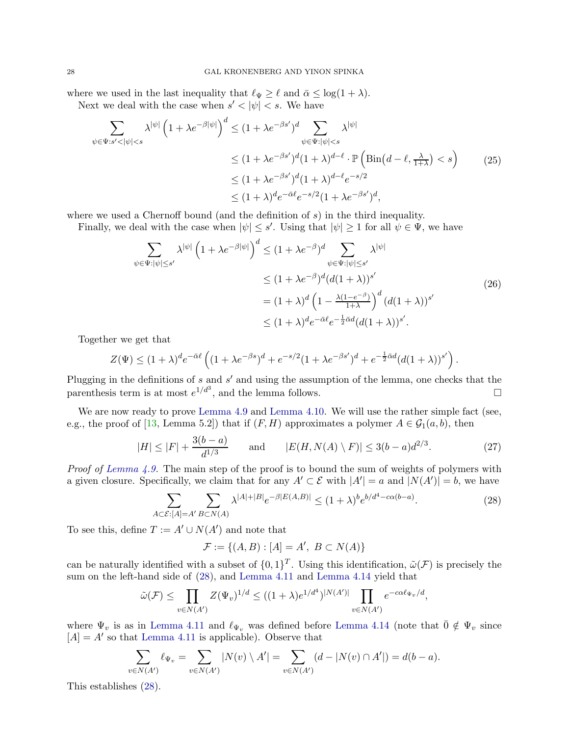where we used in the last inequality that  $\ell_{\Psi} \geq \ell$  and  $\bar{\alpha} \leq \log(1 + \lambda)$ .

Next we deal with the case when  $s' < |\psi| < s$ . We have

<span id="page-27-2"></span>
$$
\sum_{\psi \in \Psi : s' < |\psi| < s} \lambda^{|\psi|} \left( 1 + \lambda e^{-\beta |\psi|} \right)^d \le (1 + \lambda e^{-\beta s'})^d \sum_{\psi \in \Psi : |\psi| < s} \lambda^{|\psi|}
$$
\n
$$
\le (1 + \lambda e^{-\beta s'})^d (1 + \lambda)^{d - \ell} \cdot \mathbb{P} \left( \text{Bin}(d - \ell, \frac{\lambda}{1 + \lambda}) < s \right) \tag{25}
$$
\n
$$
\le (1 + \lambda e^{-\beta s'})^d (1 + \lambda)^{d - \ell} e^{-s/2}
$$
\n
$$
\le (1 + \lambda)^d e^{-\bar{\alpha} \ell} e^{-s/2} (1 + \lambda e^{-\beta s'})^d,
$$

where we used a Chernoff bound (and the definition of  $s$ ) in the third inequality.

Finally, we deal with the case when  $|\psi| \leq s'$ . Using that  $|\psi| \geq 1$  for all  $\psi \in \Psi$ , we have

<span id="page-27-3"></span>
$$
\sum_{\psi \in \Psi : |\psi| \le s'} \lambda^{|\psi|} \left( 1 + \lambda e^{-\beta |\psi|} \right)^d \le (1 + \lambda e^{-\beta})^d \sum_{\psi \in \Psi : |\psi| \le s'} \lambda^{|\psi|}
$$
  

$$
\le (1 + \lambda e^{-\beta})^d (d(1 + \lambda))^{s'}
$$
  

$$
= (1 + \lambda)^d \left( 1 - \frac{\lambda (1 - e^{-\beta})}{1 + \lambda} \right)^d (d(1 + \lambda))^{s'}
$$
  

$$
\le (1 + \lambda)^d e^{-\bar{\alpha} \ell} e^{-\frac{1}{2} \bar{\alpha} d} (d(1 + \lambda))^{s'}.
$$
 (26)

Together we get that

$$
Z(\Psi) \le (1+\lambda)^d e^{-\bar{\alpha}\ell} \left( (1+\lambda e^{-\beta s})^d + e^{-s/2} (1+\lambda e^{-\beta s'})^d + e^{-\frac{1}{2}\bar{\alpha}d} (d(1+\lambda))^{s'} \right).
$$

Plugging in the definitions of s and s' and using the assumption of the lemma, one checks that the parenthesis term is at most  $e^{1/d^3}$ , and the lemma follows.

We are now ready to prove [Lemma 4.9](#page-24-0) and [Lemma 4.10.](#page-24-1) We will use the rather simple fact (see, e.g., the proof of [\[13,](#page-43-13) Lemma 5.2]) that if  $(F, H)$  approximates a polymer  $A \in \mathcal{G}_1(a, b)$ , then

<span id="page-27-1"></span>
$$
|H| \le |F| + \frac{3(b-a)}{d^{1/3}} \quad \text{and} \quad |E(H, N(A) \setminus F)| \le 3(b-a)d^{2/3}.
$$
 (27)

*Proof of [Lemma 4.9.](#page-24-0)* The main step of the proof is to bound the sum of weights of polymers with a given closure. Specifically, we claim that for any  $A' \subset \mathcal{E}$  with  $|A'| = a$  and  $|N(A')| = b$ , we have

<span id="page-27-0"></span>
$$
\sum_{A \subset \mathcal{E}: [A] = A'} \sum_{B \subset N(A)} \lambda^{|A| + |B|} e^{-\beta |E(A,B)|} \le (1 + \lambda)^b e^{b/d^4 - c\alpha(b-a)}.
$$
 (28)

To see this, define  $T := A' \cup N(A')$  and note that

$$
\mathcal{F} := \{ (A, B) : [A] = A', \ B \subset N(A) \}
$$

can be naturally identified with a subset of  $\{0,1\}^T$ . Using this identification,  $\tilde{\omega}(\mathcal{F})$  is precisely the sum on the left-hand side of [\(28\)](#page-27-0), and [Lemma 4.11](#page-25-0) and [Lemma 4.14](#page-26-0) yield that

$$
\tilde{\omega}(\mathcal{F}) \le \prod_{v \in N(A')} Z(\Psi_v)^{1/d} \le ((1+\lambda)e^{1/d^4})^{|N(A')|} \prod_{v \in N(A')} e^{-c\alpha \ell_{\Psi_v}/d},
$$

where  $\Psi_v$  is as in [Lemma 4.11](#page-25-0) and  $\ell_{\Psi_v}$  was defined before [Lemma 4.14](#page-26-0) (note that  $\bar{0} \notin \Psi_v$  since  $[A] = A'$  so that [Lemma 4.11](#page-25-0) is applicable). Observe that

$$
\sum_{v \in N(A')} \ell_{\Psi_v} = \sum_{v \in N(A')} |N(v) \setminus A'| = \sum_{v \in N(A')} (d - |N(v) \cap A'|) = d(b - a).
$$

This establishes [\(28\)](#page-27-0).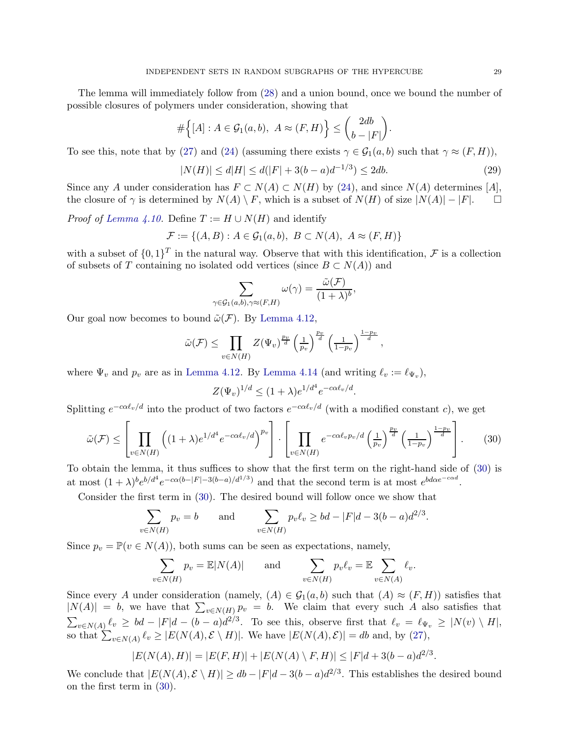The lemma will immediately follow from [\(28\)](#page-27-0) and a union bound, once we bound the number of possible closures of polymers under consideration, showing that

$$
\#\Big\{[A]:A\in\mathcal{G}_1(a,b),\ A\approx(F,H)\Big\}\leq\binom{2db}{b-|F|}.
$$

To see this, note that by [\(27\)](#page-27-1) and [\(24\)](#page-23-2) (assuming there exists  $\gamma \in \mathcal{G}_1(a, b)$  such that  $\gamma \approx (F, H)$ ),

<span id="page-28-1"></span>
$$
|N(H)| \le d|H| \le d(|F| + 3(b - a)d^{-1/3}) \le 2db. \tag{29}
$$

Since any A under consideration has  $F \subset N(A) \subset N(H)$  by [\(24\)](#page-23-2), and since  $N(A)$  determines [A], the closure of  $\gamma$  is determined by  $N(A) \setminus F$ , which is a subset of  $N(H)$  of size  $|N(A)| - |F|$ . the closure of  $\gamma$  is determined by  $N(A) \setminus F$ , which is a subset of  $N(H)$  of size  $|N(A)| - |F|$ .

*Proof of [Lemma 4.10.](#page-24-1)* Define  $T := H \cup N(H)$  and identify

$$
\mathcal{F} := \{ (A, B) : A \in \mathcal{G}_1(a, b), \ B \subset N(A), \ A \approx (F, H) \}
$$

with a subset of  $\{0,1\}^T$  in the natural way. Observe that with this identification, F is a collection of subsets of T containing no isolated odd vertices (since  $B \subset N(A)$ ) and

$$
\sum_{\gamma \in \mathcal{G}_1(a,b), \gamma \approx (F,H)} \omega(\gamma) = \frac{\tilde{\omega}(\mathcal{F})}{(1+\lambda)^b},
$$

Our goal now becomes to bound  $\tilde{\omega}(\mathcal{F})$ . By [Lemma 4.12,](#page-26-1)

$$
\tilde{\omega}(\mathcal{F}) \leq \prod_{v \in N(H)} Z(\Psi_v)^{\frac{pv}{d}} \left(\frac{1}{p_v}\right)^{\frac{pv}{d}} \left(\frac{1}{1-p_v}\right)^{\frac{1-pv}{d}},
$$

where  $\Psi_v$  and  $p_v$  are as in [Lemma 4.12.](#page-26-1) By [Lemma 4.14](#page-26-0) (and writing  $\ell_v := \ell_{\Psi_v}$ ),

$$
Z(\Psi_v)^{1/d} \le (1+\lambda)e^{1/d^4}e^{-c\alpha\ell_v/d}.
$$

Splitting  $e^{-c\alpha \ell_v/d}$  into the product of two factors  $e^{-c\alpha \ell_v/d}$  (with a modified constant c), we get

<span id="page-28-0"></span>
$$
\tilde{\omega}(\mathcal{F}) \le \left[ \prod_{v \in N(H)} \left( (1+\lambda)e^{1/d^4} e^{-c\alpha \ell_v/d} \right)^{p_v} \right] \cdot \left[ \prod_{v \in N(H)} e^{-c\alpha \ell_v p_v/d} \left( \frac{1}{p_v} \right)^{\frac{p_v}{d}} \left( \frac{1}{1-p_v} \right)^{\frac{1-p_v}{d}} \right]. \tag{30}
$$

To obtain the lemma, it thus suffices to show that the first term on the right-hand side of [\(30\)](#page-28-0) is at most  $(1+\lambda)^b e^{b/d^4} e^{-c\alpha(b-|F|-3(b-a)/d^{1/3})}$  and that the second term is at most  $e^{b d\alpha e^{-c\alpha d}}$ .

Consider the first term in [\(30\)](#page-28-0). The desired bound will follow once we show that

$$
\sum_{v \in N(H)} p_v = b \quad \text{and} \quad \sum_{v \in N(H)} p_v \ell_v \ge bd - |F|d - 3(b-a)d^{2/3}.
$$

Since  $p_v = \mathbb{P}(v \in N(A))$ , both sums can be seen as expectations, namely,

$$
\sum_{v \in N(H)} p_v = \mathbb{E}|N(A)| \quad \text{and} \quad \sum_{v \in N(H)} p_v \ell_v = \mathbb{E} \sum_{v \in N(A)} \ell_v.
$$

Since every A under consideration (namely,  $(A) \in \mathcal{G}_1(a, b)$  such that  $(A) \approx (F, H)$ ) satisfies that  $|N(A)| = b$ , we have that  $\sum_{v \in N(H)} p_v = b$ . We claim that every such A also satisfies that  $\sum_{v \in N(A)} \ell_v \geq bd - |F|d - (b - a)d^{2/3}$ . To see this, observe first that  $\ell_v = \ell_{\Psi_v} \geq |N(v) \setminus H|$ , so that  $\sum_{v \in N(A)} \ell_v \ge |E(N(A), \mathcal{E} \setminus H)|$ . We have  $|E(N(A), \mathcal{E})| = db$  and, by [\(27\)](#page-27-1),

$$
|E(N(A),H)| = |E(F,H)| + |E(N(A) \setminus F,H)| \le |F|d + 3(b-a)d^{2/3}.
$$

We conclude that  $|E(N(A), \mathcal{E} \setminus H)| \ge db - |F|d - 3(b - a)d^{2/3}$ . This establishes the desired bound on the first term in [\(30\)](#page-28-0).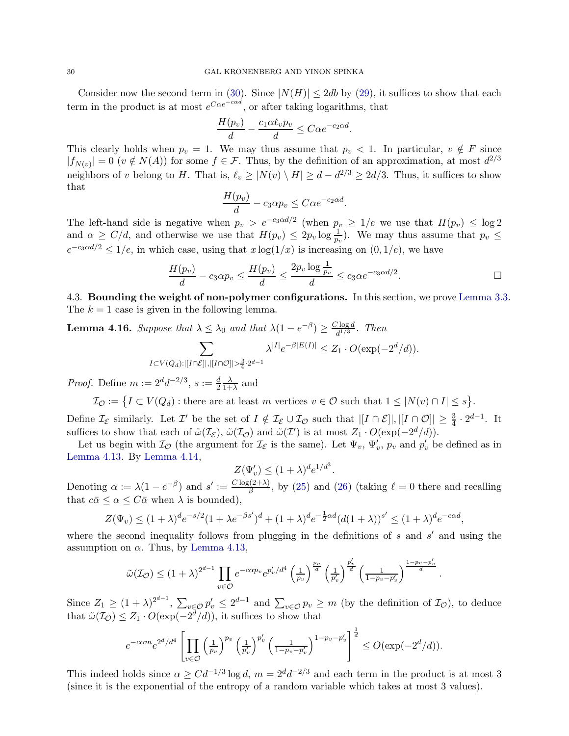#### 30 GAL KRONENBERG AND YINON SPINKA

Consider now the second term in [\(30\)](#page-28-0). Since  $|N(H)| \leq 2db$  by [\(29\)](#page-28-1), it suffices to show that each term in the product is at most  $e^{C\alpha e^{-c\alpha d}}$ , or after taking logarithms, that

$$
\frac{H(p_v)}{d} - \frac{c_1 \alpha \ell_v p_v}{d} \le C \alpha e^{-c_2 \alpha d}.
$$

This clearly holds when  $p_v = 1$ . We may thus assume that  $p_v < 1$ . In particular,  $v \notin F$  since  $|f_{N(v)}| = 0$  ( $v \notin N(A)$ ) for some  $f \in \mathcal{F}$ . Thus, by the definition of an approximation, at most  $d^{2/3}$ neighbors of v belong to H. That is,  $\ell_v \ge |N(v) \setminus H| \ge d - d^{2/3} \ge 2d/3$ . Thus, it suffices to show that

$$
\frac{H(p_v)}{d} - c_3 \alpha p_v \leq C \alpha e^{-c_2 \alpha d}.
$$

The left-hand side is negative when  $p_v > e^{-c_3 \alpha d/2}$  (when  $p_v \ge 1/e$  we use that  $H(p_v) \le \log 2$ and  $\alpha \geq C/d$ , and otherwise we use that  $H(p_v) \leq 2p_v \log \frac{1}{p_v}$ . We may thus assume that  $p_v \leq$  $e^{-c_3 \alpha d/2} \le 1/e$ , in which case, using that  $x \log(1/x)$  is increasing on  $(0, 1/e)$ , we have

$$
\frac{H(p_v)}{d} - c_3 \alpha p_v \le \frac{H(p_v)}{d} \le \frac{2p_v \log \frac{1}{p_v}}{d} \le c_3 \alpha e^{-c_3 \alpha d/2}.
$$

<span id="page-29-1"></span><span id="page-29-0"></span>4.3. Bounding the weight of non-polymer configurations. In this section, we prove [Lemma 3.3.](#page-13-4) The  $k = 1$  case is given in the following lemma.

**Lemma 4.16.** Suppose that  $\lambda \leq \lambda_0$  and that  $\lambda(1 - e^{-\beta}) \geq \frac{C \log d}{d^{1/3}}$  $\frac{d^{1/3}}{d^{1/3}}$ . Then

$$
\sum_{I \subset V(Q_d): |[I \cap \mathcal{E}]|, |[I \cap \mathcal{O}]| > \frac{3}{4} \cdot 2^{d-1}} \lambda^{|I|} e^{-\beta |E(I)|} \le Z_1 \cdot O(\exp(-2^d/d)).
$$

*Proof.* Define  $m := 2^d d^{-2/3}$ ,  $s := \frac{d}{2}$ λ  $\frac{\lambda}{1+\lambda}$  and

 $\mathcal{I}_{\mathcal{O}} := \{ I \subset V(Q_d) : \text{there are at least } m \text{ vertices } v \in \mathcal{O} \text{ such that } 1 \leq |N(v) \cap I| \leq s \}.$ 

Define  $\mathcal{I}_{\mathcal{E}}$  similarly. Let  $\mathcal{I}'$  be the set of  $I \notin \mathcal{I}_{\mathcal{E}} \cup \mathcal{I}_{\mathcal{O}}$  such that  $|[I \cap \mathcal{E}]|, |[I \cap \mathcal{O}]| \geq \frac{3}{4} \cdot 2^{d-1}$ . It suffices to show that each of  $\tilde{\omega}(\mathcal{I}_{\mathcal{E}})$ ,  $\tilde{\omega}(\mathcal{I}_{\mathcal{O}})$  and  $\tilde{\omega}(\mathcal{I}')$  is at most  $Z_1 \cdot O(\exp(-2^d/d)).$ 

Let us begin with  $\mathcal{I}_{\mathcal{O}}$  (the argument for  $\mathcal{I}_{\mathcal{E}}$  is the same). Let  $\Psi_v$ ,  $\Psi'_v$ ,  $p_v$  and  $p'_v$  be defined as in [Lemma 4.13.](#page-26-2) By [Lemma 4.14,](#page-26-0)

$$
Z(\Psi_v') \le (1+\lambda)^d e^{1/d^3}.
$$

Denoting  $\alpha := \lambda(1 - e^{-\beta})$  and  $s' := \frac{C \log(2 + \lambda)}{\beta}$  $\frac{(\mathcal{L} + \mathcal{L})}{\beta}$ , by [\(25\)](#page-27-2) and [\(26\)](#page-27-3) (taking  $\ell = 0$  there and recalling that  $c\bar{\alpha} \leq \alpha \leq C\bar{\alpha}$  when  $\lambda$  is bounded),

$$
Z(\Psi_v) \le (1+\lambda)^d e^{-s/2} (1+\lambda e^{-\beta s'})^d + (1+\lambda)^d e^{-\frac{1}{2}\alpha d} (d(1+\lambda))^{s'} \le (1+\lambda)^d e^{-c\alpha d},
$$

where the second inequality follows from plugging in the definitions of  $s$  and  $s'$  and using the assumption on  $\alpha$ . Thus, by [Lemma 4.13,](#page-26-2)

$$
\tilde{\omega}(\mathcal{I}_{\mathcal{O}}) \le (1+\lambda)^{2^{d-1}} \prod_{v \in \mathcal{O}} e^{-c\alpha p_v} e^{p'_v/d^4} \left(\frac{1}{p_v}\right)^{\frac{p_v}{d}} \left(\frac{1}{p'_v}\right)^{\frac{p'_v}{d}} \left(\frac{1}{1-p_v-p'_v}\right)^{\frac{1-p_v-p'_v}{d}}
$$

.

Since  $Z_1 \ge (1 + \lambda)^{2^{d-1}}$ ,  $\sum_{v \in \mathcal{O}} p_v^{\prime} \le 2^{d-1}$  and  $\sum_{v \in \mathcal{O}} p_v \ge m$  (by the definition of  $\mathcal{I}_{\mathcal{O}}$ ), to deduce that  $\tilde{\omega}(\mathcal{I}_{\mathcal{O}}) \leq Z_1 \cdot O(\exp(-2^d/d)),$  it suffices to show that

$$
e^{-c\alpha m}e^{2^d/d^4}\left[\prod_{v\in\mathcal{O}}\left(\frac{1}{p_v}\right)^{p_v}\left(\frac{1}{p'_v}\right)^{p'_v}\left(\frac{1}{1-p_v-p'_v}\right)^{1-p_v-p'_v}\right]^{\frac{1}{d}}\leq O(\exp(-2^d/d)).
$$

This indeed holds since  $\alpha \geq Cd^{-1/3}\log d$ ,  $m = 2^d d^{-2/3}$  and each term in the product is at most 3 (since it is the exponential of the entropy of a random variable which takes at most 3 values).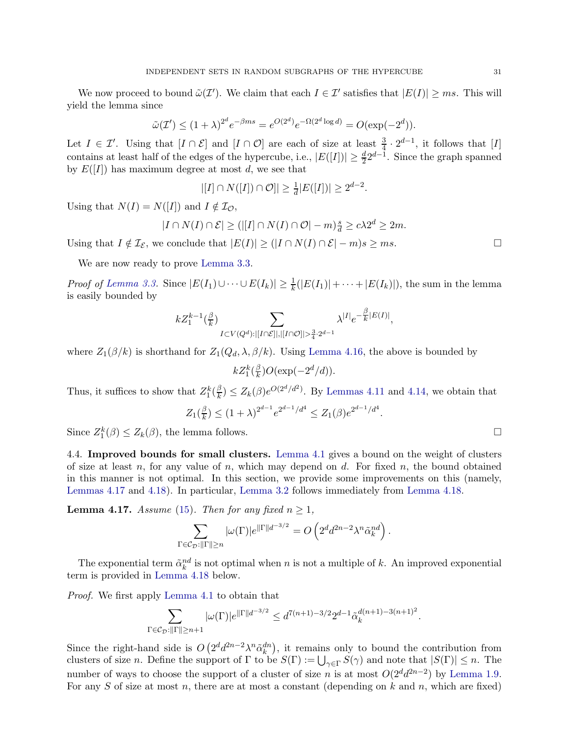We now proceed to bound  $\tilde{\omega}(\mathcal{I}')$ . We claim that each  $I \in \mathcal{I}'$  satisfies that  $|E(I)| \geq ms$ . This will yield the lemma since

$$
\tilde{\omega}(\mathcal{I}') \le (1+\lambda)^{2^d} e^{-\beta ms} = e^{O(2^d)} e^{-\Omega(2^d \log d)} = O(\exp(-2^d)).
$$

Let  $I \in \mathcal{I}'$ . Using that  $[I \cap \mathcal{E}]$  and  $[I \cap \mathcal{O}]$  are each of size at least  $\frac{3}{4} \cdot 2^{d-1}$ , it follows that  $[I]$ contains at least half of the edges of the hypercube, i.e.,  $|E([I])| \geq \frac{d}{2} 2^{d-1}$ . Since the graph spanned by  $E([I])$  has maximum degree at most d, we see that

$$
|[I] \cap N([I]) \cap \mathcal{O}] \ge \frac{1}{d}|E([I])| \ge 2^{d-2}
$$

.

Using that  $N(I) = N([I])$  and  $I \notin \mathcal{I}_{\mathcal{O}}$ ,

$$
|I \cap N(I) \cap \mathcal{E}| \ge (|[I] \cap N(I) \cap \mathcal{O}| - m)^{\frac{s}{d}} \ge c\lambda 2^d \ge 2m.
$$

Using that  $I \notin \mathcal{I}_{\mathcal{E}}$ , we conclude that  $|E(I)| \geq (|I \cap N(I) \cap \mathcal{E}| - m)s \geq ms$ .

We are now ready to prove [Lemma 3.3.](#page-13-4)

*Proof of [Lemma 3.3.](#page-13-4)* Since  $|E(I_1) \cup \cdots \cup E(I_k)| \geq \frac{1}{k}(|E(I_1)| + \cdots + |E(I_k)|)$ , the sum in the lemma is easily bounded by

$$
kZ^{k-1}_1(\tfrac{\beta}{k})\sum_{I\subset V(Q^d):|[I\cap\mathcal{E}]|,|[I\cap\mathcal{O}]|>\frac{3}{4}\cdot 2^{d-1}}\lambda^{|I|}e^{-\tfrac{\beta}{k}|E(I)|},
$$

where  $Z_1(\beta/k)$  is shorthand for  $Z_1(Q_d, \lambda, \beta/k)$ . Using [Lemma 4.16,](#page-29-1) the above is bounded by

 $kZ_{1}^{k}(\frac{\beta}{k}% ,\overline{\alpha})\equiv\frac{1}{2k}(\frac{\beta}{2k}+\overline{\alpha})^{2}\equiv\frac{1}{2k}(\frac{\beta}{2k}+\overline{\alpha})^{2}$  $\frac{\beta}{k}$ )O(exp(-2<sup>d</sup>/d)).

Thus, it suffices to show that  $Z_1^k(\frac{\beta}{k})$  $\frac{\beta}{k}$ )  $\leq Z_k(\beta)e^{O(2^d/d^2)}$ . By [Lemmas 4.11](#page-25-0) and [4.14,](#page-26-0) we obtain that

$$
Z_1(\frac{\beta}{k}) \le (1+\lambda)^{2^{d-1}} e^{2^{d-1}/d^4} \le Z_1(\beta) e^{2^{d-1}/d^4}.
$$

Since  $Z_1^k(\beta) \le Z_k(\beta)$ , the lemma follows.

<span id="page-30-0"></span>4.4. Improved bounds for small clusters. [Lemma 4.1](#page-19-2) gives a bound on the weight of clusters of size at least n, for any value of n, which may depend on d. For fixed n, the bound obtained in this manner is not optimal. In this section, we provide some improvements on this (namely, [Lemmas 4.17](#page-30-1) and [4.18\)](#page-31-0). In particular, [Lemma 3.2](#page-13-3) follows immediately from [Lemma 4.18.](#page-31-0)

<span id="page-30-1"></span>**Lemma 4.17.** *Assume* [\(15\)](#page-13-0)*. Then for any fixed*  $n \geq 1$ *,* 

$$
\sum_{\Gamma \in \mathcal{C}_{\mathcal{D}}: \|\Gamma\| \ge n} |\omega(\Gamma)| e^{\|\Gamma\| d^{-3/2}} = O\left(2^d d^{2n-2} \lambda^n \tilde{\alpha}_k^{nd}\right).
$$

The exponential term  $\tilde{\alpha}_k^{nd}$  is not optimal when n is not a multiple of k. An improved exponential term is provided in [Lemma 4.18](#page-31-0) below.

*Proof.* We first apply [Lemma 4.1](#page-19-2) to obtain that

$$
\sum_{\Gamma \in \mathcal{C}_{\mathcal{D}}: \|\Gamma\| \ge n+1} |\omega(\Gamma)| e^{\|\Gamma\| d^{-3/2}} \le d^{7(n+1)-3/2} 2^{d-1} \tilde{\alpha}_k^{d(n+1)-3(n+1)^2}.
$$

Since the right-hand side is  $O(2^d d^{2n-2} \lambda^n \tilde{\alpha}_k^{dn})$ , it remains only to bound the contribution from clusters of size *n*. Define the support of  $\Gamma$  to be  $S(\Gamma) := \bigcup_{\gamma \in \Gamma} S(\gamma)$  and note that  $|S(\Gamma)| \leq n$ . The number of ways to choose the support of a cluster of size n is at most  $O(2^d d^{2n-2})$  by [Lemma 1.9.](#page-9-4) For any S of size at most n, there are at most a constant (depending on k and n, which are fixed)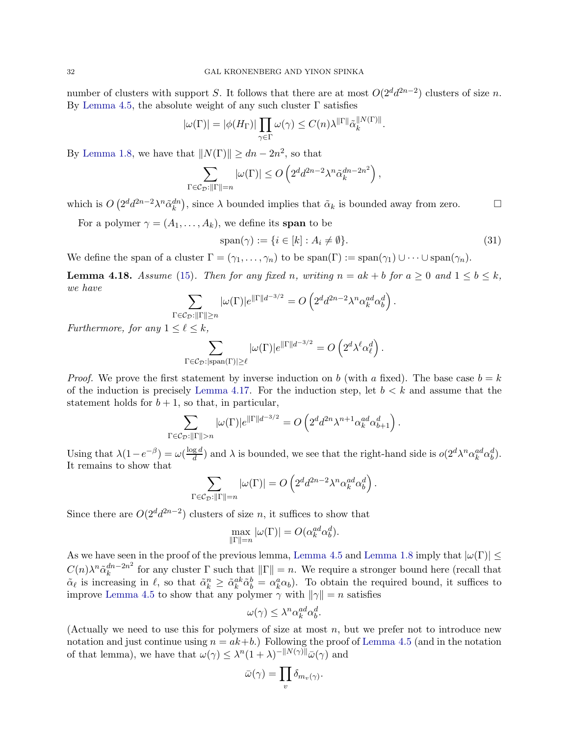number of clusters with support S. It follows that there are at most  $O(2^d d^{2n-2})$  clusters of size n. By [Lemma 4.5,](#page-21-1) the absolute weight of any such cluster  $\Gamma$  satisfies

$$
|\omega(\Gamma)| = |\phi(H_{\Gamma})| \prod_{\gamma \in \Gamma} \omega(\gamma) \le C(n) \lambda^{\|\Gamma\|} \tilde{\alpha}_k^{\|N(\Gamma)\|}.
$$

By [Lemma 1.8,](#page-8-1) we have that  $||N(\Gamma)|| \ge dn - 2n^2$ , so that

$$
\sum_{\Gamma \in \mathcal{C}_{\mathcal{D}}: ||\Gamma|| = n} |\omega(\Gamma)| \le O\left(2^d d^{2n-2} \lambda^n \tilde{\alpha}_k^{dn-2n^2}\right),
$$

which is  $O(2^d d^{2n-2} \lambda^n \tilde{\alpha}_k^{dn})$ , since  $\lambda$  bounded implies that  $\tilde{\alpha}_k$  is bounded away from zero.  $\Box$ 

For a polymer  $\gamma = (A_1, \ldots, A_k)$ , we define its span to be

<span id="page-31-1"></span>
$$
\text{span}(\gamma) := \{ i \in [k] : A_i \neq \emptyset \}. \tag{31}
$$

<span id="page-31-0"></span>We define the span of a cluster  $\Gamma = (\gamma_1, \ldots, \gamma_n)$  to be  $\text{span}(\Gamma) := \text{span}(\gamma_1) \cup \cdots \cup \text{span}(\gamma_n)$ .

**Lemma 4.18.** Assume [\(15\)](#page-13-0). Then for any fixed n, writing  $n = ak + b$  for  $a \ge 0$  and  $1 \le b \le k$ , *we have*

$$
\sum_{\Gamma \in \mathcal{C}_{\mathcal{D}}: \|\Gamma\| \ge n} |\omega(\Gamma)| e^{\|\Gamma\| d^{-3/2}} = O\left(2^d d^{2n-2} \lambda^n \alpha_k^{ad} \alpha_b^d\right).
$$

*Furthermore, for any*  $1 \leq \ell \leq k$ *,* 

$$
\sum_{\Gamma \in \mathcal{C}_{\mathcal{D}}: |\text{span}(\Gamma)| \ge \ell} |\omega(\Gamma)| e^{\|\Gamma\| d^{-3/2}} = O\left(2^d \lambda^\ell \alpha_\ell^d\right).
$$

*Proof.* We prove the first statement by inverse induction on b (with a fixed). The base case  $b = k$ of the induction is precisely [Lemma 4.17.](#page-30-1) For the induction step, let  $b < k$  and assume that the statement holds for  $b + 1$ , so that, in particular,

$$
\sum_{\Gamma \in \mathcal{C}_{\mathcal{D}}: ||\Gamma|| > n} |\omega(\Gamma)| e^{||\Gamma||d^{-3/2}} = O\left(2^d d^{2n} \lambda^{n+1} \alpha_k^{ad} \alpha_{b+1}^d\right).
$$

Using that  $\lambda(1-e^{-\beta})=\omega(\frac{\log d}{d})$  $\frac{g}{d}$  and  $\lambda$  is bounded, we see that the right-hand side is  $o(2^d \lambda^n \alpha_k^{ad} \alpha_b^d)$ . It remains to show that

$$
\sum_{\Gamma \in \mathcal{C}_{\mathcal{D}}: ||\Gamma|| = n} |\omega(\Gamma)| = O\left(2^d d^{2n-2} \lambda^n \alpha_k^{ad} \alpha_b^d\right).
$$

Since there are  $O(2^d d^{2n-2})$  clusters of size n, it suffices to show that

$$
\max_{\|\Gamma\|=n} |\omega(\Gamma)| = O(\alpha_k^{ad} \alpha_b^d).
$$

As we have seen in the proof of the previous lemma, [Lemma 4.5](#page-21-1) and [Lemma 1.8](#page-8-1) imply that  $|\omega(\Gamma)| \le$  $C(n) \lambda^n \tilde{\alpha}_k^{dn-2n^2}$  $\int_{k}^{dn-2n^2}$  for any cluster  $\Gamma$  such that  $\|\Gamma\|=n$ . We require a stronger bound here (recall that  $\tilde{\alpha}_{\ell}$  is increasing in  $\ell$ , so that  $\tilde{\alpha}_{k}^{n} \geq \tilde{\alpha}_{k}^{ak}\tilde{\alpha}_{b}^{b} = \alpha_{k}^{a}\alpha_{b}$ . To obtain the required bound, it suffices to improve [Lemma 4.5](#page-21-1) to show that any polymer  $\gamma$  with  $\|\gamma\| = n$  satisfies

$$
\omega(\gamma) \leq \lambda^n \alpha_k^{ad} \alpha_b^d.
$$

(Actually we need to use this for polymers of size at most  $n$ , but we prefer not to introduce new notation and just continue using  $n = ak + b$ .) Following the proof of [Lemma 4.5](#page-21-1) (and in the notation of that lemma), we have that  $\omega(\gamma) \leq \lambda^{n} (1 + \lambda)^{-\|N(\gamma)\|} \bar{\omega}(\gamma)$  and

$$
\bar{\omega}(\gamma) = \prod_{v} \delta_{m_v(\gamma)}.
$$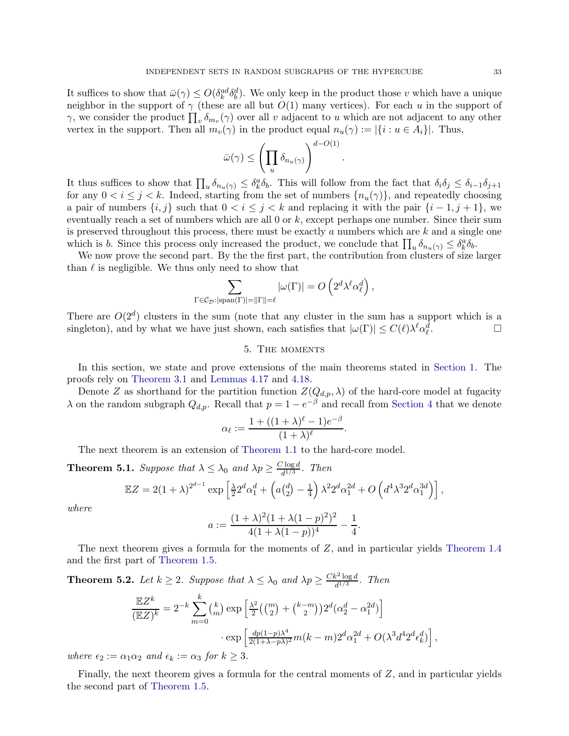It suffices to show that  $\bar{\omega}(\gamma) \le O(\delta_k^{ad} \delta_b^d)$ . We only keep in the product those v which have a unique neighbor in the support of  $\gamma$  (these are all but  $O(1)$  many vertices). For each u in the support of γ, we consider the product  $\prod_v \delta_{m_v}(\gamma)$  over all v adjacent to u which are not adjacent to any other vertex in the support. Then all  $m_v(\gamma)$  in the product equal  $n_u(\gamma) := |\{i : u \in A_i\}|$ . Thus,

$$
\bar{\omega}(\gamma) \leq \left(\prod_u \delta_{n_u(\gamma)}\right)^{d-O(1)}
$$

.

.

,

It thus suffices to show that  $\prod_u \delta_{n_u(\gamma)} \leq \delta_k^a \delta_b$ . This will follow from the fact that  $\delta_i \delta_j \leq \delta_{i-1} \delta_{j+1}$ for any  $0 < i \leq j < k$ . Indeed, starting from the set of numbers  $\{n_u(\gamma)\}\)$ , and repeatedly choosing a pair of numbers  $\{i, j\}$  such that  $0 < i \leq j < k$  and replacing it with the pair  $\{i - 1, j + 1\}$ , we eventually reach a set of numbers which are all 0 or k, except perhaps one number. Since their sum is preserved throughout this process, there must be exactly a numbers which are  $k$  and a single one which is b. Since this process only increased the product, we conclude that  $\prod_{u} \delta_{n_u(\gamma)} \leq \delta_k^a \delta_b$ .

We now prove the second part. By the the first part, the contribution from clusters of size larger than  $\ell$  is negligible. We thus only need to show that

$$
\sum_{\Gamma \in \mathcal{C}_{\mathcal{D}}: |\text{span}(\Gamma)| = \|\Gamma\| = \ell} |\omega(\Gamma)| = O\left(2^d \lambda^{\ell} \alpha_{\ell}^d\right),
$$

<span id="page-32-1"></span>There are  $O(2^d)$  clusters in the sum (note that any cluster in the sum has a support which is a singleton), and by what we have just shown, each satisfies that  $|\omega(\Gamma)| \le C(\ell) \lambda^{\ell} \alpha_{\ell}^{d}$ . — Первый профессиональный стандарт и профессиональный стандарт и профессиональный стандарт и профессиональны<br>В собстановки профессиональный стандарт и профессиональный стандарт и профессиональный стандарт и профессионал

# 5. The moments

In this section, we state and prove extensions of the main theorems stated in [Section 1.](#page-0-3) The proofs rely on [Theorem 3.1](#page-13-1) and [Lemmas 4.17](#page-30-1) and [4.18.](#page-31-0)

Denote Z as shorthand for the partition function  $Z(Q_{d,p},\lambda)$  of the hard-core model at fugacity  $\lambda$  on the random subgraph  $Q_{d,p}$ . Recall that  $p = 1 - e^{-\beta}$  and recall from [Section 4](#page-19-0) that we denote

$$
\alpha_\ell := \frac{1+((1+\lambda)^\ell-1)e^{-\beta}}{(1+\lambda)^\ell}
$$

<span id="page-32-3"></span>The next theorem is an extension of [Theorem 1.1](#page-0-1) to the hard-core model.

**Theorem 5.1.** *Suppose that*  $\lambda \leq \lambda_0$  *and*  $\lambda p \geq \frac{C \log d}{d^{1/3}}$  $\frac{d^{1/3}}{d^{1/3}}$ . *Then* 

$$
\mathbb{E}Z = 2(1+\lambda)^{2^{d-1}} \exp \left[ \frac{\lambda}{2} 2^d \alpha_1^d + \left( a\left(\frac{d}{2}\right) - \frac{1}{4} \right) \lambda^2 2^d \alpha_1^{2d} + O\left( d^4 \lambda^3 2^d \alpha_1^{3d} \right) \right],
$$

*where*

$$
a := \frac{(1+\lambda)^2 (1+\lambda(1-p)^2)^2}{4(1+\lambda(1-p))^4} - \frac{1}{4}.
$$

<span id="page-32-2"></span>The next theorem gives a formula for the moments of  $Z$ , and in particular yields [Theorem 1.4](#page-2-0) and the first part of [Theorem 1.5.](#page-2-1)

**Theorem 5.2.** Let  $k \geq 2$ . Suppose that  $\lambda \leq \lambda_0$  and  $\lambda p \geq \frac{Ck^2 \log d}{d^{1/3}}$  $rac{\varepsilon - \log a}{d^{1/3}}$ . Then

$$
\frac{\mathbb{E}Z^{k}}{(\mathbb{E}Z)^{k}} = 2^{-k} \sum_{m=0}^{k} {k \choose m} \exp\left[\frac{\lambda^{2}}{2} \left({m \choose 2} + {k-m \choose 2}\right) 2^{d} (\alpha_{2}^{d} - \alpha_{1}^{2d})\right] \cdot \exp\left[\frac{dp(1-p)\lambda^{4}}{2(1+\lambda-p\lambda)^{2}} m(k-m) 2^{d} \alpha_{1}^{2d} + O(\lambda^{3} d^{4} 2^{d} \epsilon_{k}^{d})\right]
$$

*where*  $\epsilon_2 := \alpha_1 \alpha_2$  *and*  $\epsilon_k := \alpha_3$  *for*  $k \geq 3$ *.* 

<span id="page-32-0"></span>Finally, the next theorem gives a formula for the central moments of  $Z$ , and in particular yields the second part of [Theorem 1.5.](#page-2-1)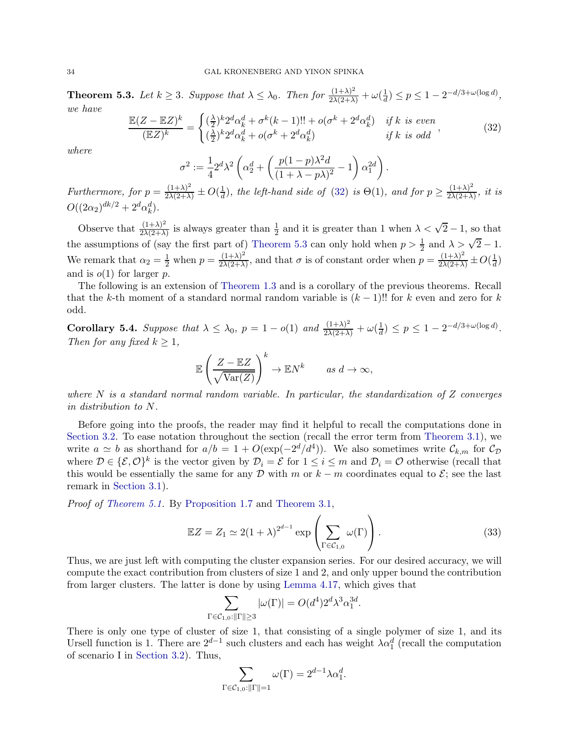**Theorem 5.3.** Let  $k \geq 3$ . Suppose that  $\lambda \leq \lambda_0$ . Then for  $\frac{(1+\lambda)^2}{2\lambda(2+\lambda)} + \omega(\frac{1}{d})$  $\frac{1}{d}$ )  $\leq p \leq 1 - 2^{-d/3 + \omega(\log d)},$ *we have*

<span id="page-33-0"></span>
$$
\frac{\mathbb{E}(Z - \mathbb{E}Z)^k}{(\mathbb{E}Z)^k} = \begin{cases} (\frac{\lambda}{2})^k 2^d \alpha_k^d + \sigma^k (k-1)!! + o(\sigma^k + 2^d \alpha_k^d) & \text{if } k \text{ is even} \\ (\frac{\lambda}{2})^k 2^d \alpha_k^d + o(\sigma^k + 2^d \alpha_k^d) & \text{if } k \text{ is odd} \end{cases}
$$
(32)

*where*

$$
\sigma^2 := \frac{1}{4} 2^d \lambda^2 \left( \alpha_2^d + \left( \frac{p(1-p)\lambda^2 d}{(1+\lambda-p\lambda)^2} - 1 \right) \alpha_1^{2d} \right).
$$

*Furthermore, for*  $p = \frac{(1+\lambda)^2}{2\lambda(2+\lambda)} \pm O(\frac{1}{d})$  $\frac{1}{d}$ , the left-hand side of [\(32\)](#page-33-0) is  $\Theta(1)$ , and for  $p \geq \frac{(1+\lambda)^2}{2\lambda(2+\lambda)}$  $\frac{(1+\lambda)}{2\lambda(2+\lambda)}$ , *it is*  $O((2\alpha_2)^{dk/2} + 2^d \alpha_k^d).$ 

Observe that  $\frac{(1+\lambda)^2}{2\lambda(2+\lambda)}$  $\frac{(1+\lambda)^2}{2\lambda(2+\lambda)}$  is always greater than  $\frac{1}{2}$  and it is greater than 1 when  $\lambda < \sqrt{2} - 1$ , so that the assumptions of (say the first part of) [Theorem 5.3](#page-32-0) can only hold when  $p > \frac{1}{2}$  and  $\lambda > \sqrt{2} - 1$ . We remark that  $\alpha_2 = \frac{1}{2}$  when  $p = \frac{(1+\lambda)^2}{2\lambda(2+\lambda)}$  $\frac{(1+\lambda)^2}{2\lambda(2+\lambda)}$ , and that  $\sigma$  is of constant order when  $p = \frac{(1+\lambda)^2}{2\lambda(2+\lambda)} \pm O(\frac{1}{d})$  $\frac{1}{d}$ and is  $o(1)$  for larger p.

The following is an extension of [Theorem 1.3](#page-2-2) and is a corollary of the previous theorems. Recall that the k-th moment of a standard normal random variable is  $(k-1)$ !! for k even and zero for k odd.

<span id="page-33-2"></span>Corollary 5.4. *Suppose that*  $\lambda \leq \lambda_0$ ,  $p = 1 - o(1)$  and  $\frac{(1+\lambda)^2}{2\lambda(2+\lambda)} + \omega(\frac{1}{d})$  $\frac{1}{d}$ )  $\leq p \leq 1 - 2^{-d/3 + \omega(\log d)}$ . *Then for any fixed*  $k \geq 1$ *,* 

$$
\mathbb{E}\left(\frac{Z - \mathbb{E}Z}{\sqrt{\text{Var}(Z)}}\right)^k \to \mathbb{E}N^k \quad \text{as } d \to \infty,
$$

*where* N *is a standard normal random variable. In particular, the standardization of* Z *converges in distribution to* N*.*

Before going into the proofs, the reader may find it helpful to recall the computations done in [Section 3.2.](#page-15-0) To ease notation throughout the section (recall the error term from [Theorem 3.1\)](#page-13-1), we write  $a \simeq b$  as shorthand for  $a/b = 1 + O(\exp(-2^d/d^4))$ . We also sometimes write  $\mathcal{C}_{k,m}$  for  $\mathcal{C}_{\mathcal{D}}$ where  $D \in \{\mathcal{E}, \mathcal{O}\}^k$  is the vector given by  $\mathcal{D}_i = \mathcal{E}$  for  $1 \leq i \leq m$  and  $\mathcal{D}_i = \mathcal{O}$  otherwise (recall that this would be essentially the same for any D with m or  $k - m$  coordinates equal to  $\mathcal{E}$ ; see the last remark in [Section 3.1\)](#page-14-1).

*Proof of [Theorem 5.1.](#page-32-3)* By [Proposition 1.7](#page-5-0) and [Theorem 3.1,](#page-13-1)

<span id="page-33-1"></span>
$$
\mathbb{E}Z = Z_1 \simeq 2(1+\lambda)^{2^{d-1}} \exp\left(\sum_{\Gamma \in \mathcal{C}_{1,0}} \omega(\Gamma)\right). \tag{33}
$$

Thus, we are just left with computing the cluster expansion series. For our desired accuracy, we will compute the exact contribution from clusters of size 1 and 2, and only upper bound the contribution from larger clusters. The latter is done by using [Lemma 4.17,](#page-30-1) which gives that

$$
\sum_{\Gamma \in \mathcal{C}_{1,0}: ||\Gamma|| \ge 3} |\omega(\Gamma)| = O(d^4) 2^d \lambda^3 \alpha_1^{3d}.
$$

There is only one type of cluster of size 1, that consisting of a single polymer of size 1, and its Ursell function is 1. There are  $2^{d-1}$  such clusters and each has weight  $\lambda \alpha_1^d$  (recall the computation of scenario I in [Section 3.2\)](#page-15-0). Thus,

$$
\sum_{\Gamma \in \mathcal{C}_{1,0}: \|\Gamma\|=1} \omega(\Gamma) = 2^{d-1} \lambda \alpha_1^d.
$$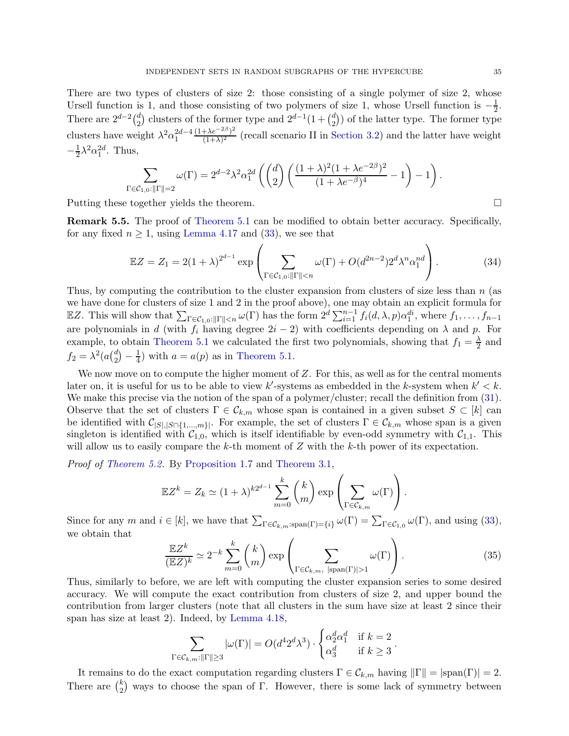There are two types of clusters of size 2: those consisting of a single polymer of size 2, whose Ursell function is 1, and those consisting of two polymers of size 1, whose Ursell function is  $-\frac{1}{2}$  $\frac{1}{2}$ . There are  $2^{d-2} \binom{d}{2}$  $\binom{d}{2}$  clusters of the former type and  $2^{d-1}(1+\binom{d}{2})$  $\binom{d}{2}$ ) of the latter type. The former type clusters have weight  $\lambda^2 \alpha_1^{2d-4}$  $(1+\lambda e^{-2\beta})^2$  $\frac{1+\lambda e^{-2\pi}}{(1+\lambda)^2}$  (recall scenario II in [Section 3.2\)](#page-15-0) and the latter have weight  $-\frac{1}{2}\lambda^2\alpha_1^{2d}$ . Thus,

$$
\sum_{\Gamma\in\mathcal{C}_{1,0}:||\Gamma||=2}\omega(\Gamma)=2^{d-2}\lambda^2\alpha_1^{2d}\left(\binom{d}{2}\left(\frac{(1+\lambda)^2(1+\lambda e^{-2\beta})^2}{(1+\lambda e^{-\beta})^4}-1\right)-1\right).
$$

<span id="page-34-0"></span>Putting these together yields the theorem.

Remark 5.5. The proof of [Theorem 5.1](#page-32-3) can be modified to obtain better accuracy. Specifically, for any fixed  $n \geq 1$ , using [Lemma 4.17](#page-30-1) and [\(33\)](#page-33-1), we see that

$$
\mathbb{E}Z = Z_1 = 2(1+\lambda)^{2^{d-1}} \exp\left(\sum_{\Gamma \in \mathcal{C}_{1,0}: \|\Gamma\| < n} \omega(\Gamma) + O(d^{2n-2}) 2^d \lambda^n \alpha_1^{nd}\right). \tag{34}
$$

Thus, by computing the contribution to the cluster expansion from clusters of size less than  $n$  (as we have done for clusters of size 1 and 2 in the proof above), one may obtain an explicit formula for EZ. This will show that  $\sum_{\Gamma \in \mathcal{C}_{1,0}: ||\Gamma|| < n} \omega(\Gamma)$  has the form  $2^d \sum_{i=1}^{n-1} f_i(d, \lambda, p) \alpha_1^{di}$ , where  $f_1, \ldots, f_{n-1}$ are polynomials in d (with  $f_i$  having degree  $2i-2$ ) with coefficients depending on  $\lambda$  and p. For example, to obtain [Theorem 5.1](#page-32-3) we calculated the first two polynomials, showing that  $f_1 = \frac{\lambda}{2}$  $\frac{\lambda}{2}$  and  $f_2 = \lambda^2 (a\binom{d}{2}$  $\binom{d}{2} - \frac{1}{4}$  $\frac{1}{4}$ ) with  $a = a(p)$  as in [Theorem 5.1.](#page-32-3)

We now move on to compute the higher moment of  $Z$ . For this, as well as for the central moments later on, it is useful for us to be able to view k'-systems as embedded in the k-system when  $k' < k$ . We make this precise via the notion of the span of a polymer/cluster; recall the definition from  $(31)$ . Observe that the set of clusters  $\Gamma \in \mathcal{C}_{k,m}$  whose span is contained in a given subset  $S \subset [k]$  can be identified with  $\mathcal{C}_{|S|,|S\cap\{1,\ldots,m\}|}$ . For example, the set of clusters  $\Gamma \in \mathcal{C}_{k,m}$  whose span is a given singleton is identified with  $C_{1,0}$ , which is itself identifiable by even-odd symmetry with  $C_{1,1}$ . This will allow us to easily compare the k-th moment of  $Z$  with the k-th power of its expectation.

*Proof of [Theorem 5.2.](#page-32-2)* By [Proposition 1.7](#page-5-0) and [Theorem 3.1,](#page-13-1)

$$
\mathbb{E}Z^{k} = Z_{k} \simeq (1+\lambda)^{k2^{d-1}} \sum_{m=0}^{k} {k \choose m} \exp\left(\sum_{\Gamma \in \mathcal{C}_{k,m}} \omega(\Gamma)\right).
$$

Since for any m and  $i \in [k]$ , we have that  $\sum_{\Gamma \in \mathcal{C}_{k,m}: \text{span}(\Gamma) = \{i\}} \omega(\Gamma) = \sum_{\Gamma \in \mathcal{C}_{1,0}} \omega(\Gamma)$ , and using [\(33\)](#page-33-1), we obtain that

<span id="page-34-1"></span>
$$
\frac{\mathbb{E}Z^{k}}{(\mathbb{E}Z)^{k}} \simeq 2^{-k} \sum_{m=0}^{k} {k \choose m} \exp\left(\sum_{\Gamma \in \mathcal{C}_{k,m}, |\text{span}(\Gamma)| > 1} \omega(\Gamma)\right).
$$
 (35)

.

Thus, similarly to before, we are left with computing the cluster expansion series to some desired accuracy. We will compute the exact contribution from clusters of size 2, and upper bound the contribution from larger clusters (note that all clusters in the sum have size at least 2 since their span has size at least 2). Indeed, by [Lemma 4.18,](#page-31-0)

$$
\sum_{\Gamma \in \mathcal{C}_{k,m}: \|\Gamma\| \ge 3} |\omega(\Gamma)| = O(d^4 2^d \lambda^3) \cdot \begin{cases} \alpha_2^d \alpha_1^d & \text{if } k = 2\\ \alpha_3^d & \text{if } k \ge 3 \end{cases}
$$

It remains to do the exact computation regarding clusters  $\Gamma \in \mathcal{C}_{k,m}$  having  $\|\Gamma\| = |\text{span}(\Gamma)| = 2$ . There are  $\binom{k}{2}$  $_{2}^{k}$ ) ways to choose the span of  $\Gamma$ . However, there is some lack of symmetry between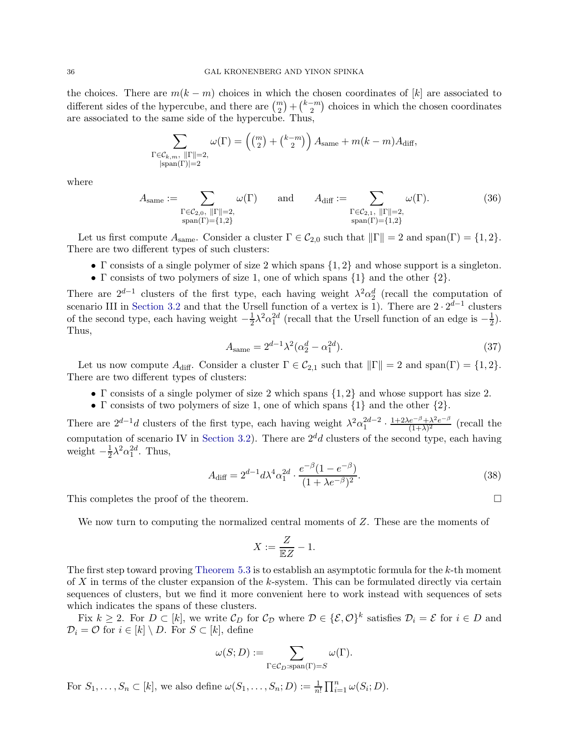the choices. There are  $m(k - m)$  choices in which the chosen coordinates of [k] are associated to different sides of the hypercube, and there are  $\binom{m}{2} + \binom{k-m}{2}$  choices in which the chosen coordinates are associated to the same side of the hypercube. Thus,

$$
\sum_{\substack{\Gamma \in \mathcal{C}_{k,m}, \ ||\Gamma|| = 2, \\ |\text{span}(\Gamma)| = 2}} \omega(\Gamma) = \left( \binom{m}{2} + \binom{k-m}{2} \right) A_{\text{same}} + m(k-m) A_{\text{diff}},
$$

where

<span id="page-35-1"></span>
$$
A_{\text{same}} := \sum_{\substack{\Gamma \in C_{2,0}, \ \|\Gamma\| = 2, \\ \text{span}(\Gamma) = \{1,2\}}} \omega(\Gamma) \quad \text{and} \quad A_{\text{diff}} := \sum_{\substack{\Gamma \in C_{2,1}, \ \|\Gamma\| = 2, \\ \text{span}(\Gamma) = \{1,2\}}} \omega(\Gamma). \tag{36}
$$

Let us first compute  $A_{\text{same}}$ . Consider a cluster  $\Gamma \in C_{2,0}$  such that  $\|\Gamma\| = 2$  and span( $\Gamma$ ) = {1, 2}. There are two different types of such clusters:

- Γ consists of a single polymer of size 2 which spans  $\{1, 2\}$  and whose support is a singleton.
- Γ consists of two polymers of size 1, one of which spans  $\{1\}$  and the other  $\{2\}$ .

There are  $2^{d-1}$  clusters of the first type, each having weight  $\lambda^2 \alpha_2^d$  (recall the computation of 2 scenario III in [Section 3.2](#page-15-0) and that the Ursell function of a vertex is 1). There are  $2 \cdot 2^{d-1}$  clusters of the second type, each having weight  $-\frac{1}{2}$  $\frac{1}{2}\lambda^2\alpha_1^{2d}$  (recall that the Ursell function of an edge is  $-\frac{1}{2}$ )  $(\frac{1}{2})$ . Thus,

<span id="page-35-2"></span>
$$
A_{\text{same}} = 2^{d-1} \lambda^2 (\alpha_2^d - \alpha_1^{2d}). \tag{37}
$$

Let us now compute  $A_{\text{diff}}$ . Consider a cluster  $\Gamma \in \mathcal{C}_{2,1}$  such that  $\|\Gamma\| = 2$  and span( $\Gamma$ ) = {1, 2}. There are two different types of clusters:

- Γ consists of a single polymer of size 2 which spans {1, 2} and whose support has size 2.
- Γ consists of two polymers of size 1, one of which spans  $\{1\}$  and the other  $\{2\}$ .

There are  $2^{d-1}d$  clusters of the first type, each having weight  $\lambda^2 \alpha_1^{2d-2} \cdot \frac{1+2\lambda e^{-\beta} + \lambda^2 e^{-\beta}}{(1+\lambda)^2}$  $\frac{e^{-\beta} + \lambda^2 e^{-\beta}}{(1+\lambda)^2}$  (recall the computation of scenario IV in [Section 3.2\)](#page-15-0). There are  $2^d d$  clusters of the second type, each having weight  $-\frac{1}{2}$  $\frac{1}{2}\lambda^2\alpha_1^{2d}$ . Thus,

<span id="page-35-3"></span>
$$
A_{\text{diff}} = 2^{d-1} d\lambda^4 \alpha_1^{2d} \cdot \frac{e^{-\beta} (1 - e^{-\beta})}{(1 + \lambda e^{-\beta})^2}.
$$
 (38)

This completes the proof of the theorem.

We now turn to computing the normalized central moments of  $Z$ . These are the moments of

$$
X := \frac{Z}{\mathbb{E}Z} - 1.
$$

The first step toward proving [Theorem 5.3](#page-32-0) is to establish an asymptotic formula for the  $k$ -th moment of X in terms of the cluster expansion of the k-system. This can be formulated directly via certain sequences of clusters, but we find it more convenient here to work instead with sequences of sets which indicates the spans of these clusters.

Fix  $k \geq 2$ . For  $D \subset [k]$ , we write  $\mathcal{C}_D$  for  $\mathcal{C}_{\mathcal{D}}$  where  $\mathcal{D} \in {\{\mathcal{E}, \mathcal{O}\}}^k$  satisfies  $\mathcal{D}_i = \mathcal{E}$  for  $i \in D$  and  $\mathcal{D}_i = \mathcal{O}$  for  $i \in [k] \setminus D$ . For  $S \subset [k]$ , define

$$
\omega(S; D) := \sum_{\Gamma \in C_D : \text{span}(\Gamma) = S} \omega(\Gamma).
$$

<span id="page-35-0"></span>For  $S_1, \ldots, S_n \subset [k]$ , we also define  $\omega(S_1, \ldots, S_n; D) := \frac{1}{n!} \prod_{i=1}^n \omega(S_i; D)$ .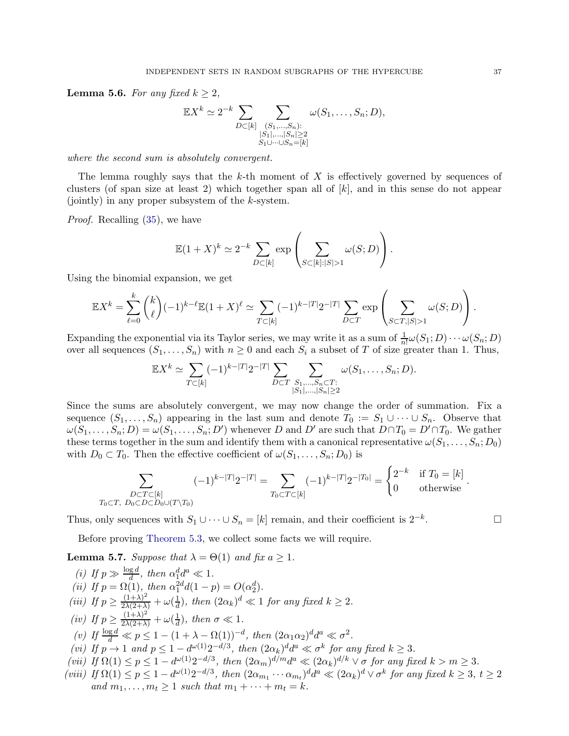**Lemma 5.6.** For any fixed  $k \geq 2$ ,

$$
\mathbb{E}X^{k} \simeq 2^{-k} \sum_{D \subset [k]} \sum_{\substack{(S_1,\ldots,S_n):\\|S_1|,\ldots,|S_n| \ge 2\\S_1\cup \cdots \cup S_n=[k]}} \omega(S_1,\ldots,S_n; D),
$$

*where the second sum is absolutely convergent.*

The lemma roughly says that the k-th moment of  $X$  is effectively governed by sequences of clusters (of span size at least 2) which together span all of  $[k]$ , and in this sense do not appear (jointly) in any proper subsystem of the  $k$ -system.

*Proof.* Recalling [\(35\)](#page-34-1), we have

$$
\mathbb{E}(1+X)^k \simeq 2^{-k} \sum_{D \subset [k]} \exp \left( \sum_{S \subset [k]:|S|>1} \omega(S;D) \right).
$$

Using the binomial expansion, we get

$$
\mathbb{E}X^{k} = \sum_{\ell=0}^{k} {k \choose \ell} (-1)^{k-\ell} \mathbb{E}(1+X)^{\ell} \simeq \sum_{T \subset [k]} (-1)^{k-|T|} 2^{-|T|} \sum_{D \subset T} \exp \left( \sum_{S \subset T, |S| > 1} \omega(S; D) \right).
$$

Expanding the exponential via its Taylor series, we may write it as a sum of  $\frac{1}{n!} \omega(S_1; D) \cdots \omega(S_n; D)$ over all sequences  $(S_1, \ldots, S_n)$  with  $n \geq 0$  and each  $S_i$  a subset of T of size greater than 1. Thus,

$$
\mathbb{E}X^{k} \simeq \sum_{T \subset [k]} (-1)^{k-|T|} 2^{-|T|} \sum_{D \subset T} \sum_{\substack{S_1, \dots, S_n \subset T:\\|S_1|, \dots, |S_n| \ge 2}} \omega(S_1, \dots, S_n; D).
$$

Since the sums are absolutely convergent, we may now change the order of summation. Fix a sequence  $(S_1, \ldots, S_n)$  appearing in the last sum and denote  $T_0 := S_1 \cup \cdots \cup S_n$ . Observe that  $\omega(S_1, \ldots, S_n; D) = \omega(S_1, \ldots, S_n; D')$  whenever D and D' are such that  $D \cap T_0 = D' \cap T_0$ . We gather these terms together in the sum and identify them with a canonical representative  $\omega(S_1, \ldots, S_n; D_0)$ with  $D_0 \subset T_0$ . Then the effective coefficient of  $\omega(S_1, \ldots, S_n; D_0)$  is

$$
\sum_{\substack{D \subset T \subset [k] \\ T_0 \subset T, \ D_0 \subset D \subset D_0 \cup (T \setminus T_0)}} (-1)^{k-|T|} 2^{-|T|} = \sum_{T_0 \subset T \subset [k]} (-1)^{k-|T|} 2^{-|T_0|} = \begin{cases} 2^{-k} & \text{if } T_0 = [k] \\ 0 & \text{otherwise} \end{cases}.
$$

Thus, only sequences with  $S_1 \cup \cdots \cup S_n = [k]$  remain, and their coefficient is  $2^{-k}$ . . — Первый профессиональный стандарт и профессиональный стандарт и профессиональный стандарт и профессиональны<br>В собстановки профессиональный стандарт и профессиональный стандарт и профессиональный стандарт и профессионал

<span id="page-36-8"></span>Before proving [Theorem 5.3,](#page-32-0) we collect some facts we will require.

<span id="page-36-0"></span>**Lemma 5.7.** *Suppose that*  $\lambda = \Theta(1)$  *and fix*  $a \geq 1$ *.* 

<span id="page-36-7"></span><span id="page-36-6"></span><span id="page-36-5"></span><span id="page-36-4"></span><span id="page-36-3"></span><span id="page-36-2"></span><span id="page-36-1"></span>(*i*) If  $p \gg \frac{\log d}{d}$ , then  $\alpha_1^d d^a \ll 1$ . (*ii*) If  $p = \Omega(1)$ , then  $\alpha_1^{2d}d(1-p) = O(\alpha_2^d)$ . (*iii*) If  $p \geq \frac{(1+\lambda)^2}{2\lambda(2+\lambda)} + \omega(\frac{1}{d})$  $\frac{1}{d}$ , then  $(2\alpha_k)^d \ll 1$  for any fixed  $k \geq 2$ . *(iv)* If  $p \geq \frac{(1+\lambda)^2}{2\lambda(2+\lambda)} + \omega(\frac{1}{d})$  $\frac{1}{d}$ ), then  $\sigma \ll 1$ . *(v)* If  $\frac{\log d}{d} \ll p \leq 1 - (1 + \lambda - \Omega(1))^{-d}$ , then  $(2\alpha_1 \alpha_2)^d d^a \ll \sigma^2$ . (*vi*) If  $p \to 1$  and  $p \leq 1 - d^{\omega(1)} 2^{-d/3}$ , then  $(2\alpha_k)^d d^a \ll \sigma^k$  for any fixed  $k \geq 3$ . *(vii)* If  $\Omega(1) \leq p \leq 1 - d^{\omega(1)} 2^{-d/3}$ , then  $(2\alpha_m)^{d/m} d^a \ll (2\alpha_k)^{d/k} \vee \sigma$  for any fixed  $k > m \geq 3$ . (viii) If  $\Omega(1) \le p \le 1 - d^{\omega(1)} 2^{-d/3}$ , then  $(2\alpha_{m_1} \cdots \alpha_{m_t})^d d^a \ll (2\alpha_k)^d \vee \sigma^k$  for any fixed  $k \ge 3$ ,  $t \ge 2$ *and*  $m_1, ..., m_t \geq 1$  *such that*  $m_1 + ... + m_t = k$ .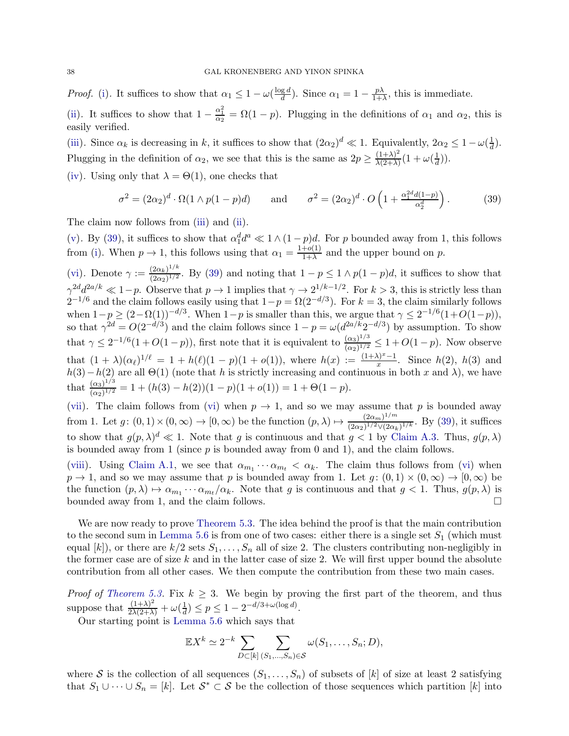*Proof.* [\(i\)](#page-36-0). It suffices to show that  $\alpha_1 \leq 1 - \omega \left( \frac{\log d}{d} \right)$  $\frac{g d}{d}$ ). Since  $\alpha_1 = 1 - \frac{p\lambda}{1+i}$  $\frac{p\lambda}{1+\lambda}$ , this is immediate. [\(ii\)](#page-36-1). It suffices to show that  $1 - \frac{\alpha_1^2}{\alpha_2} = \Omega(1 - p)$ . Plugging in the definitions of  $\alpha_1$  and  $\alpha_2$ , this is easily verified.

[\(iii\)](#page-36-2). Since  $\alpha_k$  is decreasing in k, it suffices to show that  $(2\alpha_2)^d \ll 1$ . Equivalently,  $2\alpha_2 \leq 1 - \omega(\frac{1}{d})$  $\frac{1}{d}$ ). Plugging in the definition of  $\alpha_2$ , we see that this is the same as  $2p \geq \frac{(1+\lambda)^2}{\lambda(2+\lambda)}$  $\frac{(1+\lambda)^2}{\lambda(2+\lambda)}(1+\omega(\frac{1}{d}))$  $\frac{1}{d})$ ).

[\(iv\)](#page-36-3). Using only that  $\lambda = \Theta(1)$ , one checks that

<span id="page-37-0"></span>
$$
\sigma^2 = (2\alpha_2)^d \cdot \Omega(1 \wedge p(1-p)d) \quad \text{and} \quad \sigma^2 = (2\alpha_2)^d \cdot O\left(1 + \frac{\alpha_1^{2d}d(1-p)}{\alpha_2^d}\right). \tag{39}
$$

The claim now follows from [\(iii\)](#page-36-2) and [\(ii\)](#page-36-1).

[\(v\)](#page-36-4). By [\(39\)](#page-37-0), it suffices to show that  $\alpha_1^d d^a \ll 1 \wedge (1-p)d$ . For p bounded away from 1, this follows from [\(i\)](#page-36-0). When  $p \to 1$ , this follows using that  $\alpha_1 = \frac{1+o(1)}{1+\lambda}$  $\frac{+o(1)}{1+\lambda}$  and the upper bound on p.

[\(vi\)](#page-36-5). Denote  $\gamma := \frac{(2\alpha_k)^{1/k}}{(2\alpha_k)^{1/2}}$  $\frac{(2\alpha_k)^{1/2}}{(2\alpha_2)^{1/2}}$ . By [\(39\)](#page-37-0) and noting that  $1-p \leq 1 \wedge p(1-p)d$ , it suffices to show that  $\gamma^{2d}d^{2a/k} \ll 1-p$ . Observe that  $p \to 1$  implies that  $\gamma \to 2^{1/k-1/2}$ . For  $k > 3$ , this is strictly less than  $2^{-1/6}$  and the claim follows easily using that  $1-p = \Omega(2^{-d/3})$ . For  $k = 3$ , the claim similarly follows when  $1-p \geq (2-\Omega(1))^{-d/3}$ . When  $1-p$  is smaller than this, we argue that  $\gamma \leq 2^{-1/6}(1+O(1-p)),$ so that  $\gamma^{2d} = O(2^{-d/3})$  and the claim follows since  $1 - p = \omega(d^{2a/k}2^{-d/3})$  by assumption. To show that  $\gamma \leq 2^{-1/6} (1 + O(1-p))$ , first note that it is equivalent to  $\frac{(\alpha_3)^{1/3}}{(\alpha_2)^{1/2}}$  $\frac{(\alpha_3)^{1/2}}{(\alpha_2)^{1/2}} \leq 1 + O(1-p)$ . Now observe that  $(1 + \lambda)(\alpha_\ell)^{1/\ell} = 1 + h(\ell)(1 - p)(1 + o(1))$ , where  $h(x) := \frac{(1 + \lambda)^x - 1}{x}$ . Since  $h(2)$ ,  $h(3)$  and  $h(3)-h(2)$  are all  $\Theta(1)$  (note that h is strictly increasing and continuous in both x and  $\lambda$ ), we have that  $\frac{(\alpha_3)^{1/3}}{(\alpha_3)^{1/2}}$  $\frac{(\alpha_3)^{1/2}}{(\alpha_2)^{1/2}} = 1 + (h(3) - h(2))(1 - p)(1 + o(1)) = 1 + \Theta(1 - p).$ 

[\(vii\)](#page-36-6). The claim follows from [\(vi\)](#page-36-5) when  $p \to 1$ , and so we may assume that p is bounded away from 1. Let  $g: (0,1) \times (0,\infty) \to [0,\infty)$  be the function  $(p,\lambda) \mapsto \frac{(2\alpha_m)^{1/m}}{(2\alpha_2)^{1/2} \vee (2\alpha_k)}$  $\frac{(2\alpha_m)^{1/2} \sqrt{(2\alpha_k)^{1/k}}}$ . By [\(39\)](#page-37-0), it suffices to show that  $g(p, \lambda)^d \ll 1$ . Note that g is continuous and that  $g < 1$  by [Claim A.3.](#page-42-11) Thus,  $g(p, \lambda)$ is bounded away from 1 (since  $p$  is bounded away from 0 and 1), and the claim follows.

[\(viii\)](#page-36-7). Using [Claim A.1,](#page-41-0) we see that  $\alpha_{m_1} \cdots \alpha_{m_t} < \alpha_k$ . The claim thus follows from [\(vi\)](#page-36-5) when  $p \to 1$ , and so we may assume that p is bounded away from 1. Let  $g: (0,1) \times (0,\infty) \to [0,\infty)$  be the function  $(p, \lambda) \mapsto \alpha_{m_1} \cdots \alpha_{m_t}/\alpha_k$ . Note that g is continuous and that  $g < 1$ . Thus,  $g(p, \lambda)$  is bounded away from 1, and the claim follows.

We are now ready to prove [Theorem 5.3.](#page-32-0) The idea behind the proof is that the main contribution to the second sum in [Lemma 5.6](#page-35-0) is from one of two cases: either there is a single set  $S_1$  (which must equal  $[k]$ , or there are  $k/2$  sets  $S_1, \ldots, S_n$  all of size 2. The clusters contributing non-negligibly in the former case are of size  $k$  and in the latter case of size 2. We will first upper bound the absolute contribution from all other cases. We then compute the contribution from these two main cases.

*Proof of [Theorem 5.3.](#page-32-0)* Fix  $k \geq 3$ . We begin by proving the first part of the theorem, and thus suppose that  $\frac{(1+\lambda)^2}{2\lambda(2+\lambda)} + \omega(\frac{1}{d})$  $\frac{1}{d}$ )  $\leq p \leq 1 - 2^{-d/3 + \omega(\log d)}$ .

Our starting point is [Lemma 5.6](#page-35-0) which says that

$$
\mathbb{E}X^{k} \simeq 2^{-k} \sum_{D \subset [k]} \sum_{(S_1, ..., S_n) \in \mathcal{S}} \omega(S_1, ..., S_n; D),
$$

where S is the collection of all sequences  $(S_1, \ldots, S_n)$  of subsets of  $[k]$  of size at least 2 satisfying that  $S_1 \cup \cdots \cup S_n = [k]$ . Let  $S^* \subset S$  be the collection of those sequences which partition  $[k]$  into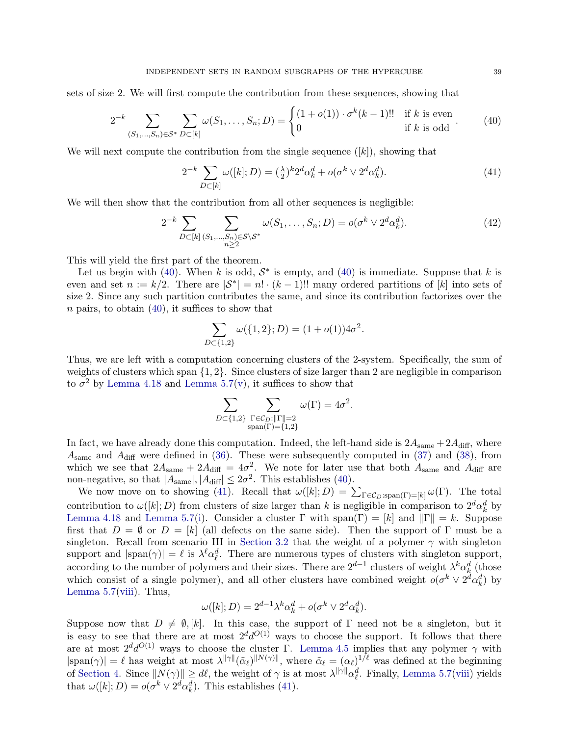sets of size 2. We will first compute the contribution from these sequences, showing that

<span id="page-38-0"></span>
$$
2^{-k} \sum_{(S_1,\dots,S_n)\in\mathcal{S}^*} \sum_{D\subset[k]} \omega(S_1,\dots,S_n;D) = \begin{cases} (1+o(1)) \cdot \sigma^k(k-1)!! & \text{if } k \text{ is even} \\ 0 & \text{if } k \text{ is odd} \end{cases} (40)
$$

We will next compute the contribution from the single sequence  $([k])$ , showing that

<span id="page-38-1"></span>
$$
2^{-k} \sum_{D \subset [k]} \omega([k]; D) = (\frac{\lambda}{2})^k 2^d \alpha_k^d + o(\sigma^k \vee 2^d \alpha_k^d). \tag{41}
$$

We will then show that the contribution from all other sequences is negligible:

<span id="page-38-2"></span>
$$
2^{-k} \sum_{D \subset [k]} \sum_{\substack{(S_1,\ldots,S_n) \in \mathcal{S} \backslash \mathcal{S}^* \\ n \ge 2}} \omega(S_1,\ldots,S_n; D) = o(\sigma^k \vee 2^d \alpha_k^d). \tag{42}
$$

This will yield the first part of the theorem.

Let us begin with [\(40\)](#page-38-0). When k is odd,  $S^*$  is empty, and (40) is immediate. Suppose that k is even and set  $n := k/2$ . There are  $|S^*| = n! \cdot (k-1)!$ ! many ordered partitions of  $[k]$  into sets of size 2. Since any such partition contributes the same, and since its contribution factorizes over the  $n$  pairs, to obtain  $(40)$ , it suffices to show that

$$
\sum_{D \subset \{1,2\}} \omega(\{1,2\}; D) = (1 + o(1))4\sigma^2.
$$

Thus, we are left with a computation concerning clusters of the 2-system. Specifically, the sum of weights of clusters which span  $\{1, 2\}$ . Since clusters of size larger than 2 are negligible in comparison to  $\sigma^2$  by [Lemma 4.18](#page-31-0) and [Lemma 5.7\(](#page-36-8)[v\)](#page-36-4), it suffices to show that

$$
\sum_{D \subset \{1,2\}} \sum_{\substack{\Gamma \in \mathcal{C}_D: ||\Gamma|| = 2 \\ \text{span}(\Gamma) = \{1,2\}}} \omega(\Gamma) = 4\sigma^2.
$$

In fact, we have already done this computation. Indeed, the left-hand side is  $2A_{\text{same}} + 2A_{\text{diff}}$ , where  $A_{\text{same}}$  and  $A_{\text{diff}}$  were defined in [\(36\)](#page-35-1). These were subsequently computed in [\(37\)](#page-35-2) and [\(38\)](#page-35-3), from which we see that  $2A_{\text{same}} + 2A_{\text{diff}} = 4\sigma^2$ . We note for later use that both  $A_{\text{same}}$  and  $A_{\text{diff}}$  are non-negative, so that  $|A_{\text{same}}|, |A_{\text{diff}}| \leq 2\sigma^2$ . This establishes [\(40\)](#page-38-0).

We now move on to showing [\(41\)](#page-38-1). Recall that  $\omega([k]; D) = \sum_{\Gamma \in \mathcal{C}_D : \text{span}(\Gamma) = [k]} \omega(\Gamma)$ . The total contribution to  $\omega([k]; D)$  from clusters of size larger than k is negligible in comparison to  $2^d \alpha_k^d$  by [Lemma 4.18](#page-31-0) and [Lemma 5.7](#page-36-8)[\(i\)](#page-36-0). Consider a cluster  $\Gamma$  with span( $\Gamma$ ) = [k] and  $\|\Gamma\| = k$ . Suppose first that  $D = \emptyset$  or  $D = [k]$  (all defects on the same side). Then the support of  $\Gamma$  must be a singleton. Recall from scenario III in [Section 3.2](#page-15-0) that the weight of a polymer  $\gamma$  with singleton support and  $|\text{span}(\gamma)| = \ell$  is  $\lambda^{\ell} \alpha_{\ell}^{d}$ . There are numerous types of clusters with singleton support, according to the number of polymers and their sizes. There are  $2^{d-1}$  clusters of weight  $\lambda^k \alpha_k^d$  (those which consist of a single polymer), and all other clusters have combined weight  $o(\sigma^k \vee 2^d \alpha_k^d)$  by Lemma  $5.7(viii)$  $5.7(viii)$ . Thus,

$$
\omega([k];D) = 2^{d-1}\lambda^k \alpha_k^d + o(\sigma^k \vee 2^d \alpha_k^d).
$$

Suppose now that  $D \neq \emptyset$ , [k]. In this case, the support of Γ need not be a singleton, but it is easy to see that there are at most  $2^d d^{O(1)}$  ways to choose the support. It follows that there are at most  $2^d d^{O(1)}$  ways to choose the cluster Γ. [Lemma 4.5](#page-21-1) implies that any polymer  $\gamma$  with  $|\text{span}(\gamma)| = \ell$  has weight at most  $\lambda^{\|\gamma\|}(\tilde{\alpha}_{\ell})^{\|N(\gamma)\|}$ , where  $\tilde{\alpha}_{\ell} = (\alpha_{\ell})^{1/\ell}$  was defined at the beginning of [Section 4.](#page-19-0) Since  $||N(\gamma)|| \geq d\ell$ , the weight of  $\gamma$  is at most  $\lambda^{||\gamma||}\alpha_{\ell}^d$ . Finally, [Lemma 5.7\(](#page-36-8)[viii\)](#page-36-7) yields that  $\omega([k]; D) = o(\sigma^k \vee 2^d \alpha_k^d)$ . This establishes [\(41\)](#page-38-1).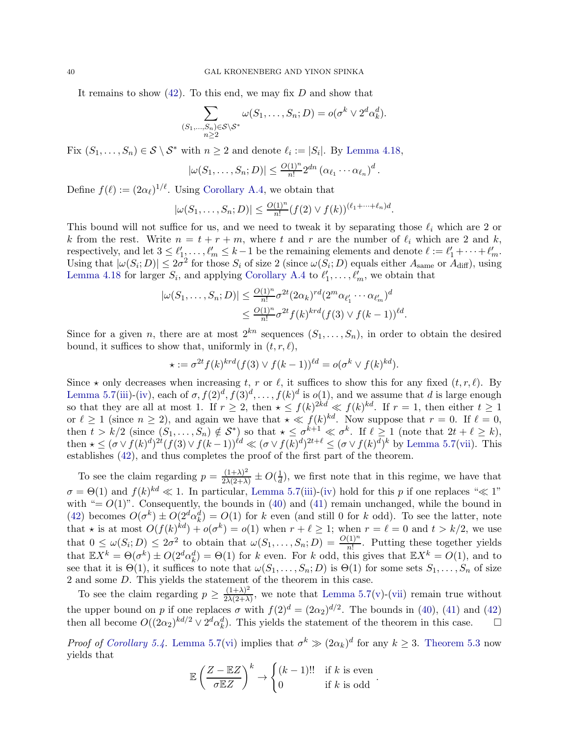It remains to show  $(42)$ . To this end, we may fix D and show that

$$
\sum_{\substack{(S_1,\ldots,S_n)\in\mathcal{S}\setminus\mathcal{S}^*\\n\geq 2}}\omega(S_1,\ldots,S_n;D)=o(\sigma^k\vee 2^d\alpha_k^d).
$$

Fix  $(S_1, \ldots, S_n) \in S \setminus S^*$  with  $n \geq 2$  and denote  $\ell_i := |S_i|$ . By [Lemma 4.18,](#page-31-0)

$$
|\omega(S_1,\ldots,S_n;D)| \leq \frac{O(1)^n}{n!} 2^{dn} (\alpha_{\ell_1} \cdots \alpha_{\ell_n})^d.
$$

Define  $f(\ell) := (2\alpha_{\ell})^{1/\ell}$ . Using [Corollary A.4,](#page-42-12) we obtain that

$$
|\omega(S_1,\ldots,S_n;D)| \leq \frac{O(1)^n}{n!} (f(2) \vee f(k))^{(\ell_1+\cdots+\ell_n)d}.
$$

This bound will not suffice for us, and we need to tweak it by separating those  $\ell_i$  which are 2 or k from the rest. Write  $n = t + r + m$ , where t and r are the number of  $\ell_i$  which are 2 and k, respectively, and let  $3 \leq \ell'_1, \ldots, \ell'_m \leq k-1$  be the remaining elements and denote  $\ell := \ell'_1 + \cdots + \ell'_m$ . Using that  $|\omega(S_i; D)| \leq 2\sigma^2$  for those  $S_i$  of size 2 (since  $\omega(S_i; D)$  equals either  $A_{\text{same}}$  or  $A_{\text{diff}}$ ), using [Lemma 4.18](#page-31-0) for larger  $S_i$ , and applying [Corollary A.4](#page-42-12) to  $\ell'_1, \ldots, \ell'_m$ , we obtain that

$$
|\omega(S_1,\ldots,S_n;D)| \leq \frac{O(1)^n}{n!} \sigma^{2t} (2\alpha_k)^{rd} (2^m \alpha_{\ell'_1} \cdots \alpha_{\ell'_m})^d
$$
  

$$
\leq \frac{O(1)^n}{n!} \sigma^{2t} f(k)^{krd} (f(3) \vee f(k-1))^{dd}.
$$

Since for a given n, there are at most  $2^{kn}$  sequences  $(S_1, \ldots, S_n)$ , in order to obtain the desired bound, it suffices to show that, uniformly in  $(t, r, \ell)$ ,

$$
\star := \sigma^{2t} f(k)^{krd} (f(3) \vee f(k-1))^{kd} = o(\sigma^k \vee f(k)^{kd}).
$$

Since  $\star$  only decreases when increasing t, r or  $\ell$ , it suffices to show this for any fixed  $(t, r, \ell)$ . By [Lemma 5.7](#page-36-8)[\(iii\)](#page-36-2)-[\(iv\)](#page-36-3), each of  $\sigma$ ,  $f(2)^d$ ,  $f(3)^d$ , ...,  $f(k)^d$  is  $o(1)$ , and we assume that d is large enough so that they are all at most 1. If  $r \geq 2$ , then  $\star \leq f(k)^{2kd} \ll f(k)^{kd}$ . If  $r = 1$ , then either  $t \geq 1$ or  $\ell \geq 1$  (since  $n \geq 2$ ), and again we have that  $\star \ll f(k)^{kd}$ . Now suppose that  $r = 0$ . If  $\ell = 0$ , then  $t > k/2$  (since  $(S_1, \ldots, S_n) \notin S^*$ ) so that  $\star \leq \sigma^{k+1} \ll \sigma^k$ . If  $\ell \geq 1$  (note that  $2t + \ell \geq k$ ), then  $\star \leq (\sigma \vee f(k)^d)^{2t} (f(3) \vee f(k-1))^{kd} \ll (\sigma \vee f(k)^d)^{2t+\ell} \leq (\sigma \vee f(k)^d)^k$  by [Lemma 5.7\(](#page-36-8)[vii\)](#page-36-6). This establishes [\(42\)](#page-38-2), and thus completes the proof of the first part of the theorem.

To see the claim regarding  $p = \frac{(1+\lambda)^2}{2\lambda(2+\lambda)} \pm O(\frac{1}{d})$  $\frac{1}{d}$ , we first note that in this regime, we have that  $\sigma = \Theta(1)$  and  $f(k)^{kd} \ll 1$ . In particular, [Lemma 5.7](#page-36-8)[\(iii\)](#page-36-2)-[\(iv\)](#page-36-3) hold for this p if one replaces " $\ll 1$ " with "=  $O(1)$ ". Consequently, the bounds in [\(40\)](#page-38-0) and [\(41\)](#page-38-1) remain unchanged, while the bound in [\(42\)](#page-38-2) becomes  $O(\sigma^k) \pm O(2^d \alpha_k^d) = O(1)$  for k even (and still 0 for k odd). To see the latter, note that  $\star$  is at most  $O(f(k)^{kd}) + o(\sigma^k) = o(1)$  when  $r + \ell \geq 1$ ; when  $r = \ell = 0$  and  $t > k/2$ , we use that  $0 \leq \omega(S_i; D) \leq 2\sigma^2$  to obtain that  $\omega(S_1, \ldots, S_n; D) = \frac{O(1)^n}{n!}$ . Putting these together yields that  $\mathbb{E}X^k = \Theta(\sigma^k) \pm O(2^d \alpha_k^d) = \Theta(1)$  for k even. For k odd, this gives that  $\mathbb{E}X^k = O(1)$ , and to see that it is  $\Theta(1)$ , it suffices to note that  $\omega(S_1, \ldots, S_n; D)$  is  $\Theta(1)$  for some sets  $S_1, \ldots, S_n$  of size 2 and some D. This yields the statement of the theorem in this case.

To see the claim regarding  $p \geq \frac{(1+\lambda)^2}{2\lambda(2+\lambda)}$  $\frac{(1+\lambda)}{2\lambda(2+\lambda)}$ , we note that [Lemma 5.7\(](#page-36-8)[v\)](#page-36-4)-[\(vii\)](#page-36-6) remain true without the upper bound on p if one replaces  $\sigma$  with  $f(2)^d = (2\alpha_2)^{d/2}$ . The bounds in [\(40\)](#page-38-0), [\(41\)](#page-38-1) and [\(42\)](#page-38-2) then all become  $O((2\alpha_2)^{kd/2} \vee 2^d \alpha_k^d)$ . This yields the statement of the theorem in this case.  $\square$ 

*Proof of [Corollary 5.4.](#page-33-2)* [Lemma 5.7\(](#page-36-8)[vi\)](#page-36-5) implies that  $\sigma^k \gg (2\alpha_k)^d$  for any  $k \geq 3$ . [Theorem 5.3](#page-32-0) now yields that

$$
\mathbb{E}\left(\frac{Z - \mathbb{E}Z}{\sigma \mathbb{E}Z}\right)^k \to \begin{cases} (k-1)!! & \text{if } k \text{ is even} \\ 0 & \text{if } k \text{ is odd} \end{cases}.
$$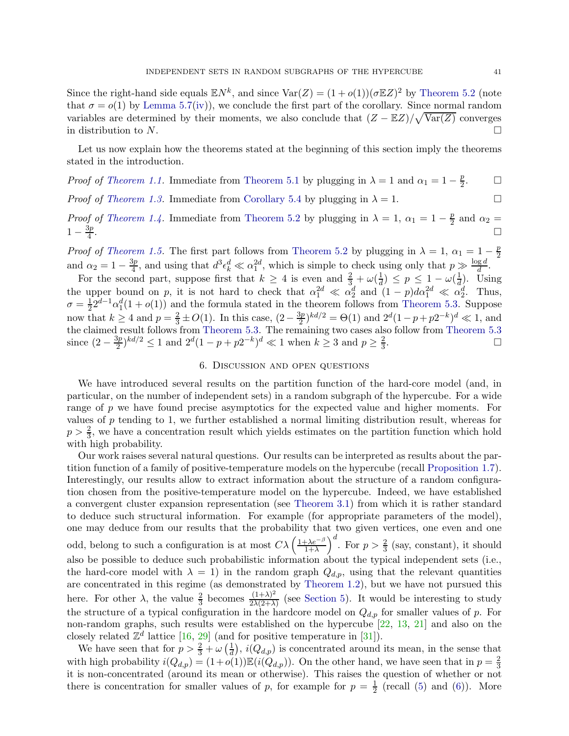Since the right-hand side equals  $\mathbb{E}N^k$ , and since  $\text{Var}(Z) = (1 + o(1))(\sigma \mathbb{E}Z)^2$  by [Theorem 5.2](#page-32-2) (note that  $\sigma = o(1)$  by [Lemma 5.7\(](#page-36-8)[iv\)](#page-36-3)), we conclude the first part of the corollary. Since normal random variables are determined by their moments, we also conclude that  $(Z - \mathbb{E}Z)/\sqrt{\text{Var}(Z)}$  converges in distribution to N.

Let us now explain how the theorems stated at the beginning of this section imply the theorems stated in the introduction.

*Proof of [Theorem 1.1.](#page-0-1)* Immediate from [Theorem 5.1](#page-32-3) by plugging in  $\lambda = 1$  and  $\alpha_1 = 1 - \frac{p}{2}$ 2  $\Box$ 

*Proof of [Theorem 1.3.](#page-2-2)* Immediate from [Corollary 5.4](#page-33-2) by plugging in  $\lambda = 1$ .

*Proof of [Theorem 1.4.](#page-2-0)* Immediate from [Theorem 5.2](#page-32-2) by plugging in  $\lambda = 1$ ,  $\alpha_1 = 1 - \frac{p}{2}$  $\frac{p}{2}$  and  $\alpha_2 =$  $1-\frac{3p}{4}$ 4 .<br>1980 - Paul Barbara, politikar eta aldera eta aldera eta aldera eta aldera eta aldera eta aldera eta aldera<br>1980 - Paul Barbara, profesiora eta aldera eta aldera eta aldera eta aldera eta aldera eta aldera eta aldera

*Proof of [Theorem 1.5.](#page-2-1)* The first part follows from [Theorem 5.2](#page-32-2) by plugging in  $\lambda = 1$ ,  $\alpha_1 = 1 - \frac{p}{2}$ 2 and  $\alpha_2 = 1 - \frac{3p}{4}$  $\frac{3p}{4}$ , and using that  $d^3 \epsilon_k^d \ll \alpha_1^{2d}$ , which is simple to check using only that  $p \gg \frac{\log d}{d}$ .

For the second part, suppose first that  $k \geq 4$  is even and  $\frac{2}{3} + \omega(\frac{1}{d})$  $\frac{1}{d}$ )  $\leq p \leq 1 - \omega(\frac{1}{d})$  $\frac{1}{d}$ ). Using the upper bound on p, it is not hard to check that  $\alpha_1^{2d} \ll \alpha_2^d$  and  $(1-p)d\alpha_1^{2d} \ll \alpha_2^d$ . Thus,  $\sigma = \frac{1}{2}2^{d-1}\alpha_1^d(1+o(1))$  and the formula stated in the theorem follows from [Theorem 5.3.](#page-32-0) Suppose 2 now that  $k \geq 4$  and  $p = \frac{2}{3} \pm O(1)$ . In this case,  $\left(2 - \frac{3p}{2}\right)$  $\frac{2p}{2}$ , kd/2 =  $\Theta(1)$  and  $2^d(1-p+p2^{-k})^d \ll 1$ , and the claimed result follows from [Theorem 5.3.](#page-32-0) The remaining two cases also follow from [Theorem 5.3](#page-32-0) since  $(2-\frac{3p}{2})$  $\frac{3p}{2}$ <sup>kd/2</sup>  $\leq$  1 and  $2^d(1-p+p2^{-k})^d \ll 1$  when  $k \geq 3$  and  $p \geq \frac{2}{3}$  $\frac{2}{3}$ .

# 6. Discussion and open questions

<span id="page-40-0"></span>We have introduced several results on the partition function of the hard-core model (and, in particular, on the number of independent sets) in a random subgraph of the hypercube. For a wide range of p we have found precise asymptotics for the expected value and higher moments. For values of p tending to 1, we further established a normal limiting distribution result, whereas for  $p > \frac{2}{3}$ , we have a concentration result which yields estimates on the partition function which hold with high probability.

Our work raises several natural questions. Our results can be interpreted as results about the partition function of a family of positive-temperature models on the hypercube (recall [Proposition 1.7\)](#page-5-0). Interestingly, our results allow to extract information about the structure of a random configuration chosen from the positive-temperature model on the hypercube. Indeed, we have established a convergent cluster expansion representation (see [Theorem 3.1\)](#page-13-1) from which it is rather standard to deduce such structural information. For example (for appropriate parameters of the model), one may deduce from our results that the probability that two given vertices, one even and one odd, belong to such a configuration is at most  $C\lambda\left(\frac{1+\lambda e^{-\beta}}{1+\lambda}\right)$  $\frac{(\lambda e^{-\beta})}{1+\lambda}$ <sup>d</sup>. For  $p > \frac{2}{3}$  (say, constant), it should also be possible to deduce such probabilistic information about the typical independent sets (i.e., the hard-core model with  $\lambda = 1$ ) in the random graph  $Q_{d,p}$ , using that the relevant quantities are concentrated in this regime (as demonstrated by [Theorem 1.2\)](#page-1-1), but we have not pursued this here. For other  $\lambda$ , the value  $\frac{2}{3}$  becomes  $\frac{(1+\lambda)^2}{2\lambda(2+\lambda)}$  $\frac{(1+\lambda)^2}{2\lambda(2+\lambda)}$  (see [Section 5\)](#page-32-1). It would be interesting to study the structure of a typical configuration in the hardcore model on  $Q_{d,p}$  for smaller values of p. For non-random graphs, such results were established on the hypercube [\[22,](#page-43-15) [13,](#page-43-13) [21\]](#page-43-4) and also on the closely related  $\mathbb{Z}^d$  lattice [\[16,](#page-43-21) [29\]](#page-43-22) (and for positive temperature in [\[31\]](#page-43-14)).

We have seen that for  $p > \frac{2}{3} + \omega \left(\frac{1}{d}\right)$  $\frac{1}{d}$ ,  $i(Q_{d,p})$  is concentrated around its mean, in the sense that with high probability  $i(Q_{d,p}) = (1+o(1))\mathbb{E}(i(Q_{d,p}))$ . On the other hand, we have seen that in  $p = \frac{2}{3}$ 3 it is non-concentrated (around its mean or otherwise). This raises the question of whether or not there is concentration for smaller values of p, for example for  $p = \frac{1}{2}$  $\frac{1}{2}$  (recall [\(5\)](#page-1-3) and [\(6\)](#page-1-4)). More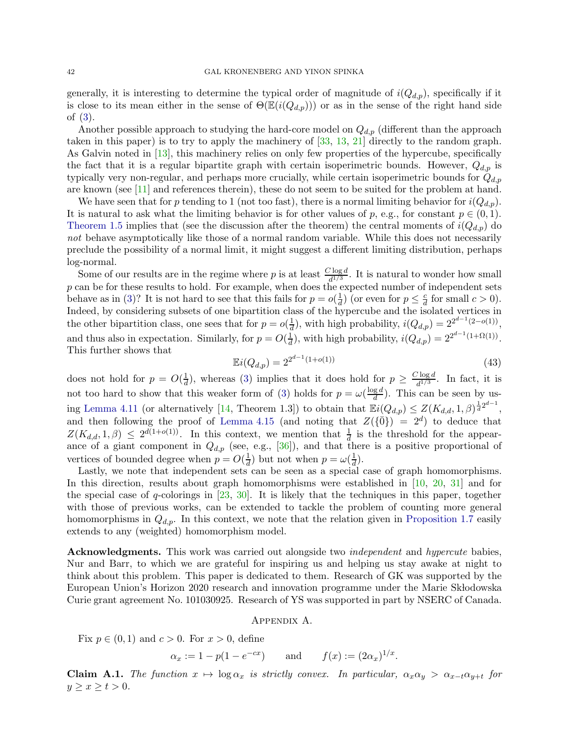generally, it is interesting to determine the typical order of magnitude of  $i(Q_{d,p})$ , specifically if it is close to its mean either in the sense of  $\Theta(\mathbb{E}(i(Q_{d,p})))$  or as in the sense of the right hand side of [\(3\)](#page-1-0).

Another possible approach to studying the hard-core model on  $Q_{d,p}$  (different than the approach taken in this paper) is to try to apply the machinery of [\[33,](#page-43-2) [13,](#page-43-13) [21\]](#page-43-4) directly to the random graph. As Galvin noted in [\[13\]](#page-43-13), this machinery relies on only few properties of the hypercube, specifically the fact that it is a regular bipartite graph with certain isoperimetric bounds. However,  $Q_{d,p}$  is typically very non-regular, and perhaps more crucially, while certain isoperimetric bounds for  $Q_{d,p}$ are known (see [\[11\]](#page-42-8) and references therein), these do not seem to be suited for the problem at hand.

We have seen that for p tending to 1 (not too fast), there is a normal limiting behavior for  $i(Q_{d,p})$ . It is natural to ask what the limiting behavior is for other values of p, e.g., for constant  $p \in (0,1)$ . [Theorem 1.5](#page-2-1) implies that (see the discussion after the theorem) the central moments of  $i(Q_{d,p})$  do *not* behave asymptotically like those of a normal random variable. While this does not necessarily preclude the possibility of a normal limit, it might suggest a different limiting distribution, perhaps log-normal.

Some of our results are in the regime where p is at least  $\frac{C \log d}{d^{1/3}}$ . It is natural to wonder how small  $p$  can be for these results to hold. For example, when does the expected number of independent sets behave as in [\(3\)](#page-1-0)? It is not hard to see that this fails for  $p = o(\frac{1}{d})$  $\frac{1}{d}$ ) (or even for  $p \leq \frac{c}{d}$  $\frac{c}{d}$  for small  $c > 0$ ). Indeed, by considering subsets of one bipartition class of the hypercube and the isolated vertices in the other bipartition class, one sees that for  $p = o(\frac{1}{d})$  $\frac{1}{d}$ , with high probability,  $i(Q_{d,p}) = 2^{2^{d-1}(2-o(1))}$ , and thus also in expectation. Similarly, for  $p = O(\frac{1}{d})$  $\frac{1}{d}$ , with high probability,  $i(Q_{d,p}) = 2^{2^{d-1}(1+\Omega(1))}$ . This further shows that

$$
\mathbb{E}i(Q_{d,p}) = 2^{2^{d-1}(1+o(1))} \tag{43}
$$

does not hold for  $p = O(\frac{1}{d})$  $\frac{1}{d}$ ), whereas [\(3\)](#page-1-0) implies that it does hold for  $p \geq \frac{C \log d}{d^{1/3}}$  $\frac{\log a}{d^{1/3}}$ . In fact, it is not too hard to show that this weaker form of [\(3\)](#page-1-0) holds for  $p = \omega(\frac{\log d}{d})$  $\frac{ga}{d}$ ). This can be seen by us-ing [Lemma 4.11](#page-25-0) (or alternatively [\[14,](#page-43-17) Theorem 1.3]) to obtain that  $\mathbb{E}i(Q_{d,p}) \leq Z(K_{d,d}, 1, \beta)^{\frac{1}{d}2^{d-1}}$ , and then following the proof of [Lemma 4.15](#page-26-3) (and noting that  $Z(\{\overline{0}\}) = 2^d$ ) to deduce that  $Z(K_{d,d}, 1, \beta) \leq 2^{d(1+o(1))}$ . In this context, we mention that  $\frac{1}{d}$  is the threshold for the appearance of a giant component in  $Q_{d,p}$  (see, e.g., [\[36\]](#page-43-9)), and that there is a positive proportional of vertices of bounded degree when  $p = O(\frac{1}{d})$  $\frac{1}{d}$ ) but not when  $p = \omega(\frac{1}{d})$  $\frac{1}{d}$ ).

Lastly, we note that independent sets can be seen as a special case of graph homomorphisms. In this direction, results about graph homomorphisms were established in [\[10,](#page-42-13) [20,](#page-43-20) [31\]](#page-43-14) and for the special case of  $q$ -colorings in  $[23, 30]$  $[23, 30]$ . It is likely that the techniques in this paper, together with those of previous works, can be extended to tackle the problem of counting more general homomorphisms in  $Q_{d,p}$ . In this context, we note that the relation given in [Proposition 1.7](#page-5-0) easily extends to any (weighted) homomorphism model.

Acknowledgments. This work was carried out alongside two *independent* and *hypercute* babies, Nur and Barr, to which we are grateful for inspiring us and helping us stay awake at night to think about this problem. This paper is dedicated to them. Research of GK was supported by the European Union's Horizon 2020 research and innovation programme under the Marie Skłodowska Curie grant agreement No. 101030925. Research of YS was supported in part by NSERC of Canada.

### Appendix A.

Fix  $p \in (0,1)$  and  $c > 0$ . For  $x > 0$ , define

$$
\alpha_x := 1 - p(1 - e^{-cx})
$$
 and  $f(x) := (2\alpha_x)^{1/x}$ .

<span id="page-41-0"></span>**Claim A.1.** *The function*  $x \mapsto \log \alpha_x$  *is strictly convex. In particular,*  $\alpha_x \alpha_y > \alpha_{x-t} \alpha_{y+t}$  *for*  $y \geq x \geq t > 0$ .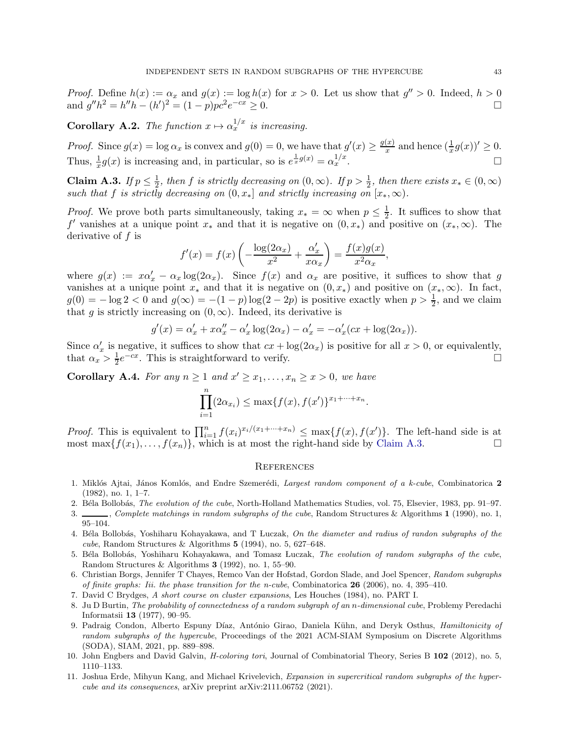*Proof.* Define  $h(x) := \alpha_x$  and  $g(x) := \log h(x)$  for  $x > 0$ . Let us show that  $g'' > 0$ . Indeed,  $h > 0$ and  $g''h^2 = h''h - (h')^2 = (1-p)pc^2e^{-cx} \ge 0.$ 

<span id="page-42-10"></span>**Corollary A.2.** *The function*  $x \mapsto \alpha_x^{1/x}$  *is increasing.* 

*Proof.* Since  $g(x) = \log \alpha_x$  is convex and  $g(0) = 0$ , we have that  $g'(x) \ge \frac{g(x)}{x}$  $\frac{f(x)}{x}$  and hence  $\left(\frac{1}{x}g(x)\right)' \geq 0$ . Thus,  $\frac{1}{x}g(x)$  is increasing and, in particular, so is  $e^{\frac{1}{x}g(x)} = \alpha_x^{1/x}$  $\frac{1}{x}$ .

<span id="page-42-11"></span>Claim A.3. *If*  $p \leq \frac{1}{2}$  $\frac{1}{2}$ , then f is strictly decreasing on  $(0, \infty)$ . If  $p > \frac{1}{2}$ , then there exists  $x_* \in (0, \infty)$ *such that* f *is strictly decreasing on*  $(0, x_*]$  *and strictly increasing on*  $(x_*, \infty)$ *.* 

*Proof.* We prove both parts simultaneously, taking  $x_* = \infty$  when  $p \leq \frac{1}{2}$  $\frac{1}{2}$ . It suffices to show that f' vanishes at a unique point  $x_*$  and that it is negative on  $(0, x_*)$  and positive on  $(x_*, \infty)$ . The derivative of f is

$$
f'(x) = f(x) \left( -\frac{\log(2\alpha_x)}{x^2} + \frac{\alpha'_x}{x\alpha_x} \right) = \frac{f(x)g(x)}{x^2\alpha_x},
$$

where  $g(x) := x\alpha'_x - \alpha_x \log(2\alpha_x)$ . Since  $f(x)$  and  $\alpha_x$  are positive, it suffices to show that g vanishes at a unique point  $x_*$  and that it is negative on  $(0, x_*)$  and positive on  $(x_*, \infty)$ . In fact,  $g(0) = -\log 2 < 0$  and  $g(\infty) = -(1 - p)\log(2 - 2p)$  is positive exactly when  $p > \frac{1}{2}$ , and we claim that g is strictly increasing on  $(0, \infty)$ . Indeed, its derivative is

$$
g'(x) = \alpha'_x + x\alpha''_x - \alpha'_x \log(2\alpha_x) - \alpha'_x = -\alpha'_x(cx + \log(2\alpha_x)).
$$

Since  $\alpha'_x$  is negative, it suffices to show that  $cx + \log(2\alpha_x)$  is positive for all  $x > 0$ , or equivalently, that  $\alpha_x > \frac{1}{2}$  $\frac{1}{2}e^{-cx}$ . This is straightforward to verify.

<span id="page-42-12"></span>**Corollary A.4.** For any  $n \geq 1$  and  $x' \geq x_1, \ldots, x_n \geq x > 0$ , we have

$$
\prod_{i=1}^{n} (2\alpha_{x_i}) \le \max\{f(x), f(x')\}^{x_1 + \dots + x_n}.
$$

*Proof.* This is equivalent to  $\prod_{i=1}^n f(x_i)^{x_i/(x_1+\cdots+x_n)} \leq \max\{f(x), f(x')\}$ . The left-hand side is at most max $\{f(x_1), \ldots, f(x_n)\}\$ , which is at most the right-hand side by [Claim A.3.](#page-42-11)

# **REFERENCES**

- <span id="page-42-1"></span>1. Mikl´os Ajtai, J´anos Koml´os, and Endre Szemer´edi, *Largest random component of a k-cube*, Combinatorica 2 (1982), no. 1, 1–7.
- <span id="page-42-3"></span><span id="page-42-2"></span>2. B´ela Bollob´as, *The evolution of the cube*, North-Holland Mathematics Studies, vol. 75, Elsevier, 1983, pp. 91–97.
- 3. , *Complete matchings in random subgraphs of the cube*, Random Structures & Algorithms 1 (1990), no. 1, 95–104.
- <span id="page-42-5"></span>4. B´ela Bollob´as, Yoshiharu Kohayakawa, and T Luczak, *On the diameter and radius of randon subgraphs of the cube*, Random Structures & Algorithms 5 (1994), no. 5, 627–648.
- <span id="page-42-4"></span>5. B´ela Bollob´as, Yoshiharu Kohayakawa, and Tomasz Luczak, *The evolution of random subgraphs of the cube*, Random Structures & Algorithms 3 (1992), no. 1, 55–90.
- <span id="page-42-6"></span>6. Christian Borgs, Jennifer T Chayes, Remco Van der Hofstad, Gordon Slade, and Joel Spencer, *Random subgraphs of finite graphs: Iii. the phase transition for the n-cube*, Combinatorica 26 (2006), no. 4, 395–410.
- <span id="page-42-9"></span><span id="page-42-0"></span>7. David C Brydges, *A short course on cluster expansions*, Les Houches (1984), no. PART I.
- 8. Ju D Burtin, *The probability of connectedness of a random subgraph of an* n*-dimensional cube*, Problemy Peredachi Informatsii 13 (1977), 90–95.
- <span id="page-42-7"></span>9. Padraig Condon, Alberto Espuny D´ıaz, Ant´onio Girao, Daniela K¨uhn, and Deryk Osthus, *Hamiltonicity of random subgraphs of the hypercube*, Proceedings of the 2021 ACM-SIAM Symposium on Discrete Algorithms (SODA), SIAM, 2021, pp. 889–898.
- <span id="page-42-13"></span><span id="page-42-8"></span>10. John Engbers and David Galvin, *H-coloring tori*, Journal of Combinatorial Theory, Series B 102 (2012), no. 5, 1110–1133.
- 11. Joshua Erde, Mihyun Kang, and Michael Krivelevich, *Expansion in supercritical random subgraphs of the hypercube and its consequences*, arXiv preprint arXiv:2111.06752 (2021).